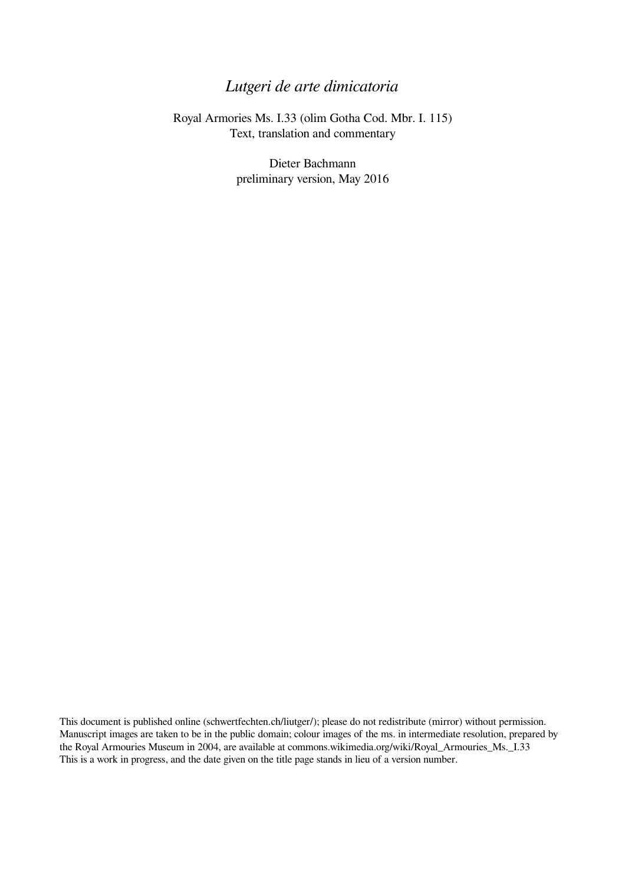## *Lutgeri de arte dimicatoria*

Royal Armories Ms. I.33 (olim Gotha Cod. Mbr. I. 115) Text, translation and commentary

> Dieter Bachmann preliminary version, May 2016

This document is published online (schwertfechten.ch/liutger/); please do not redistribute (mirror) without permission. Manuscript images are taken to be in the public domain; colour images of the ms. in intermediate resolution, prepared by the Royal Armouries Museum in 2004, are available at commons.wikimedia.org/wiki/Royal\_Armouries\_Ms.\_I.33 This is a work in progress, and the date given on the title page stands in lieu of a version number.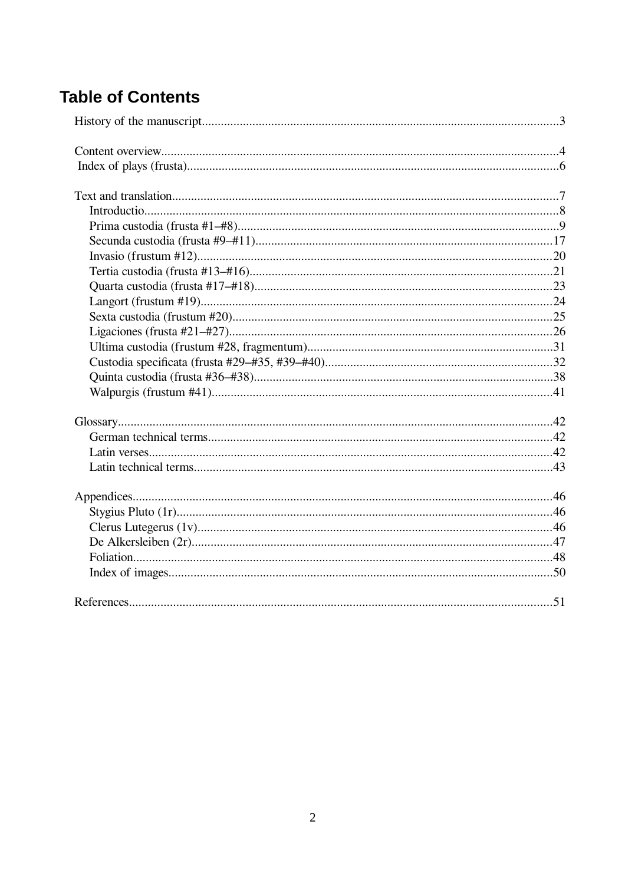# **Table of Contents**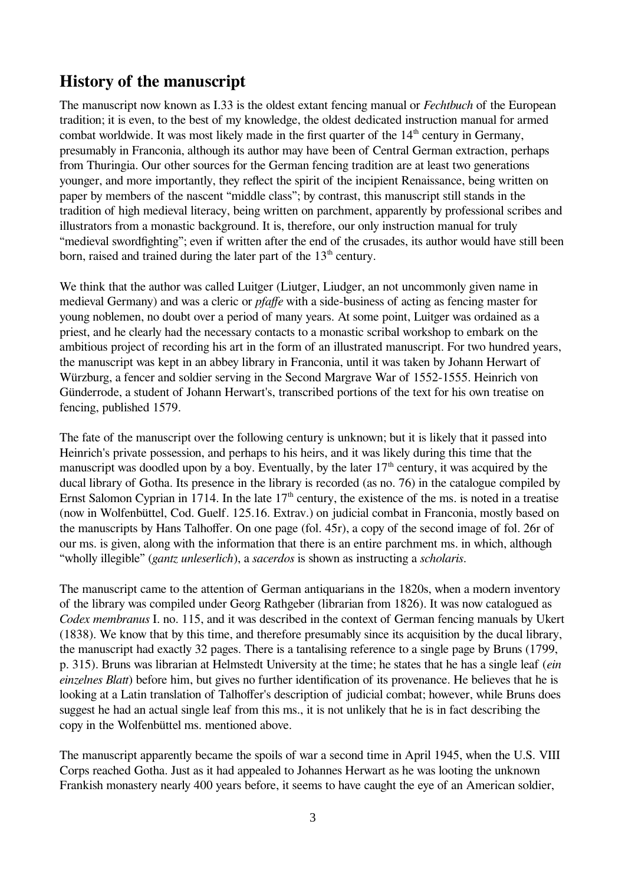## <span id="page-2-0"></span>**History of the manuscript**

The manuscript now known as I.33 is the oldest extant fencing manual or *Fechtbuch* of the European tradition; it is even, to the best of my knowledge, the oldest dedicated instruction manual for armed combat worldwide. It was most likely made in the first quarter of the  $14<sup>th</sup>$  century in Germany, presumably in Franconia, although its author may have been of Central German extraction, perhaps from Thuringia. Our other sources for the German fencing tradition are at least two generations younger, and more importantly, they reflect the spirit of the incipient Renaissance, being written on paper by members of the nascent "middle class"; by contrast, this manuscript still stands in the tradition of high medieval literacy, being written on parchment, apparently by professional scribes and illustrators from a monastic background. It is, therefore, our only instruction manual for truly "medieval swordfighting"; even if written after the end of the crusades, its author would have still been born, raised and trained during the later part of the  $13<sup>th</sup>$  century.

We think that the author was called Luitger (Liutger, Liudger, an not uncommonly given name in medieval Germany) and was a cleric or *pfaffe* with a side-business of acting as fencing master for young noblemen, no doubt over a period of many years. At some point, Luitger was ordained as a priest, and he clearly had the necessary contacts to a monastic scribal workshop to embark on the ambitious project of recording his art in the form of an illustrated manuscript. For two hundred years, the manuscript was kept in an abbey library in Franconia, until it was taken by Johann Herwart of Würzburg, a fencer and soldier serving in the Second Margrave War of 1552-1555. Heinrich von Günderrode, a student of Johann Herwart's, transcribed portions of the text for his own treatise on fencing, published 1579.

The fate of the manuscript over the following century is unknown; but it is likely that it passed into Heinrich's private possession, and perhaps to his heirs, and it was likely during this time that the manuscript was doodled upon by a boy. Eventually, by the later  $17<sup>th</sup>$  century, it was acquired by the ducal library of Gotha. Its presence in the library is recorded (as no. 76) in the catalogue compiled by Ernst Salomon Cyprian in 1714. In the late  $17<sup>th</sup>$  century, the existence of the ms. is noted in a treatise (now in Wolfenbüttel, Cod. Guelf. 125.16. Extrav.) on judicial combat in Franconia, mostly based on the manuscripts by Hans Talhoffer. On one page (fol. 45r), a copy of the second image of fol. 26r of our ms. is given, along with the information that there is an entire parchment ms. in which, although "wholly illegible" (*gantz unleserlich*), a *sacerdos* is shown as instructing a *scholaris*.

The manuscript came to the attention of German antiquarians in the 1820s, when a modern inventory of the library was compiled under Georg Rathgeber (librarian from 1826). It was now catalogued as *Codex membranus* I. no. 115, and it was described in the context of German fencing manuals by Ukert (1838). We know that by this time, and therefore presumably since its acquisition by the ducal library, the manuscript had exactly 32 pages. There is a tantalising reference to a single page by Bruns (1799, p. 315). Bruns was librarian at Helmstedt University at the time; he states that he has a single leaf (*ein einzelnes Blatt*) before him, but gives no further identification of its provenance. He believes that he is looking at a Latin translation of Talhoffer's description of judicial combat; however, while Bruns does suggest he had an actual single leaf from this ms., it is not unlikely that he is in fact describing the copy in the Wolfenbüttel ms. mentioned above.

The manuscript apparently became the spoils of war a second time in April 1945, when the U.S. VIII Corps reached Gotha. Just as it had appealed to Johannes Herwart as he was looting the unknown Frankish monastery nearly 400 years before, it seems to have caught the eye of an American soldier,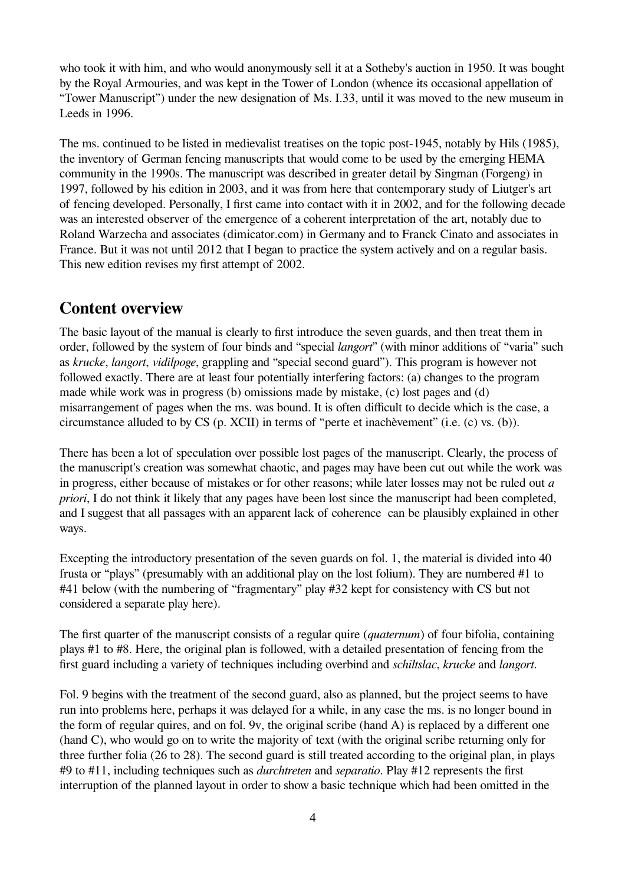who took it with him, and who would anonymously sell it at a Sotheby's auction in 1950. It was bought by the Royal Armouries, and was kept in the Tower of London (whence its occasional appellation of "Tower Manuscript") under the new designation of Ms. I.33, until it was moved to the new museum in Leeds in 1996.

The ms. continued to be listed in medievalist treatises on the topic post-1945, notably by Hils (1985), the inventory of German fencing manuscripts that would come to be used by the emerging HEMA community in the 1990s. The manuscript was described in greater detail by Singman (Forgeng) in 1997, followed by his edition in 2003, and it was from here that contemporary study of Liutger's art of fencing developed. Personally, I first came into contact with it in 2002, and for the following decade was an interested observer of the emergence of a coherent interpretation of the art, notably due to Roland Warzecha and associates (dimicator.com) in Germany and to Franck Cinato and associates in France. But it was not until 2012 that I began to practice the system actively and on a regular basis. This new edition revises my first attempt of 2002.

### <span id="page-3-0"></span>**Content overview**

The basic layout of the manual is clearly to first introduce the seven guards, and then treat them in order, followed by the system of four binds and "special *langort*" (with minor additions of "varia" such as *krucke*, *langort*, *vidilpoge*, grappling and "special second guard"). This program is however not followed exactly. There are at least four potentially interfering factors: (a) changes to the program made while work was in progress (b) omissions made by mistake, (c) lost pages and (d) misarrangement of pages when the ms. was bound. It is often difficult to decide which is the case, a circumstance alluded to by CS (p. XCII) in terms of "perte et inachèvement" (i.e. (c) vs. (b)).

There has been a lot of speculation over possible lost pages of the manuscript. Clearly, the process of the manuscript's creation was somewhat chaotic, and pages may have been cut out while the work was in progress, either because of mistakes or for other reasons; while later losses may not be ruled out *a priori*, I do not think it likely that any pages have been lost since the manuscript had been completed, and I suggest that all passages with an apparent lack of coherence can be plausibly explained in other ways.

Excepting the introductory presentation of the seven guards on fol. 1, the material is divided into 40 frusta or "plays" (presumably with an additional play on the lost folium). They are numbered #1 to #41 below (with the numbering of "fragmentary" play #32 kept for consistency with CS but not considered a separate play here).

The first quarter of the manuscript consists of a regular quire (*quaternum*) of four bifolia, containing plays #1 to #8. Here, the original plan is followed, with a detailed presentation of fencing from the first guard including a variety of techniques including overbind and *schiltslac*, *krucke* and *langort*.

Fol. 9 begins with the treatment of the second guard, also as planned, but the project seems to have run into problems here, perhaps it was delayed for a while, in any case the ms. is no longer bound in the form of regular quires, and on fol. 9v, the original scribe (hand A) is replaced by a different one (hand C), who would go on to write the majority of text (with the original scribe returning only for three further folia (26 to 28). The second guard is still treated according to the original plan, in plays #9 to #11, including techniques such as *durchtreten* and *separatio*. Play #12 represents the first interruption of the planned layout in order to show a basic technique which had been omitted in the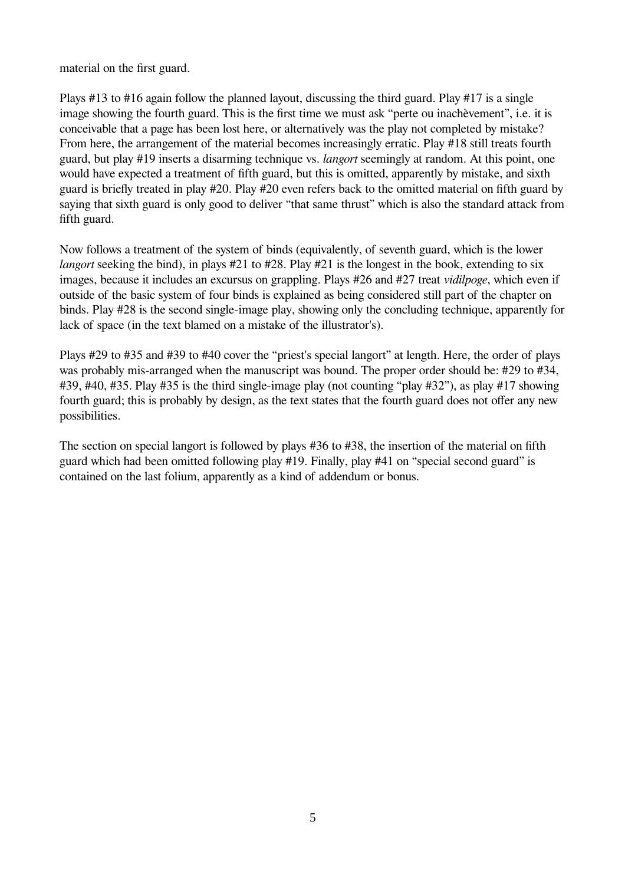material on the first guard.

Plays #13 to #16 again follow the planned layout, discussing the third guard. Play #17 is a single image showing the fourth guard. This is the first time we must ask "perte ou inachèvement", i.e. it is conceivable that a page has been lost here, or alternatively was the play not completed by mistake? From here, the arrangement of the material becomes increasingly erratic. Play #18 still treats fourth guard, but play #19 inserts a disarming technique vs. *langort* seemingly at random. At this point, one would have expected a treatment of fifth guard, but this is omitted, apparently by mistake, and sixth guard is briefly treated in play #20. Play #20 even refers back to the omitted material on fifth guard by saying that sixth guard is only good to deliver "that same thrust" which is also the standard attack from fifth guard.

Now follows a treatment of the system of binds (equivalently, of seventh guard, which is the lower *langort* seeking the bind), in plays #21 to #28. Play #21 is the longest in the book, extending to six images, because it includes an excursus on grappling. Plays #26 and #27 treat *vidilpoge*, which even if outside of the basic system of four binds is explained as being considered still part of the chapter on binds. Play #28 is the second single-image play, showing only the concluding technique, apparently for lack of space (in the text blamed on a mistake of the illustrator's).

Plays #29 to #35 and #39 to #40 cover the "priest's special langort" at length. Here, the order of plays was probably mis-arranged when the manuscript was bound. The proper order should be: #29 to #34, #39, #40, #35. Play #35 is the third single-image play (not counting "play #32"), as play #17 showing fourth guard; this is probably by design, as the text states that the fourth guard does not offer any new possibilities.

The section on special langort is followed by plays #36 to #38, the insertion of the material on fifth guard which had been omitted following play #19. Finally, play #41 on "special second guard" is contained on the last folium, apparently as a kind of addendum or bonus.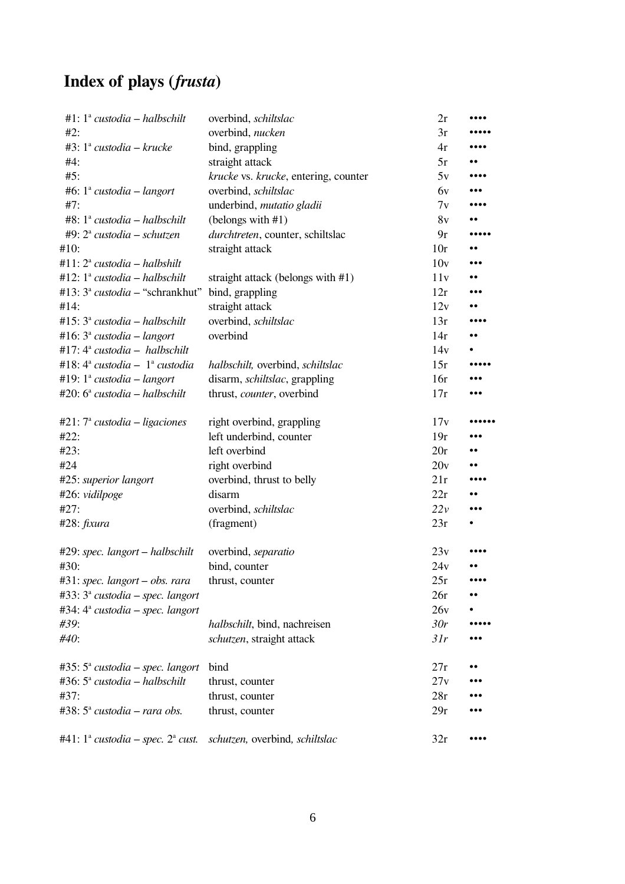# <span id="page-5-0"></span>**Index of plays (***frusta***)**

| #1: $1^a$ custodia – halbschilt           | overbind, schiltslac                 | 2r             |                         |
|-------------------------------------------|--------------------------------------|----------------|-------------------------|
| #2:                                       | overbind, nucken                     | 3r             |                         |
| #3: $1^a$ custodia – krucke               | bind, grappling                      | 4r             |                         |
| #4:                                       | straight attack                      | 5r             |                         |
| #5:                                       | krucke vs. krucke, entering, counter | 5v             |                         |
| #6: $1^a$ custodia – langort              | overbind, schiltslac                 | 6 <sub>v</sub> |                         |
| #7:                                       | underbind, mutatio gladii            | 7v             |                         |
| #8: $1^a$ custodia – halbschilt           | (belongs with #1)                    | 8v             |                         |
| #9: $2^a$ custodia – schutzen             | durchtreten, counter, schiltslac     | 9r             |                         |
| #10:                                      | straight attack                      | 10r            | $\bullet \bullet$       |
| #11: $2^a$ custodia – halbshilt           |                                      | 10v            |                         |
| #12: $1^a$ custodia – halbschilt          | straight attack (belongs with #1)    | 11v            | $\bullet\bullet$        |
| #13: $3^a$ <i>custodia</i> – "schrankhut" | bind, grappling                      | 12r            |                         |
| #14:                                      | straight attack                      | 12v            |                         |
| #15: $3^a$ custodia – halbschilt          | overbind, schiltslac                 | 13r            |                         |
| #16: $3^a$ custodia – langort             | overbind                             | 14r            | $\bullet \bullet$       |
| #17: $4^a$ custodia - halbschilt          |                                      | 14v            |                         |
| #18: $4^a$ custodia - $1^a$ custodia      | halbschilt, overbind, schiltslac     | 15r            |                         |
| #19: $1^a$ custodia – langort             | disarm, schiltslac, grappling        | 16r            | $\ddot{\bullet}$        |
| #20: $6^a$ custodia – halbschilt          | thrust, counter, overbind            | 17r            |                         |
| #21: $7^{\circ}$ custodia – ligaciones    | right overbind, grappling            | 17v            |                         |
| #22:                                      | left underbind, counter              | 19r            | $\bullet\bullet\bullet$ |
| #23:                                      | left overbind                        | 20r            | $\bullet \bullet$       |
| #24                                       | right overbind                       | 20v            |                         |
| #25: superior langort                     | overbind, thrust to belly            | 21r            |                         |
| #26: vidilpoge                            | disarm                               | 22r            |                         |
| #27:                                      | overbind, schiltslac                 | 22v            |                         |
| #28: fixura                               | (fragment)                           | 23r            |                         |
| #29: spec. langort – halbschilt           | overbind, separatio                  | 23v            |                         |
| #30:                                      | bind, counter                        | 24v            |                         |
| $#31$ : spec. langort – obs. rara         | thrust, counter                      | 25r            |                         |
| $#33: 3^a$ custodia – spec. langort       |                                      | 26r            | $\bullet\bullet$        |
| #34: $4^a$ custodia – spec. langort       |                                      | 26v            |                         |
| #39:                                      | halbschilt, bind, nachreisen         | 30r            |                         |
| #40:                                      | schutzen, straight attack            | 31r            |                         |
| #35: $5^a$ custodia – spec. langort       | bind                                 | 27r            |                         |
| #36: $5^a$ custodia – halbschilt          | thrust, counter                      | 27v            |                         |
| #37:                                      | thrust, counter                      | 28r            |                         |
| #38: $5^{\circ}$ custodia – rara obs.     | thrust, counter                      | 29r            |                         |
| #41: $1^a$ custodia – spec. $2^a$ cust.   | schutzen, overbind, schiltslac       | 32r            |                         |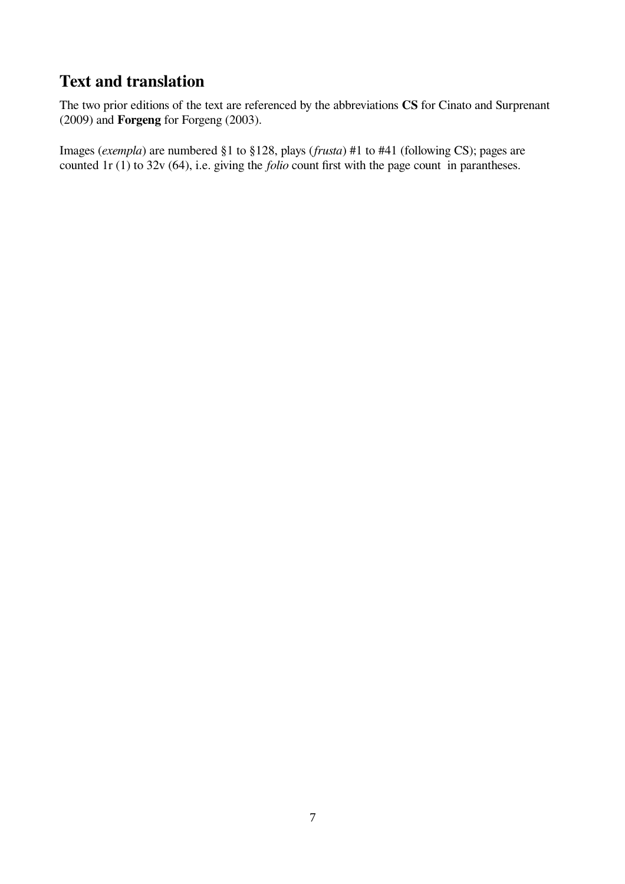# <span id="page-6-0"></span>**Text and translation**

The two prior editions of the text are referenced by the abbreviations **CS** for Cinato and Surprenant (2009) and **Forgeng** for Forgeng (2003).

Images (*exempla*) are numbered §1 to §128, plays (*frusta*) #1 to #41 (following CS); pages are counted 1r (1) to 32v (64), i.e. giving the *folio* count first with the page count in parantheses.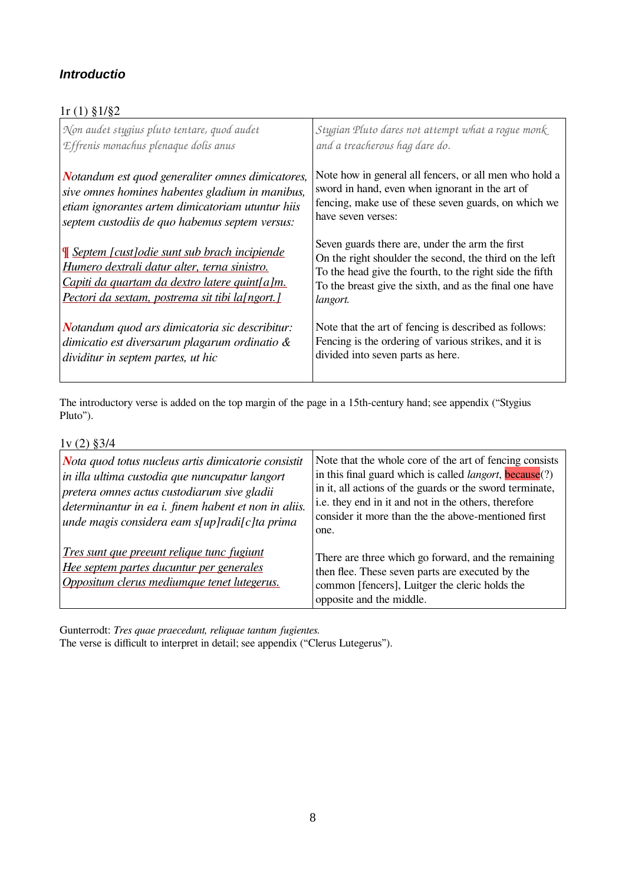### <span id="page-7-0"></span>*Introductio*

| $1r(1)\$ § $1/\$ §2                                                                                                                                                                                       |                                                                                                                                                                                                                                               |
|-----------------------------------------------------------------------------------------------------------------------------------------------------------------------------------------------------------|-----------------------------------------------------------------------------------------------------------------------------------------------------------------------------------------------------------------------------------------------|
| Non audet stygius pluto tentare, quod audet<br>Effrenis monachus plenaque dolis anus                                                                                                                      | Stygian Pluto dares not attempt what a rogue monk<br>and a treacherous hag dare do.                                                                                                                                                           |
| Notandum est quod generaliter omnes dimicatores,<br>sive omnes homines habentes gladium in manibus,<br>etiam ignorantes artem dimicatoriam utuntur hiis<br>septem custodiis de quo habemus septem versus: | Note how in general all fencers, or all men who hold a<br>sword in hand, even when ignorant in the art of<br>fencing, make use of these seven guards, on which we<br>have seven verses:                                                       |
| <u>Septem [cust] odie sunt sub brach incipiende</u><br>Humero dextrali datur alter, terna sinistro.<br>Capiti da quartam da dextro latere quint[a]m.<br>Pectori da sextam, postrema sit tibi la[ngort.]   | Seven guards there are, under the arm the first<br>On the right shoulder the second, the third on the left<br>To the head give the fourth, to the right side the fifth<br>To the breast give the sixth, and as the final one have<br>langort. |
| Notandum quod ars dimicatoria sic describitur:<br>dimicatio est diversarum plagarum ordinatio $\&$<br>dividitur in septem partes, ut hic                                                                  | Note that the art of fencing is described as follows:<br>Fencing is the ordering of various strikes, and it is<br>divided into seven parts as here.                                                                                           |

The introductory verse is added on the top margin of the page in a 15th-century hand; see appendix ("Stygius Pluto").

### 1v (2) §3/4

| $1.1 - 1.0$                                                                                                                                  | Note that the whole core of the art of fencing consists                                                                                                                               |
|----------------------------------------------------------------------------------------------------------------------------------------------|---------------------------------------------------------------------------------------------------------------------------------------------------------------------------------------|
| Nota quod totus nucleus artis dimicatorie consistit                                                                                          | in this final guard which is called <i>langort</i> , <b>because</b> $(?)$                                                                                                             |
| in illa ultima custodia que nuncupatur langort                                                                                               | in it, all actions of the guards or the sword terminate,                                                                                                                              |
| pretera omnes actus custodiarum sive gladii                                                                                                  | i.e. they end in it and not in the others, therefore                                                                                                                                  |
| determinantur in ea i. finem habent et non in aliis.                                                                                         | consider it more than the the above-mentioned first                                                                                                                                   |
| unde magis considera eam s[up]radi[c]ta prima                                                                                                | one.                                                                                                                                                                                  |
| <u>Tres sunt que preeunt relique tunc fugiunt</u><br>Hee septem partes ducuntur per generales<br>Oppositum clerus mediumque tenet lutegerus. | There are three which go forward, and the remaining<br>then flee. These seven parts are executed by the<br>common [fencers], Luitger the cleric holds the<br>opposite and the middle. |

Gunterrodt: *Tres quae praecedunt, reliquae tantum fugientes.*

The verse is difficult to interpret in detail; see appendix ("Clerus Lutegerus").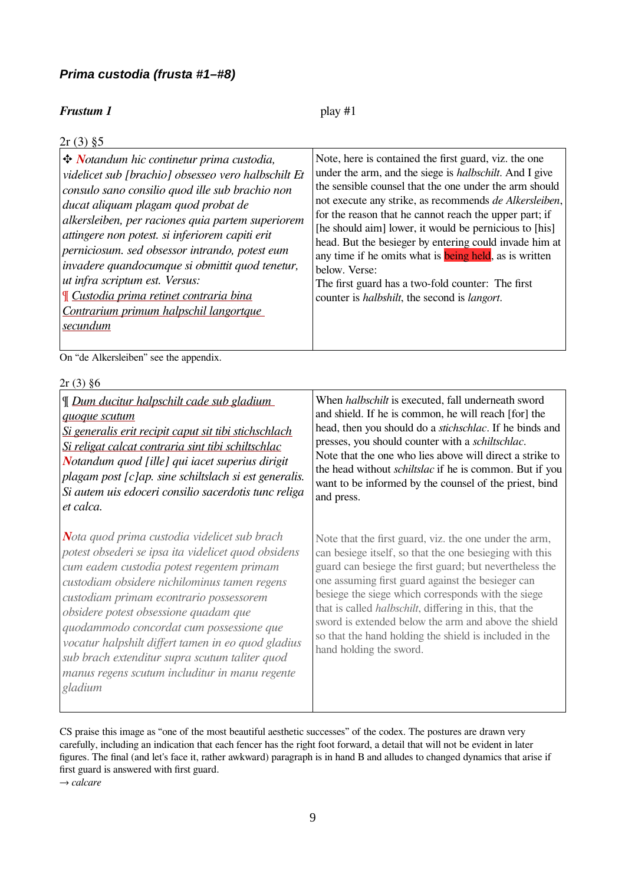### <span id="page-8-0"></span>*Prima custodia (frusta #1–#8)*

### **Frustum 1** play #1

| $2r(3)$ §5                                                                                                                                                                                                                                                                                                                                                                                                                                                                                                                                       |                                                                                                                                                                                                                                                                                                                                                                                                                                                                                                                                                                                                                                   |
|--------------------------------------------------------------------------------------------------------------------------------------------------------------------------------------------------------------------------------------------------------------------------------------------------------------------------------------------------------------------------------------------------------------------------------------------------------------------------------------------------------------------------------------------------|-----------------------------------------------------------------------------------------------------------------------------------------------------------------------------------------------------------------------------------------------------------------------------------------------------------------------------------------------------------------------------------------------------------------------------------------------------------------------------------------------------------------------------------------------------------------------------------------------------------------------------------|
| Notandum hic continetur prima custodia,<br>videlicet sub [brachio] obsesseo vero halbschilt Et<br>consulo sano consilio quod ille sub brachio non<br>ducat aliquam plagam quod probat de<br>alkersleiben, per raciones quia partem superiorem<br>attingere non potest. si inferiorem capiti erit<br>perniciosum. sed obsessor intrando, potest eum<br>invadere quandocumque si obmittit quod tenetur,<br>ut infra scriptum est. Versus:<br><u>Il Custodia prima retinet contraria bina</u><br>Contrarium primum halpschil langortque<br>secundum | Note, here is contained the first guard, viz. the one<br>under the arm, and the siege is <i>halbschilt</i> . And I give<br>the sensible counsel that the one under the arm should<br>not execute any strike, as recommends de Alkersleiben,<br>for the reason that he cannot reach the upper part; if<br>[he should aim] lower, it would be pernicious to [his]<br>head. But the besieger by entering could invade him at<br>any time if he omits what is <b>being held</b> , as is written<br>below. Verse:<br>The first guard has a two-fold counter: The first<br>counter is <i>halbshilt</i> , the second is <i>langort</i> . |
|                                                                                                                                                                                                                                                                                                                                                                                                                                                                                                                                                  |                                                                                                                                                                                                                                                                                                                                                                                                                                                                                                                                                                                                                                   |

On "de Alkersleiben" see the appendix.

| $2r(3)$ §6                                                                                                                                                                                                                                                                                                                                                                                                                                                                                            |                                                                                                                                                                                                                                                                                                                                                                                                                                                                                                         |
|-------------------------------------------------------------------------------------------------------------------------------------------------------------------------------------------------------------------------------------------------------------------------------------------------------------------------------------------------------------------------------------------------------------------------------------------------------------------------------------------------------|---------------------------------------------------------------------------------------------------------------------------------------------------------------------------------------------------------------------------------------------------------------------------------------------------------------------------------------------------------------------------------------------------------------------------------------------------------------------------------------------------------|
| <u><math>\mathcal{L}</math> Dum ducitur halpschilt cade sub gladium</u><br>quoque scutum<br><u>Si generalis erit recipit caput sit tibi stichschlach</u><br><u>Si religat calcat contraria sint tibi schiltschlac</u><br>Notandum quod [ille] qui iacet superius dirigit<br>plagam post [c]ap. sine schiltslach si est generalis.<br>Si autem uis edoceri consilio sacerdotis tunc religa<br>et calca.                                                                                                | When <i>halbschilt</i> is executed, fall underneath sword<br>and shield. If he is common, he will reach [for] the<br>head, then you should do a <i>stichschlac</i> . If he binds and<br>presses, you should counter with a schiltschlac.<br>Note that the one who lies above will direct a strike to<br>the head without <i>schiltslac</i> if he is common. But if you<br>want to be informed by the counsel of the priest, bind<br>and press.                                                          |
| Nota quod prima custodia videlicet sub brach<br>potest obsederi se ipsa ita videlicet quod obsidens<br>cum eadem custodia potest regentem primam<br>custodiam obsidere nichilominus tamen regens<br>custodiam primam econtrario possessorem<br>obsidere potest obsessione quadam que<br>quodammodo concordat cum possessione que<br>vocatur halpshilt differt tamen in eo quod gladius<br>sub brach extenditur supra scutum taliter quod<br>manus regens scutum includitur in manu regente<br>gladium | Note that the first guard, viz. the one under the arm,<br>can besiege itself, so that the one besieging with this<br>guard can be siege the first guard; but nevertheless the<br>one assuming first guard against the besieger can<br>besiege the siege which corresponds with the siege<br>that is called <i>halbschilt</i> , differing in this, that the<br>sword is extended below the arm and above the shield<br>so that the hand holding the shield is included in the<br>hand holding the sword. |

CS praise this image as "one of the most beautiful aesthetic successes" of the codex. The postures are drawn very carefully, including an indication that each fencer has the right foot forward, a detail that will not be evident in later figures. The final (and let's face it, rather awkward) paragraph is in hand B and alludes to changed dynamics that arise if first guard is answered with first guard.

→ *calcare*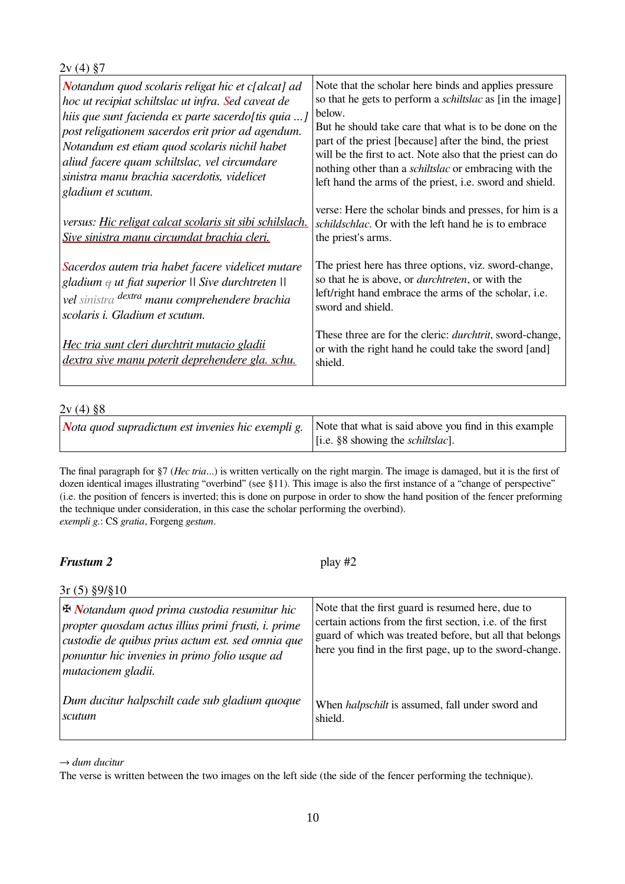$2v(4)$  §7 *Notandum quod scolaris religat hic et c[alcat] ad hoc ut recipiat schiltslac ut infra. Sed caveat de hiis que sunt facienda ex parte sacerdo[tis quia ...] post religationem sacerdos erit prior ad agendum. Notandum est etiam quod scolaris nichil habet aliud facere quam schiltslac, vel circumdare sinistra manu brachia sacerdotis, videlicet gladium et scutum. versus: Hic religat calcat scolaris sit sibi schilslach. Sive sinistra manu circumdat brachia cleri. Sacerdos autem tria habet facere videlicet mutare*  Note that the scholar here binds and applies pressure so that he gets to perform a *schiltslac* as [in the image] below. But he should take care that what is to be done on the part of the priest [because] after the bind, the priest will be the first to act. Note also that the priest can do nothing other than a *schiltslac* or embracing with the left hand the arms of the priest, i.e. sword and shield. verse: Here the scholar binds and presses, for him is a *schildschlac*. Or with the left hand he is to embrace the priest's arms. The priest here has three options, viz. sword-change, so that he is above, or *durchtreten*, or with the

*gladium q ut fiat superior || Sive durchtreten || vel sinistra dextra manu comprehendere brachia scolaris i. Gladium et scutum.* left/right hand embrace the arms of the scholar, i.e. sword and shield.

*Hec tria sunt cleri durchtrit mutacio gladii dextra sive manu poterit deprehendere gla. schu.*

#### $2v(4)$   $88$

|  | <i>Nota quod supradictum est invenies hic exempli g.</i> Note that what is said above you find in this example<br>[i.e. §8 showing the <i>schiltslac</i> ]. |
|--|-------------------------------------------------------------------------------------------------------------------------------------------------------------|
|--|-------------------------------------------------------------------------------------------------------------------------------------------------------------|

shield.

The final paragraph for §7 (*Hec tria*...) is written vertically on the right margin. The image is damaged, but it is the first of dozen identical images illustrating "overbind" (see §11). This image is also the first instance of a "change of perspective" (i.e. the position of fencers is inverted; this is done on purpose in order to show the hand position of the fencer preforming the technique under consideration, in this case the scholar performing the overbind). *exempli g.*: CS *gratia*, Forgeng *gestum*.

### $F$ *rustum 2* play  $\#2$

These three are for the cleric: *durchtrit*, sword-change, or with the right hand he could take the sword [and]

| $3r(5)$ §9/§10                                                                                                                                                                                                                                         |                                                                                                                                                                                                                                              |
|--------------------------------------------------------------------------------------------------------------------------------------------------------------------------------------------------------------------------------------------------------|----------------------------------------------------------------------------------------------------------------------------------------------------------------------------------------------------------------------------------------------|
| $\mathbf{\mathbf{\Phi}}$ Notandum quod prima custodia resumitur hic<br>propter quosdam actus illius primi frusti, i. prime<br>custodie de quibus prius actum est. sed omnia que<br>ponuntur hic invenies in primo folio usque ad<br>mutacionem gladii. | Note that the first guard is resumed here, due to<br>certain actions from the first section, <i>i.e.</i> of the first<br>guard of which was treated before, but all that belongs<br>here you find in the first page, up to the sword-change. |
| Dum ducitur halpschilt cade sub gladium quoque<br>scutum                                                                                                                                                                                               | When <i>halpschilt</i> is assumed, fall under sword and<br>shield.                                                                                                                                                                           |

→ *dum ducitur*

The verse is written between the two images on the left side (the side of the fencer performing the technique).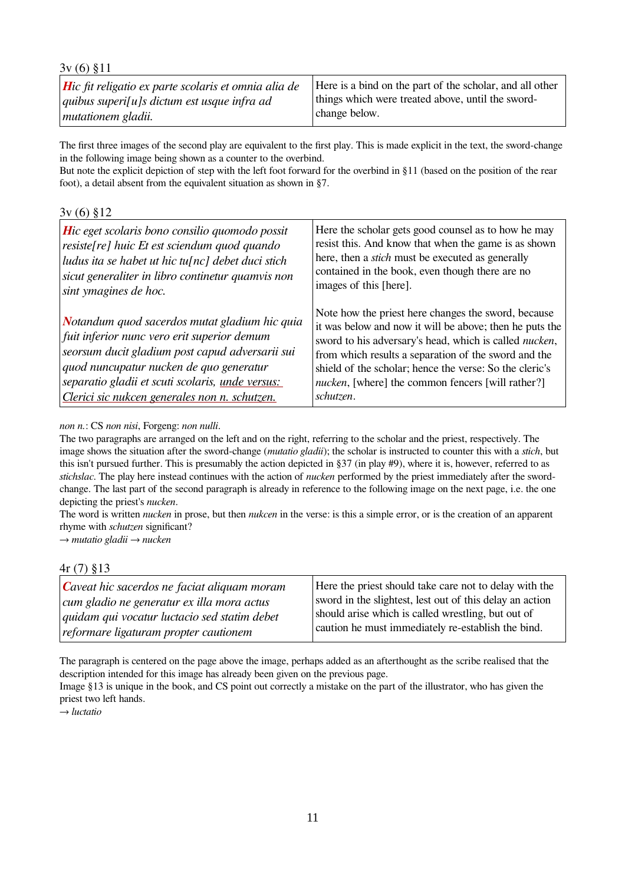| $3v(6)$ §11                                                  |                                                          |
|--------------------------------------------------------------|----------------------------------------------------------|
| <b>H</b> ic fit religatio ex parte scolaris et omnia alia de | Here is a bind on the part of the scholar, and all other |
| quibus superi[u]s dictum est usque infra ad                  | things which were treated above, until the sword-        |
| mutationem gladii.                                           | change below.                                            |

The first three images of the second play are equivalent to the first play. This is made explicit in the text, the sword-change in the following image being shown as a counter to the overbind.

But note the explicit depiction of step with the left foot forward for the overbind in §11 (based on the position of the rear foot), a detail absent from the equivalent situation as shown in §7.

3v (6) §12

| <b>H</b> ic eget scolaris bono consilio quomodo possit                                                                                                                                                                                                                                          | Here the scholar gets good counsel as to how he may                                                                                                                                                                                                                                                                                                                           |
|-------------------------------------------------------------------------------------------------------------------------------------------------------------------------------------------------------------------------------------------------------------------------------------------------|-------------------------------------------------------------------------------------------------------------------------------------------------------------------------------------------------------------------------------------------------------------------------------------------------------------------------------------------------------------------------------|
| resiste [re] huic Et est sciendum quod quando                                                                                                                                                                                                                                                   | resist this. And know that when the game is as shown                                                                                                                                                                                                                                                                                                                          |
| ludus ita se habet ut hic tu $[nc]$ debet duci stich                                                                                                                                                                                                                                            | here, then a <i>stich</i> must be executed as generally                                                                                                                                                                                                                                                                                                                       |
| sicut generaliter in libro continetur quamvis non                                                                                                                                                                                                                                               | contained in the book, even though there are no                                                                                                                                                                                                                                                                                                                               |
| sint ymagines de hoc.                                                                                                                                                                                                                                                                           | images of this [here].                                                                                                                                                                                                                                                                                                                                                        |
| Notandum quod sacerdos mutat gladium hic quia<br>fuit inferior nunc vero erit superior demum<br>seorsum ducit gladium post capud adversarii sui<br>quod nuncupatur nucken de quo generatur<br>separatio gladii et scuti scolaris, unde versus:<br>Clerici sic nukcen generales non n. schutzen. | Note how the priest here changes the sword, because<br>it was below and now it will be above; then he puts the<br>sword to his adversary's head, which is called <i>nucken</i> ,<br>from which results a separation of the sword and the<br>shield of the scholar; hence the verse: So the cleric's<br><i>nucken</i> , [where] the common fencers [will rather?]<br>schutzen. |

*non n.*: CS *non nisi*, Forgeng: *non nulli*.

The two paragraphs are arranged on the left and on the right, referring to the scholar and the priest, respectively. The image shows the situation after the sword-change (*mutatio gladii*); the scholar is instructed to counter this with a *stich*, but this isn't pursued further. This is presumably the action depicted in §37 (in play #9), where it is, however, referred to as *stichslac*. The play here instead continues with the action of *nucken* performed by the priest immediately after the swordchange. The last part of the second paragraph is already in reference to the following image on the next page, i.e. the one depicting the priest's *nucken*.

The word is written *nucken* in prose, but then *nukcen* in the verse: is this a simple error, or is the creation of an apparent rhyme with *schutzen* significant?

→ *mutatio gladii* → *nucken*

#### 4r (7) §13

| $ $ Caveat hic sacerdos ne faciat aliquam moram     | Here the priest should take care not to delay with the   |
|-----------------------------------------------------|----------------------------------------------------------|
| $\vert$ cum gladio ne generatur ex illa mora actus  | sword in the slightest, lest out of this delay an action |
| <i>quidam qui vocatur luctacio sed statim debet</i> | should arise which is called wrestling, but out of       |
| reformare ligaturam propter cautionem               | caution he must immediately re-establish the bind.       |

The paragraph is centered on the page above the image, perhaps added as an afterthought as the scribe realised that the description intended for this image has already been given on the previous page.

Image §13 is unique in the book, and CS point out correctly a mistake on the part of the illustrator, who has given the priest two left hands.

→ *luctatio*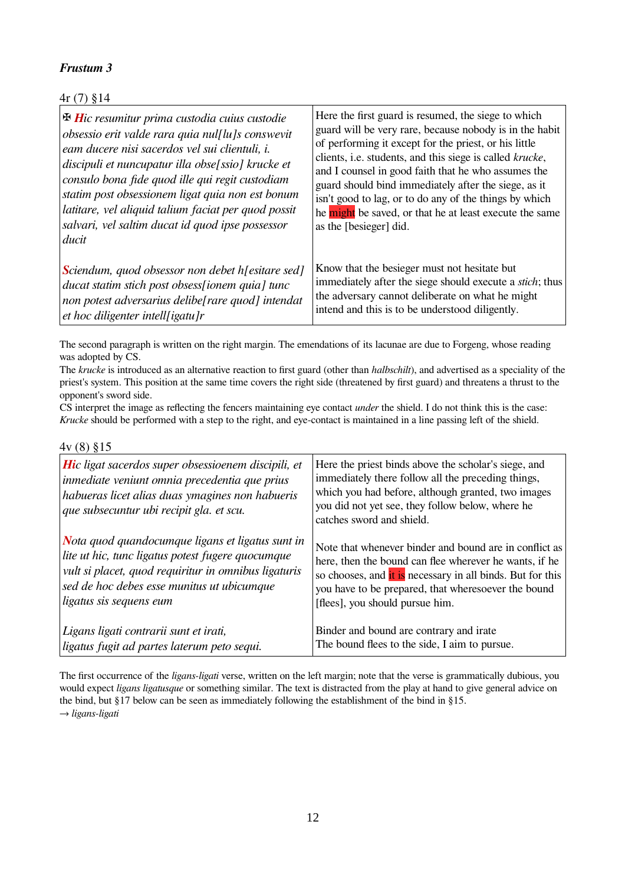### 4r (7) §14

| $\mathbf{\mathbf{\Phi}}$ Hic resumitur prima custodia cuius custodie | Here the first guard is resumed, the siege to which              |
|----------------------------------------------------------------------|------------------------------------------------------------------|
| obsessio erit valde rara quia nul[lu]s conswevit                     | guard will be very rare, because nobody is in the habit          |
| eam ducere nisi sacerdos vel sui clientuli, i.                       | of performing it except for the priest, or his little            |
| discipuli et nuncupatur illa obse[ssio] krucke et                    | clients, i.e. students, and this siege is called krucke,         |
| consulo bona fide quod ille qui regit custodiam                      | and I counsel in good faith that he who assumes the              |
| statim post obsessionem ligat quia non est bonum                     | guard should bind immediately after the siege, as it             |
| latitare, vel aliquid talium faciat per quod possit                  | isn't good to lag, or to do any of the things by which           |
| salvari, vel saltim ducat id quod ipse possessor                     | he might be saved, or that he at least execute the same          |
| ducit                                                                | as the [besieger] did.                                           |
| Sciendum, quod obsessor non debet h[esitare sed]                     | Know that the besieger must not hesitate but                     |
| ducat statim stich post obsess [ionem quia] tunc                     | immediately after the siege should execute a <i>stich</i> ; thus |
| non potest adversarius delibe[rare quod] intendat                    | the adversary cannot deliberate on what he might                 |
| $\epsilon$ et hoc diligenter intell [igatu]r                         | intend and this is to be understood diligently.                  |

The second paragraph is written on the right margin. The emendations of its lacunae are due to Forgeng, whose reading was adopted by CS.

The *krucke* is introduced as an alternative reaction to first guard (other than *halbschilt*), and advertised as a speciality of the priest's system. This position at the same time covers the right side (threatened by first guard) and threatens a thrust to the opponent's sword side.

CS interpret the image as reflecting the fencers maintaining eye contact *under* the shield. I do not think this is the case: *Krucke* should be performed with a step to the right, and eye-contact is maintained in a line passing left of the shield.

4v (8) §15

| <b>Hic ligat sacerdos super obsessioenem discipili, et</b><br>inmediate veniunt omnia precedentia que prius<br>habueras licet alias duas ymagines non habueris<br>que subsecuntur ubi recipit gla. et scu. | Here the priest binds above the scholar's siege, and<br>immediately there follow all the preceding things,<br>which you had before, although granted, two images<br>you did not yet see, they follow below, where he<br>catches sword and shield. |
|------------------------------------------------------------------------------------------------------------------------------------------------------------------------------------------------------------|---------------------------------------------------------------------------------------------------------------------------------------------------------------------------------------------------------------------------------------------------|
| Nota quod quandocumque ligans et ligatus sunt in                                                                                                                                                           | Note that whenever binder and bound are in conflict as                                                                                                                                                                                            |
| lite ut hic, tunc ligatus potest fugere quocumque                                                                                                                                                          | here, then the bound can flee wherever he wants, if he                                                                                                                                                                                            |
| vult si placet, quod requiritur in omnibus ligaturis                                                                                                                                                       | so chooses, and it is necessary in all binds. But for this                                                                                                                                                                                        |
| sed de hoc debes esse munitus ut ubicumque                                                                                                                                                                 | you have to be prepared, that wheresoever the bound                                                                                                                                                                                               |
| ligatus sis sequens eum                                                                                                                                                                                    | [flees], you should pursue him.                                                                                                                                                                                                                   |
| Ligans ligati contrarii sunt et irati,                                                                                                                                                                     | Binder and bound are contrary and irate                                                                                                                                                                                                           |
| ligatus fugit ad partes laterum peto sequi.                                                                                                                                                                | The bound flees to the side, I aim to pursue.                                                                                                                                                                                                     |

The first occurrence of the *ligans-ligati* verse, written on the left margin; note that the verse is grammatically dubious, you would expect *ligans ligatusque* or something similar. The text is distracted from the play at hand to give general advice on the bind, but §17 below can be seen as immediately following the establishment of the bind in §15. → *ligans-ligati*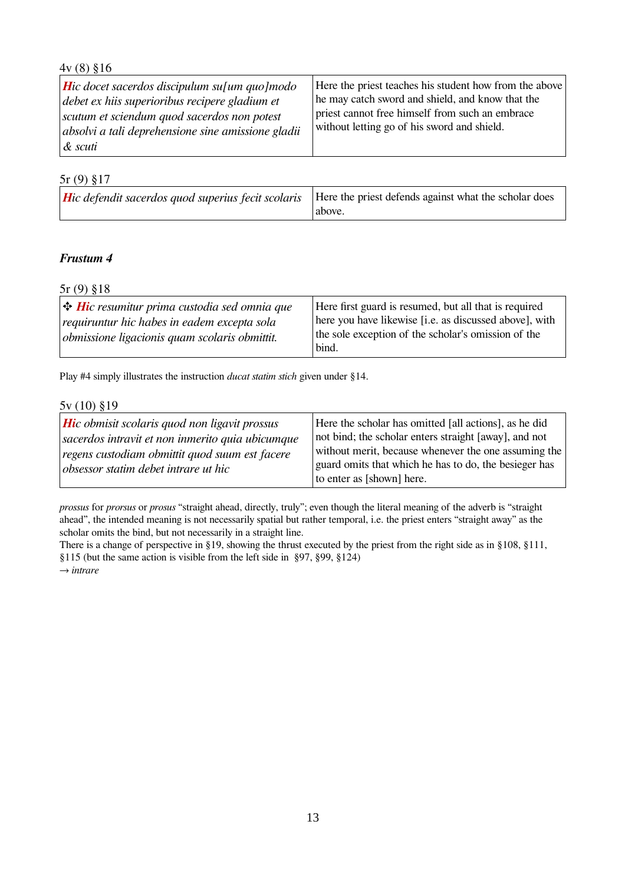#### 4v (8) §16 *Hic docet sacerdos discipulum su[um quo]modo debet ex hiis superioribus recipere gladium et scutum et sciendum quod sacerdos non potest absolvi a tali deprehensione sine amissione gladii & scuti* Here the priest teaches his student how from the above he may catch sword and shield, and know that the priest cannot free himself from such an embrace without letting go of his sword and shield.

#### 5r (9) §17

| <b>Hic defendit sacerdos quod superius fecit scolaris</b>   Here the priest defends against what the scholar does |                   |
|-------------------------------------------------------------------------------------------------------------------|-------------------|
|                                                                                                                   | $\sqrt{a}$ above. |

#### *Frustum 4*

5r (9) §18

| $\big $ <b>+ Hi</b> c resumitur prima custodia sed omnia que<br>requiruntur hic habes in eadem excepta sola<br>$\delta$ obmissione ligacionis quam scolaris obmittit. | Here first guard is resumed, but all that is required<br>here you have likewise [i.e. as discussed above], with<br>the sole exception of the scholar's omission of the |
|-----------------------------------------------------------------------------------------------------------------------------------------------------------------------|------------------------------------------------------------------------------------------------------------------------------------------------------------------------|
|                                                                                                                                                                       | bind.                                                                                                                                                                  |
|                                                                                                                                                                       |                                                                                                                                                                        |

Play #4 simply illustrates the instruction *ducat statim stich* given under §14.

#### 5v (10) §19

| <b>Hic</b> obmisit scolaris quod non ligavit prossus | Here the scholar has omitted [all actions], as he did |
|------------------------------------------------------|-------------------------------------------------------|
| sacerdos intravit et non inmerito quia ubicumque     | not bind; the scholar enters straight [away], and not |
| regens custodiam obmittit quod suum est facere       | without merit, because whenever the one assuming the  |
| obsessor statim debet intrare ut hic                 | guard omits that which he has to do, the besieger has |
|                                                      | to enter as [shown] here.                             |

*prossus* for *prorsus* or *prosus* "straight ahead, directly, truly"; even though the literal meaning of the adverb is "straight ahead", the intended meaning is not necessarily spatial but rather temporal, i.e. the priest enters "straight away" as the scholar omits the bind, but not necessarily in a straight line.

There is a change of perspective in §19, showing the thrust executed by the priest from the right side as in §108, §111, §115 (but the same action is visible from the left side in §97, §99, §124) → *intrare*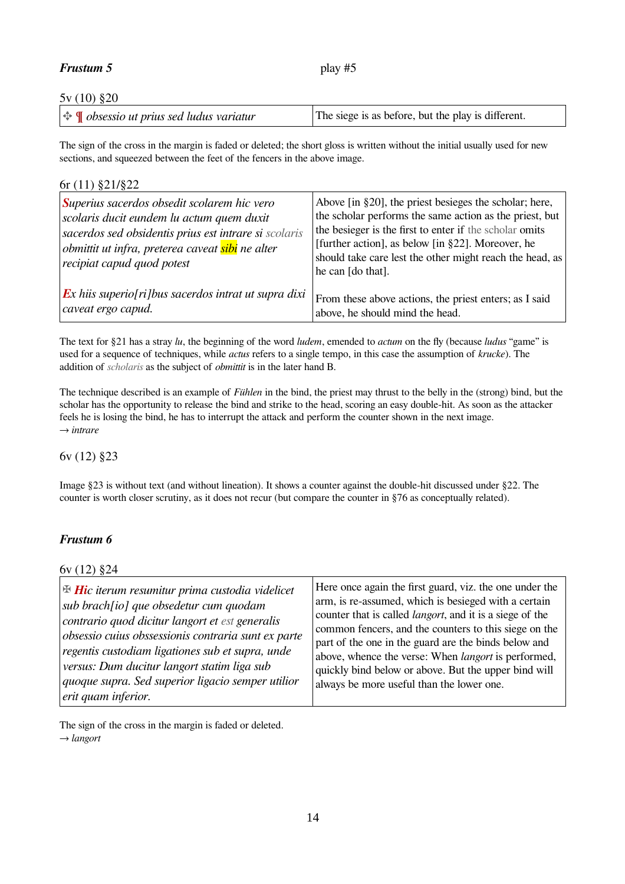#### *Frustum 5* play #5

#### 5v (10) §20

The sign of the cross in the margin is faded or deleted; the short gloss is written without the initial usually used for new sections, and squeezed between the feet of the fencers in the above image.

#### 6r (11) §21/§22

| Superius sacerdos obsedit scolarem hic vero<br>scolaris ducit eundem lu actum quem duxit<br>sacerdos sed obsidentis prius est intrare si scolaris<br>obmittit ut infra, preterea caveat sibi ne alter<br>recipiat capud quod potest | Above [in §20], the priest besieges the scholar; here,<br>the scholar performs the same action as the priest, but<br>the besieger is the first to enter if the scholar omits<br>[further action], as below [in §22]. Moreover, he<br>should take care lest the other might reach the head, as<br>he can [do that]. |
|-------------------------------------------------------------------------------------------------------------------------------------------------------------------------------------------------------------------------------------|--------------------------------------------------------------------------------------------------------------------------------------------------------------------------------------------------------------------------------------------------------------------------------------------------------------------|
| $\boldsymbol{E}$ x hiis superio[ri]bus sacerdos intrat ut supra dixi                                                                                                                                                                | From these above actions, the priest enters; as I said                                                                                                                                                                                                                                                             |
| caveat ergo capud.                                                                                                                                                                                                                  | above, he should mind the head.                                                                                                                                                                                                                                                                                    |

The text for §21 has a stray *lu*, the beginning of the word *ludem*, emended to *actum* on the fly (because *ludus* "game" is used for a sequence of techniques, while *actus* refers to a single tempo, in this case the assumption of *krucke*). The addition of *scholaris* as the subject of *obmittit* is in the later hand B.

The technique described is an example of *Fühlen* in the bind, the priest may thrust to the belly in the (strong) bind, but the scholar has the opportunity to release the bind and strike to the head, scoring an easy double-hit. As soon as the attacker feels he is losing the bind, he has to interrupt the attack and perform the counter shown in the next image. → *intrare*

6v (12) §23

Image §23 is without text (and without lineation). It shows a counter against the double-hit discussed under §22. The counter is worth closer scrutiny, as it does not recur (but compare the counter in §76 as conceptually related).

#### *Frustum 6*

6v (12) §24

| $\mathbb B$ Hic iterum resumitur prima custodia videlicet | Here once again the first guard, viz. the one under the          |
|-----------------------------------------------------------|------------------------------------------------------------------|
| sub brach[io] que obsedetur cum quodam                    | arm, is re-assumed, which is besieged with a certain             |
| contrario quod dicitur langort et est generalis           | counter that is called <i>langort</i> , and it is a siege of the |
| obsessio cuius obssessionis contraria sunt ex parte       | common fencers, and the counters to this siege on the            |
| regentis custodiam ligationes sub et supra, unde          | part of the one in the guard are the binds below and             |
| versus: Dum ducitur langort statim liga sub               | above, whence the verse: When <i>langort</i> is performed,       |
| quoque supra. Sed superior ligacio semper utilior         | quickly bind below or above. But the upper bind will             |
| erit quam inferior.                                       | always be more useful than the lower one.                        |

The sign of the cross in the margin is faded or deleted. → *langort*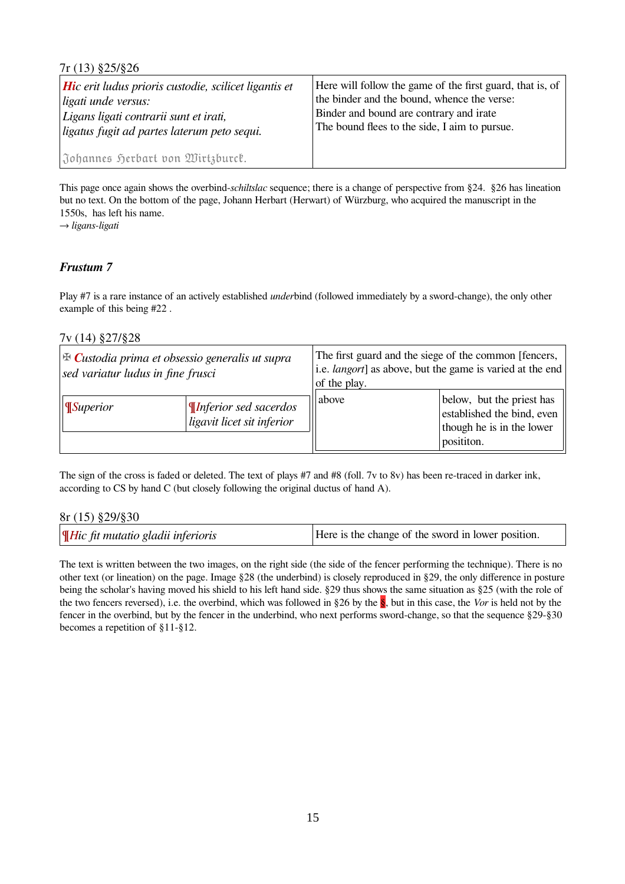| $7r(13)$ \$25/\$26                                                                                                                                                                 |                                                                                                                                                                                                      |
|------------------------------------------------------------------------------------------------------------------------------------------------------------------------------------|------------------------------------------------------------------------------------------------------------------------------------------------------------------------------------------------------|
| <b>Hic</b> erit ludus prioris custodie, scilicet ligantis et<br>$\mu$ ligati unde versus:<br>Ligans ligati contrarii sunt et irati,<br>ligatus fugit ad partes laterum peto sequi. | Here will follow the game of the first guard, that is, of<br>the binder and the bound, whence the verse:<br>Binder and bound are contrary and irate<br>The bound flees to the side, I aim to pursue. |
| Johannes Herbart von Wirtzburck.                                                                                                                                                   |                                                                                                                                                                                                      |

This page once again shows the overbind-*schiltslac* sequence; there is a change of perspective from §24. §26 has lineation but no text. On the bottom of the page, Johann Herbart (Herwart) of Würzburg, who acquired the manuscript in the 1550s, has left his name.

→ *ligans-ligati*

#### *Frustum 7*

Play #7 is a rare instance of an actively established *under*bind (followed immediately by a sword-change), the only other example of this being #22 .

#### 7v (14) §27/§28

| $\mathbb{E}$ Custodia prima et obsessio generalis ut supra<br>sed variatur ludus in fine frusci |                                                            | of the play. | The first guard and the siege of the common [fencers,<br>i.e. <i>langort</i> ] as above, but the game is varied at the end |
|-------------------------------------------------------------------------------------------------|------------------------------------------------------------|--------------|----------------------------------------------------------------------------------------------------------------------------|
| $\vert$ Superior                                                                                | <i>Inferior sed sacerdos</i><br>ligavit licet sit inferior | above        | below, but the priest has<br>established the bind, even<br>though he is in the lower<br>posititon.                         |

The sign of the cross is faded or deleted. The text of plays #7 and #8 (foll. 7v to 8v) has been re-traced in darker ink, according to CS by hand C (but closely following the original ductus of hand A).

#### 8r (15) §29/§30

The text is written between the two images, on the right side (the side of the fencer performing the technique). There is no other text (or lineation) on the page. Image §28 (the underbind) is closely reproduced in §29, the only difference in posture being the scholar's having moved his shield to his left hand side. §29 thus shows the same situation as §25 (with the role of the two fencers reversed), i.e. the overbind, which was followed in §26 by the §, but in this case, the *Vor* is held not by the fencer in the overbind, but by the fencer in the underbind, who next performs sword-change, so that the sequence §29-§30 becomes a repetition of §11-§12.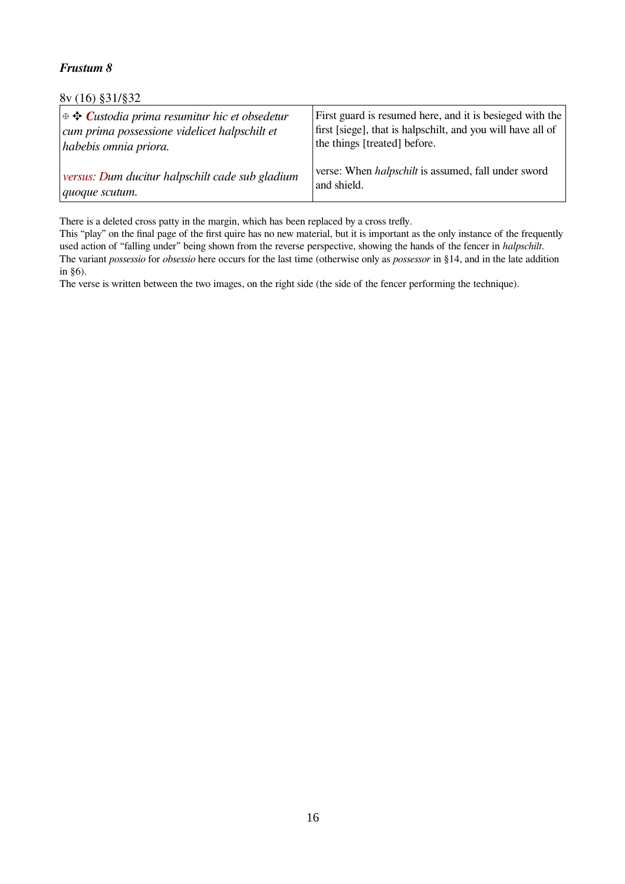8v (16) §31/§32

| $\frac{1}{2}$ $\oplus$ Custodia prima resumitur hic et obsedetur | First guard is resumed here, and it is besieged with the    |
|------------------------------------------------------------------|-------------------------------------------------------------|
| cum prima possessione videlicet halpschilt et                    | first [siege], that is halpschilt, and you will have all of |
| habebis omnia priora.                                            | the things [treated] before.                                |
| versus: Dum ducitur halpschilt cade sub gladium                  | verse: When <i>halpschilt</i> is assumed, fall under sword  |
| $ quoque$ scutum.                                                | and shield.                                                 |

There is a deleted cross patty in the margin, which has been replaced by a cross trefly.

This "play" on the final page of the first quire has no new material, but it is important as the only instance of the frequently used action of "falling under" being shown from the reverse perspective, showing the hands of the fencer in *halpschilt*. The variant *possessio* for *obsessio* here occurs for the last time (otherwise only as *possessor* in §14, and in the late addition in §6).

The verse is written between the two images, on the right side (the side of the fencer performing the technique).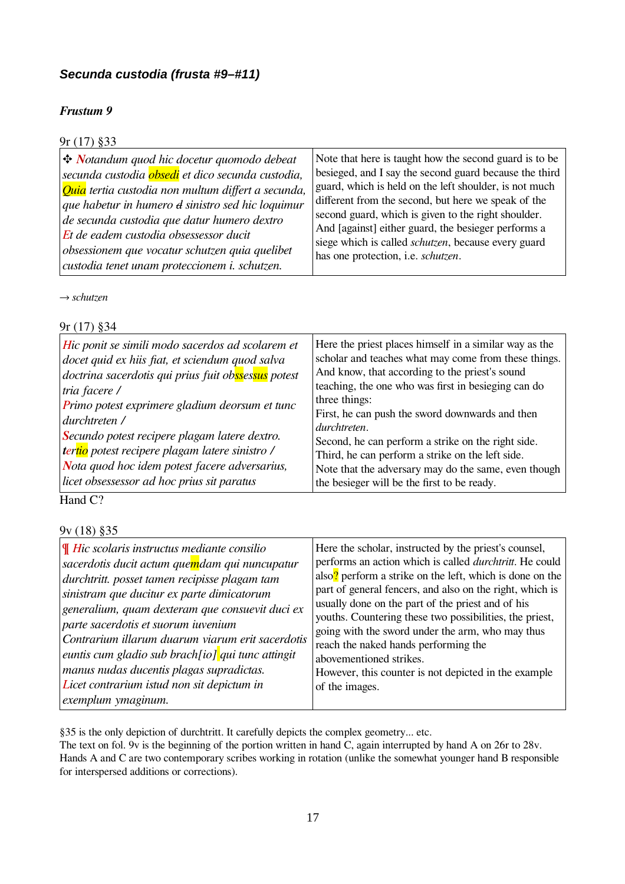### <span id="page-16-0"></span>*Secunda custodia (frusta #9–#11)*

### *Frustum 9*

### 9r (17) §33

→ *schutzen*

#### 9r (17) §34

Hand C?

9v (18) §35

| $\parallel$ Hic scolaris instructus mediante consilio                                                 | Here the scholar, instructed by the priest's counsel,                                                               |
|-------------------------------------------------------------------------------------------------------|---------------------------------------------------------------------------------------------------------------------|
| sacerdotis ducit actum quemdam qui nuncupatur                                                         | performs an action which is called <i>durchtritt</i> . He could                                                     |
| durchtritt. posset tamen recipisse plagam tam                                                         | also? perform a strike on the left, which is done on the                                                            |
| sinistram que ducitur ex parte dimicatorum                                                            | part of general fencers, and also on the right, which is                                                            |
| generalium, quam dexteram que consuevit duci ex                                                       | usually done on the part of the priest and of his                                                                   |
| parte sacerdotis et suorum iuvenium                                                                   | youths. Countering these two possibilities, the priest,                                                             |
| Contrarium illarum duarum viarum erit sacerdotis<br>euntis cum gladio sub brach[io] qui tunc attingit | going with the sword under the arm, who may thus<br>reach the naked hands performing the<br>abovementioned strikes. |
| manus nudas ducentis plagas supradictas.                                                              | However, this counter is not depicted in the example                                                                |
| Licet contrarium istud non sit depictum in                                                            | of the images.                                                                                                      |
| exemplum ymaginum.                                                                                    |                                                                                                                     |

§35 is the only depiction of durchtritt. It carefully depicts the complex geometry... etc.

The text on fol. 9v is the beginning of the portion written in hand C, again interrupted by hand A on 26r to 28v. Hands A and C are two contemporary scribes working in rotation (unlike the somewhat younger hand B responsible for interspersed additions or corrections).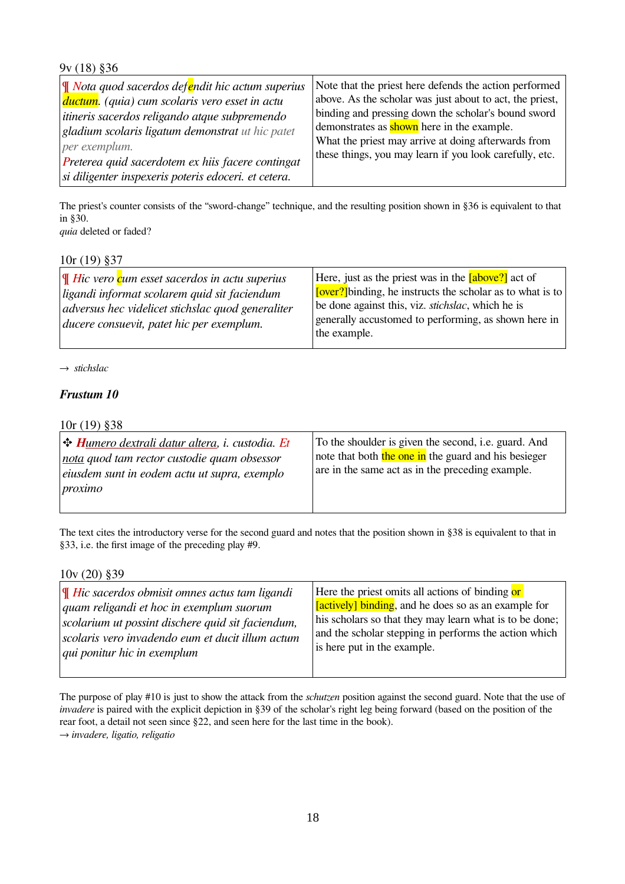#### 9v (18) §36

| ¶ Nota quod sacerdos defendit hic actum superius      | Note that the priest here defends the action performed   |
|-------------------------------------------------------|----------------------------------------------------------|
| <i>ductum. (quia) cum scolaris vero esset in actu</i> | above. As the scholar was just about to act, the priest, |
| itineris sacerdos religando atque subpremendo         | binding and pressing down the scholar's bound sword      |
| gladium scolaris ligatum demonstrat ut hic patet      | demonstrates as <b>shown</b> here in the example.        |
| per exemplum.                                         | What the priest may arrive at doing afterwards from      |
| Preterea quid sacerdotem ex hiis facere contingat     | these things, you may learn if you look carefully, etc.  |
| si diligenter inspexeris poteris edoceri. et cetera.  |                                                          |

The priest's counter consists of the "sword-change" technique, and the resulting position shown in §36 is equivalent to that in §30. *quia* deleted or faded?

| Here, just as the priest was in the <b>[above?]</b> act of<br><b>Tover?</b> Joinding, he instructs the scholar as to what is to<br>be done against this, viz. <i>stichslac</i> , which he is<br>generally accustomed to performing, as shown here in |
|------------------------------------------------------------------------------------------------------------------------------------------------------------------------------------------------------------------------------------------------------|
| the example.                                                                                                                                                                                                                                         |
|                                                                                                                                                                                                                                                      |

→ *stichslac*

#### *Frustum 10*

10r (19) §38

| $ \bigstar H_{\text{UMero}}$ dextrali datur altera, i. custodia. Et | To the shoulder is given the second, i.e. guard. And |
|---------------------------------------------------------------------|------------------------------------------------------|
| nota quod tam rector custodie quam obsessor                         | note that both the one in the guard and his besieger |
| $\epsilon$ eiusdem sunt in eodem actu ut supra, exemplo             | are in the same act as in the preceding example.     |
| proximo                                                             |                                                      |

The text cites the introductory verse for the second guard and notes that the position shown in §38 is equivalent to that in §33, i.e. the first image of the preceding play #9.

10v (20) §39

| $\mathbf{F}$ Hic sacerdos obmisit omnes actus tam ligandi<br>quam religandi et hoc in exemplum suorum<br>scolarium ut possint dischere quid sit faciendum,<br>scolaris vero invadendo eum et ducit illum actum<br><i>qui ponitur hic in exemplum</i> | Here the priest omits all actions of binding or<br>[actively] binding, and he does so as an example for<br>his scholars so that they may learn what is to be done;<br>and the scholar stepping in performs the action which<br>is here put in the example. |
|------------------------------------------------------------------------------------------------------------------------------------------------------------------------------------------------------------------------------------------------------|------------------------------------------------------------------------------------------------------------------------------------------------------------------------------------------------------------------------------------------------------------|
|                                                                                                                                                                                                                                                      |                                                                                                                                                                                                                                                            |

The purpose of play #10 is just to show the attack from the *schutzen* position against the second guard. Note that the use of *invadere* is paired with the explicit depiction in §39 of the scholar's right leg being forward (based on the position of the rear foot, a detail not seen since §22, and seen here for the last time in the book). → *invadere, ligatio, religatio*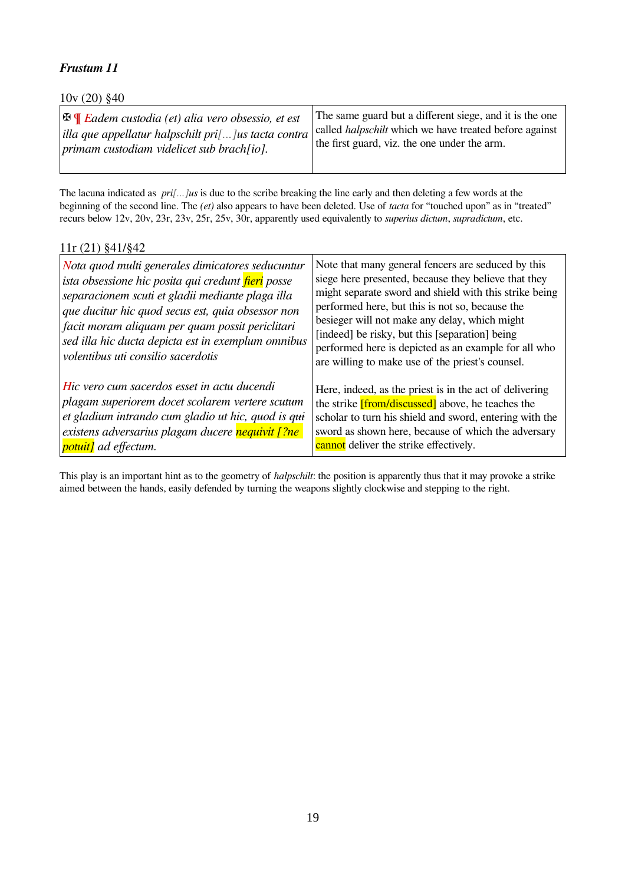10v (20) §40

| $ \mathbf{\mathbb{F}} \mathbf{\P}$ Eadem custodia (et) alia vero obsessio, et est | The same guard but a different siege, and it is the one       |
|-----------------------------------------------------------------------------------|---------------------------------------------------------------|
| $\vert$ illa que appellatur halpschilt pri $\vert \ldots \vert$ us tacta contra   | called <i>halpschilt</i> which we have treated before against |
| $ $ primam custodiam videlicet sub brach[io].                                     | the first guard, viz. the one under the arm.                  |

The lacuna indicated as *pri[...]us* is due to the scribe breaking the line early and then deleting a few words at the beginning of the second line. The *(et)* also appears to have been deleted. Use of *tacta* for "touched upon" as in "treated" recurs below 12v, 20v, 23r, 23v, 25r, 25v, 30r, apparently used equivalently to *superius dictum*, *supradictum*, etc.

#### 11r (21) §41/§42

| Nota quod multi generales dimicatores seducuntur<br>ista obsessione hic posita qui credunt fieri posse<br>separacionem scuti et gladii mediante plaga illa<br>que ducitur hic quod secus est, quia obsessor non<br>facit moram aliquam per quam possit periclitari<br>sed illa hic ducta depicta est in exemplum omnibus<br>volentibus uti consilio sacerdotis | Note that many general fencers are seduced by this<br>siege here presented, because they believe that they<br>might separate sword and shield with this strike being<br>performed here, but this is not so, because the<br>besieger will not make any delay, which might<br>[indeed] be risky, but this [separation] being<br>performed here is depicted as an example for all who<br>are willing to make use of the priest's counsel. |
|----------------------------------------------------------------------------------------------------------------------------------------------------------------------------------------------------------------------------------------------------------------------------------------------------------------------------------------------------------------|----------------------------------------------------------------------------------------------------------------------------------------------------------------------------------------------------------------------------------------------------------------------------------------------------------------------------------------------------------------------------------------------------------------------------------------|
| Hic vero cum sacerdos esset in actu ducendi                                                                                                                                                                                                                                                                                                                    | Here, indeed, as the priest is in the act of delivering                                                                                                                                                                                                                                                                                                                                                                                |
| plagam superiorem docet scolarem vertere scutum                                                                                                                                                                                                                                                                                                                | the strike <i>[from/discussed]</i> above, he teaches the                                                                                                                                                                                                                                                                                                                                                                               |
| et gladium intrando cum gladio ut hic, quod is qui                                                                                                                                                                                                                                                                                                             | scholar to turn his shield and sword, entering with the                                                                                                                                                                                                                                                                                                                                                                                |
| existens adversarius plagam ducere nequivit [?ne]                                                                                                                                                                                                                                                                                                              | sword as shown here, because of which the adversary                                                                                                                                                                                                                                                                                                                                                                                    |
| <i>potuit]</i> ad effectum.                                                                                                                                                                                                                                                                                                                                    | cannot deliver the strike effectively.                                                                                                                                                                                                                                                                                                                                                                                                 |

This play is an important hint as to the geometry of *halpschilt*: the position is apparently thus that it may provoke a strike aimed between the hands, easily defended by turning the weapons slightly clockwise and stepping to the right.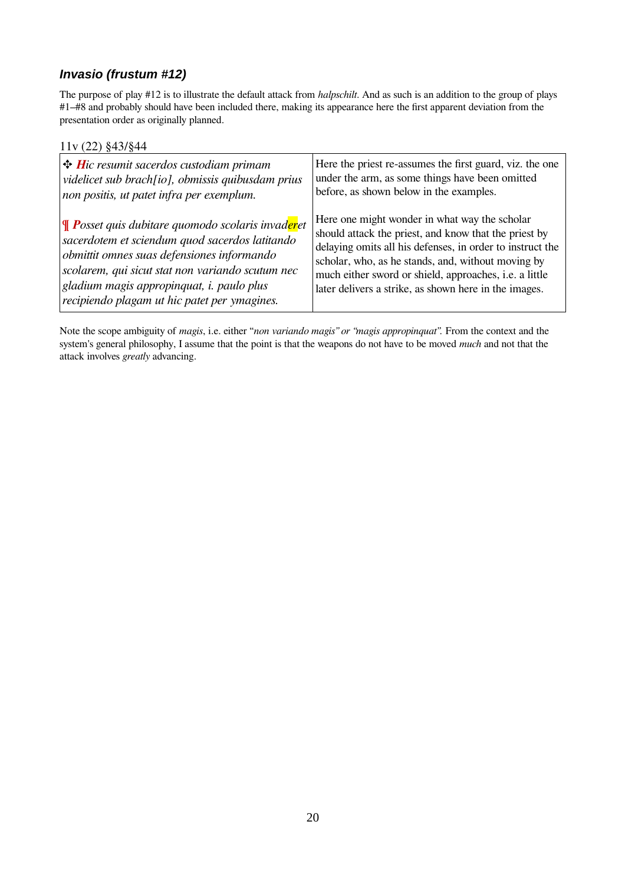### <span id="page-19-0"></span>*Invasio (frustum #12)*

The purpose of play #12 is to illustrate the default attack from *halpschilt*. And as such is an addition to the group of plays #1–#8 and probably should have been included there, making its appearance here the first apparent deviation from the presentation order as originally planned.

#### 11v (22) §43/§44

| $\big $ $\bigoplus$ <i>Hic resumit sacerdos custodiam primam</i>         | Here the priest re-assumes the first guard, viz. the one  |
|--------------------------------------------------------------------------|-----------------------------------------------------------|
| videlicet sub brach[io], obmissis quibusdam prius                        | under the arm, as some things have been omitted           |
| non positis, ut patet infra per exemplum.                                | before, as shown below in the examples.                   |
| ¶ <b>P</b> osset quis dubitare quomodo scolaris invad <mark>er</mark> et | Here one might wonder in what way the scholar             |
| sacerdotem et sciendum quod sacerdos latitando                           | should attack the priest, and know that the priest by     |
| obmittit omnes suas defensiones informando                               | delaying omits all his defenses, in order to instruct the |
| scolarem, qui sicut stat non variando scutum nec                         | scholar, who, as he stands, and, without moving by        |
| $ $ gladium magis appropinquat, i. paulo plus                            | much either sword or shield, approaches, i.e. a little    |
| recipiendo plagam ut hic patet per ymagines.                             | later delivers a strike, as shown here in the images.     |

Note the scope ambiguity of *magis*, i.e. either "*non variando magis" or "magis appropinquat".* From the context and the system's general philosophy, I assume that the point is that the weapons do not have to be moved *much* and not that the attack involves *greatly* advancing.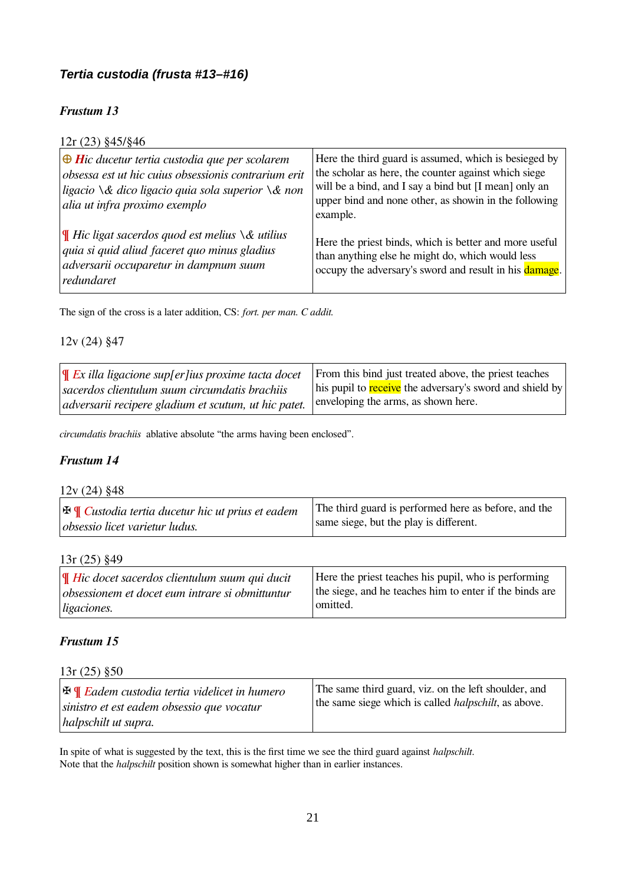### <span id="page-20-0"></span>*Tertia custodia (frusta #13–#16)*

### *Frustum 13*

| $12r(23)$ §45/§46                                                                                                                                                                                                              |                                                                                                                                                                                                                                             |
|--------------------------------------------------------------------------------------------------------------------------------------------------------------------------------------------------------------------------------|---------------------------------------------------------------------------------------------------------------------------------------------------------------------------------------------------------------------------------------------|
| $\bigoplus$ Hic ducetur tertia custodia que per scolarem<br>obsessa est ut hic cuius obsessionis contrarium erit<br>ligacio $\setminus \&$ dico ligacio quia sola superior $\setminus \&$ non<br>alia ut infra proximo exemplo | Here the third guard is assumed, which is besieged by<br>the scholar as here, the counter against which siege<br>will be a bind, and I say a bind but [I mean] only an<br>upper bind and none other, as showin in the following<br>example. |
| Hic ligat sacerdos quod est melius $\&$ utilius<br>quia si quid aliud faceret quo minus gladius<br>adversarii occuparetur in dampnum suum<br>redundaret                                                                        | Here the priest binds, which is better and more useful<br>than anything else he might do, which would less<br>occupy the adversary's sword and result in his damage.                                                                        |

The sign of the cross is a later addition, CS: *fort. per man. C addit.*

#### 12v (24) §47

| $\ \Psi\ $ Ex illa ligacione supfer lius proxime tacta docet | From this bind just treated above, the priest teaches    |
|--------------------------------------------------------------|----------------------------------------------------------|
| sacerdos clientulum suum circumdatis brachiis                | his pupil to receive the adversary's sword and shield by |
| <i>ddversarii recipere gladium et scutum, ut hic patet.</i>  | enveloping the arms, as shown here.                      |

*circumdatis brachiis* ablative absolute "the arms having been enclosed".

#### *Frustum 14*

#### 12v (24) §48

| $\mathbb{E} \mathbb{E}$ Custodia tertia ducetur hic ut prius et eadem | The third guard is performed here as before, and the |
|-----------------------------------------------------------------------|------------------------------------------------------|
| obsessio licet varietur ludus.                                        | same siege, but the play is different.               |

#### 13r (25) §49

| $\mathbf{F}$ Hic docet sacerdos clientulum suum qui ducit | Here the priest teaches his pupil, who is performing    |
|-----------------------------------------------------------|---------------------------------------------------------|
| obsessionem et docet eum intrare si obmittuntur           | the siege, and he teaches him to enter if the binds are |
| <i>ligaciones.</i>                                        | omitted.                                                |

### *Frustum 15*

#### 13r (25) §50

| $ \mathbf{F} $ Eadem custodia tertia videlicet in humero | The same third guard, viz. on the left shoulder, and         |
|----------------------------------------------------------|--------------------------------------------------------------|
| sinistro et est eadem obsessio que vocatur               | the same siege which is called <i>halpschilt</i> , as above. |
| halpschilt ut supra.                                     |                                                              |

In spite of what is suggested by the text, this is the first time we see the third guard against *halpschilt*. Note that the *halpschilt* position shown is somewhat higher than in earlier instances.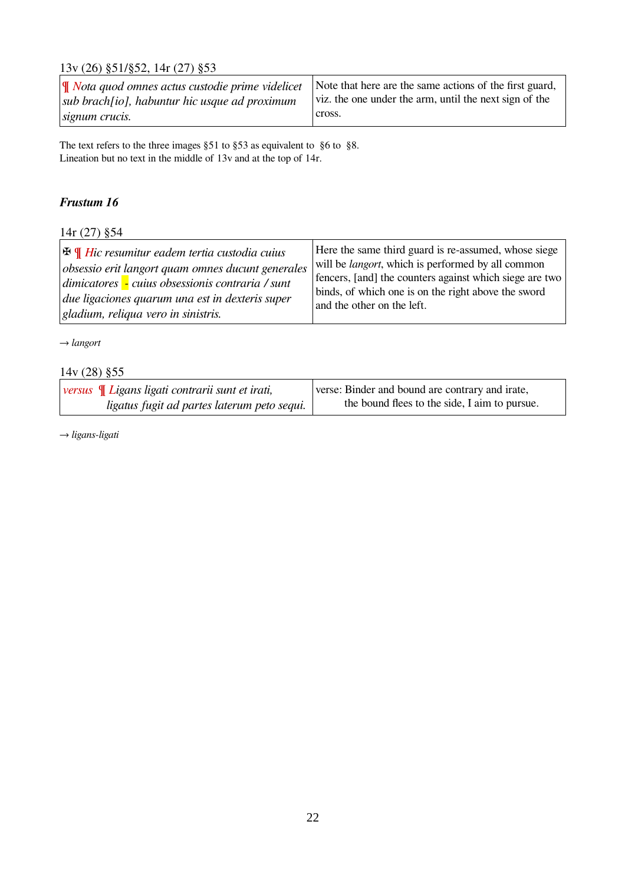### 13v (26) §51/§52, 14r (27) §53

| $\ \Psi\ $ Nota quod omnes actus custodie prime videlicet Note that here are the same actions of the first guard, |                                                        |
|-------------------------------------------------------------------------------------------------------------------|--------------------------------------------------------|
| $ sub\;brach[io],\;habuntur\;hic\;usque\;ad\;proximum$                                                            | viz. the one under the arm, until the next sign of the |
| signum crucis.                                                                                                    | cross.                                                 |

The text refers to the three images §51 to §53 as equivalent to §6 to §8. Lineation but no text in the middle of 13v and at the top of 14r.

### *Frustum 16*

### 14r (27) §54

| $ \mathbf{\mathbf{\Phi}}\mathbf{\Psi}  $ Hic resumitur eadem tertia custodia cuius | Here the same third guard is re-assumed, whose siege      |
|------------------------------------------------------------------------------------|-----------------------------------------------------------|
| obsessio erit langort quam omnes ducunt generales                                  | will be <i>langort</i> , which is performed by all common |
| dimicatores - cuius obsessionis contraria / sunt                                   | fencers, [and] the counters against which siege are two   |
| due ligaciones quarum una est in dexteris super                                    | binds, of which one is on the right above the sword       |
| $\left $ gladium, reliqua vero in sinistris.                                       | and the other on the left.                                |

→ *langort*

#### 14v (28) §55

| <i>versus</i> $\mathbb{I}$ Ligans ligati contrarii sunt et irati, | verse: Binder and bound are contrary and irate, |
|-------------------------------------------------------------------|-------------------------------------------------|
| ligatus fugit ad partes laterum peto sequi.                       | the bound flees to the side, I aim to pursue.   |

→ *ligans-ligati*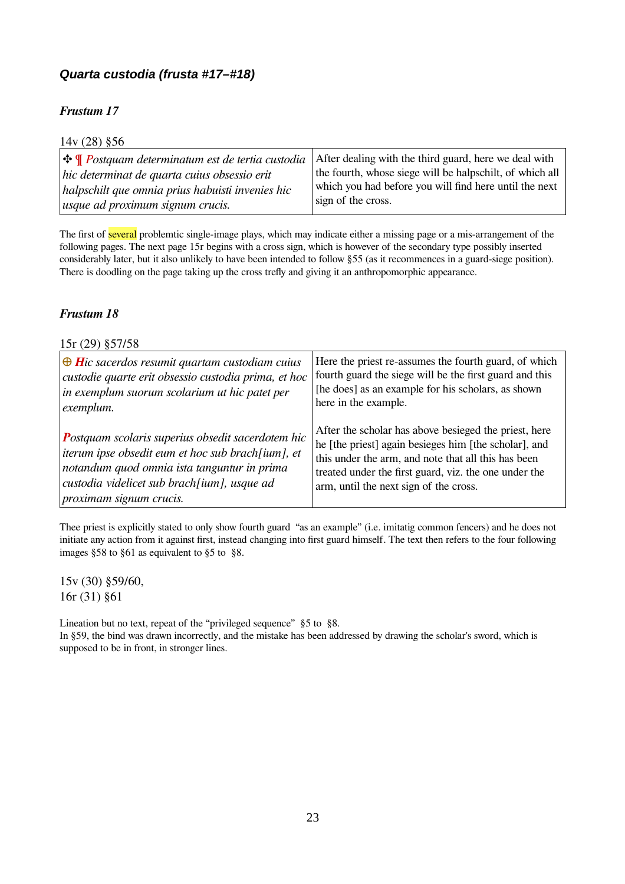### <span id="page-22-0"></span>*Quarta custodia (frusta #17–#18)*

### *Frustum 17*

| $14v(28)$ §56                                                      |                                                          |
|--------------------------------------------------------------------|----------------------------------------------------------|
| $ \bigoplus$ <b>T</b> Postquam determinatum est de tertia custodia | After dealing with the third guard, here we deal with    |
| hic determinat de quarta cuius obsessio erit                       | the fourth, whose siege will be halpschilt, of which all |
| halpschilt que omnia prius habuisti invenies hic                   | which you had before you will find here until the next   |
| usque ad proximum signum crucis.                                   | sign of the cross.                                       |

The first of several problemtic single-image plays, which may indicate either a missing page or a mis-arrangement of the following pages. The next page 15r begins with a cross sign, which is however of the secondary type possibly inserted considerably later, but it also unlikely to have been intended to follow §55 (as it recommences in a guard-siege position). There is doodling on the page taking up the cross trefly and giving it an anthropomorphic appearance.

#### *Frustum 18*

#### 15r (29) §57/58

| $\bigoplus$ Hic sacerdos resumit quartam custodiam cuius | Here the priest re-assumes the fourth guard, of which   |
|----------------------------------------------------------|---------------------------------------------------------|
| custodie quarte erit obsessio custodia prima, et hoc     | fourth guard the siege will be the first guard and this |
| in exemplum suorum scolarium ut hic patet per            | [he does] as an example for his scholars, as shown      |
| exemplum.                                                | here in the example.                                    |
| <b>Postquam scolaris superius obsedit sacerdotem hic</b> | After the scholar has above besieged the priest, here   |
| iterum ipse obsedit eum et hoc sub brach[ium], et        | he [the priest] again besieges him [the scholar], and   |
| notandum quod omnia ista tanguntur in prima              | this under the arm, and note that all this has been     |
| custodia videlicet sub brach[ium], usque ad              | treated under the first guard, viz. the one under the   |
| <i>proximam signum crucis.</i>                           | arm, until the next sign of the cross.                  |

Thee priest is explicitly stated to only show fourth guard "as an example" (i.e. imitatig common fencers) and he does not initiate any action from it against first, instead changing into first guard himself. The text then refers to the four following images §58 to §61 as equivalent to §5 to §8.

15v (30) §59/60, 16r (31) §61

Lineation but no text, repeat of the "privileged sequence" §5 to §8. In §59, the bind was drawn incorrectly, and the mistake has been addressed by drawing the scholar's sword, which is supposed to be in front, in stronger lines.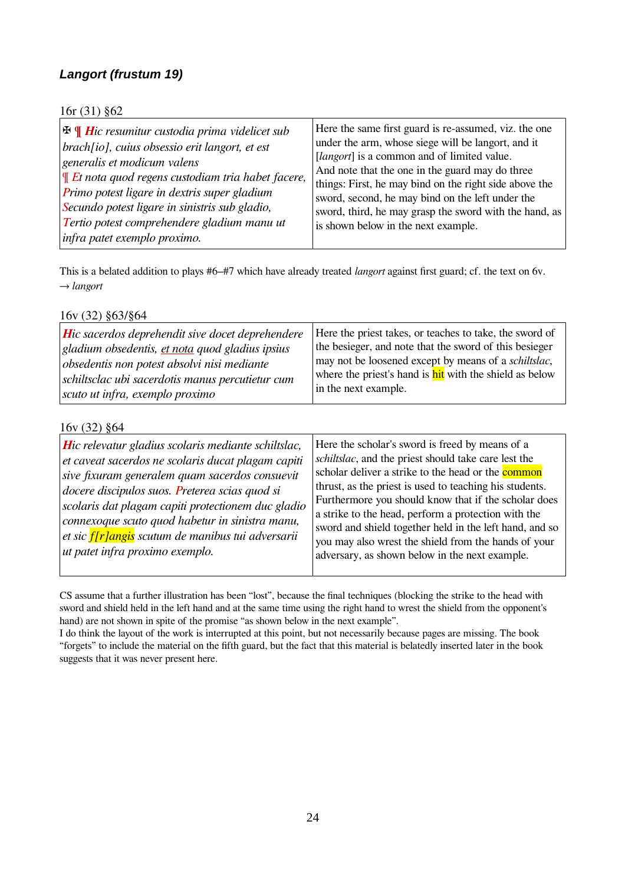### <span id="page-23-0"></span>*Langort (frustum 19)*

| $\big  \mathbf{F} \mathbf{\Psi} \big $ Hic resumitur custodia prima videlicet sub | Here the same first guard is re-assumed, viz. the one  |
|-----------------------------------------------------------------------------------|--------------------------------------------------------|
| brach[io], cuius obsessio erit langort, et est                                    | under the arm, whose siege will be langort, and it     |
| generalis et modicum valens                                                       | [ <i>langort</i> ] is a common and of limited value.   |
| $\mathcal{F}$ Et nota quod regens custodiam tria habet facere,                    | And note that the one in the guard may do three        |
| Primo potest ligare in dextris super gladium                                      | things: First, he may bind on the right side above the |
| Secundo potest ligare in sinistris sub gladio,                                    | sword, second, he may bind on the left under the       |
| Tertio potest comprehendere gladium manu ut                                       | sword, third, he may grasp the sword with the hand, as |
| infra patet exemplo proximo.                                                      | is shown below in the next example.                    |

This is a belated addition to plays #6–#7 which have already treated *langort* against first guard; cf. the text on 6v. → *langort*

#### 16v (32) §63/§64

#### 16v (32) §64

| Hic relevatur gladius scolaris mediante schiltslac,<br>et caveat sacerdos ne scolaris ducat plagam capiti<br>sive fixuram generalem quam sacerdos consuevit<br>docere discipulos suos. Preterea scias quod si<br>scolaris dat plagam capiti protectionem duc gladio<br>connexoque scuto quod habetur in sinistra manu,<br>et sic <i>f</i> [r]angis scutum de manibus tui adversarii<br>ut patet infra proximo exemplo. | Here the scholar's sword is freed by means of a<br>schiltslac, and the priest should take care lest the<br>scholar deliver a strike to the head or the <b>common</b><br>thrust, as the priest is used to teaching his students.<br>Furthermore you should know that if the scholar does<br>a strike to the head, perform a protection with the<br>sword and shield together held in the left hand, and so<br>you may also wrest the shield from the hands of your<br>adversary, as shown below in the next example. |
|------------------------------------------------------------------------------------------------------------------------------------------------------------------------------------------------------------------------------------------------------------------------------------------------------------------------------------------------------------------------------------------------------------------------|---------------------------------------------------------------------------------------------------------------------------------------------------------------------------------------------------------------------------------------------------------------------------------------------------------------------------------------------------------------------------------------------------------------------------------------------------------------------------------------------------------------------|
|------------------------------------------------------------------------------------------------------------------------------------------------------------------------------------------------------------------------------------------------------------------------------------------------------------------------------------------------------------------------------------------------------------------------|---------------------------------------------------------------------------------------------------------------------------------------------------------------------------------------------------------------------------------------------------------------------------------------------------------------------------------------------------------------------------------------------------------------------------------------------------------------------------------------------------------------------|

CS assume that a further illustration has been "lost", because the final techniques (blocking the strike to the head with sword and shield held in the left hand and at the same time using the right hand to wrest the shield from the opponent's hand) are not shown in spite of the promise "as shown below in the next example".

I do think the layout of the work is interrupted at this point, but not necessarily because pages are missing. The book "forgets" to include the material on the fifth guard, but the fact that this material is belatedly inserted later in the book suggests that it was never present here.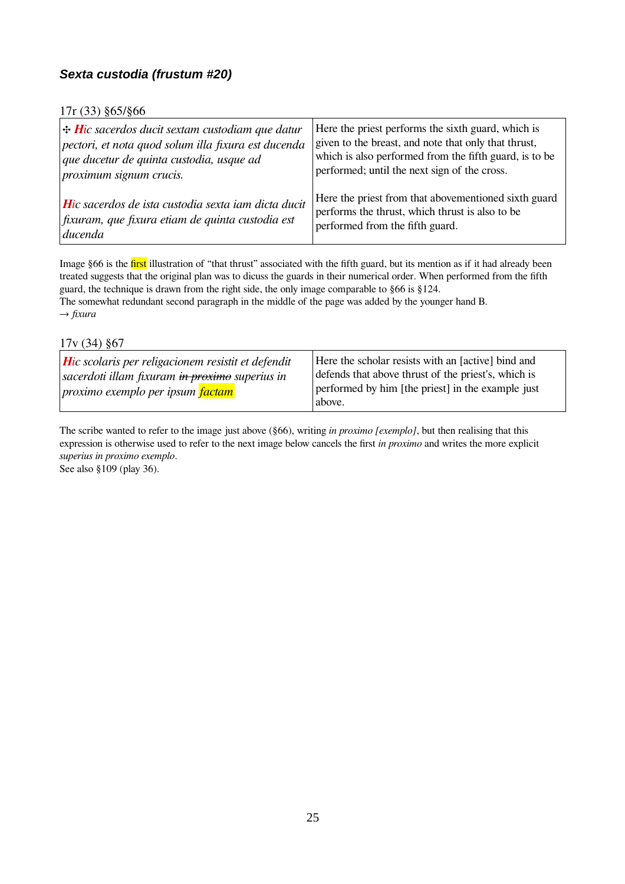### <span id="page-24-0"></span>*Sexta custodia (frustum #20)*

#### 17r (33) §65/§66

| $\div$ Hic sacerdos ducit sextam custodiam que datur    | Here the priest performs the sixth guard, which is     |
|---------------------------------------------------------|--------------------------------------------------------|
| pectori, et nota quod solum illa fixura est ducenda     | given to the breast, and note that only that thrust,   |
| que ducetur de quinta custodia, usque ad                | which is also performed from the fifth guard, is to be |
| proximum signum crucis.                                 | performed; until the next sign of the cross.           |
| Hic sacerdos de ista custodia sexta iam dicta ducit     | Here the priest from that abovementioned sixth guard   |
| $\int$ fixuram, que fixura etiam de quinta custodia est | performs the thrust, which thrust is also to be        |
| ducenda                                                 | performed from the fifth guard.                        |

Image §66 is the first illustration of "that thrust" associated with the fifth guard, but its mention as if it had already been treated suggests that the original plan was to dicuss the guards in their numerical order. When performed from the fifth guard, the technique is drawn from the right side, the only image comparable to §66 is §124. The somewhat redundant second paragraph in the middle of the page was added by the younger hand B. → *fixura*

17v (34) §67

| $\vert$ Hic scolaris per religacionem resistit et defendit<br>  sacerdoti illam fixuram <del>in proximo</del> superius in<br>proximo exemplo per ipsum factam<br>above. | Here the scholar resists with an [active] bind and<br>defends that above thrust of the priest's, which is<br>performed by him [the priest] in the example just |
|-------------------------------------------------------------------------------------------------------------------------------------------------------------------------|----------------------------------------------------------------------------------------------------------------------------------------------------------------|
|-------------------------------------------------------------------------------------------------------------------------------------------------------------------------|----------------------------------------------------------------------------------------------------------------------------------------------------------------|

The scribe wanted to refer to the image just above (§66), writing *in proximo [exemplo]*, but then realising that this expression is otherwise used to refer to the next image below cancels the first *in proximo* and writes the more explicit *superius in proximo exemplo*.

See also §109 (play 36).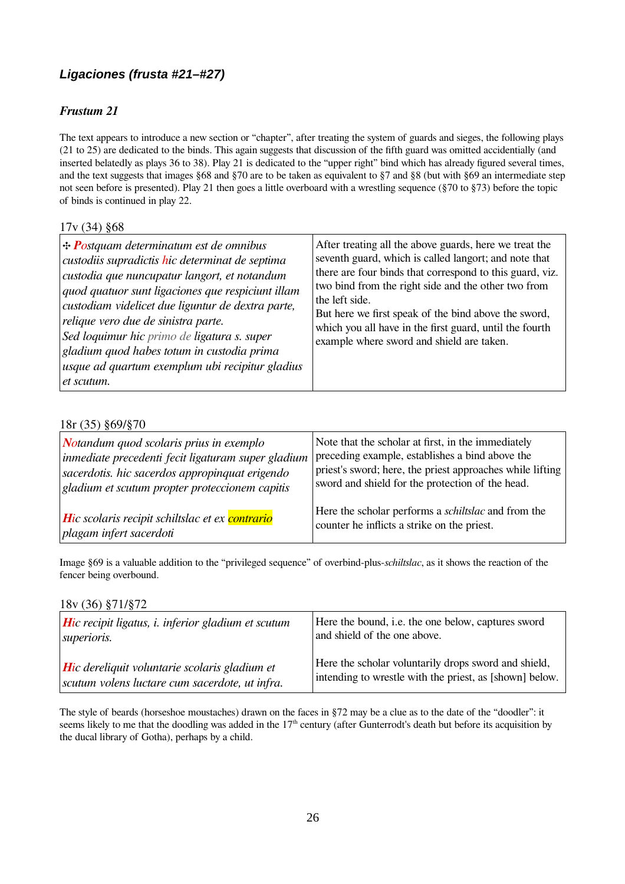### <span id="page-25-0"></span>*Ligaciones (frusta #21–#27)*

### *Frustum 21*

The text appears to introduce a new section or "chapter", after treating the system of guards and sieges, the following plays (21 to 25) are dedicated to the binds. This again suggests that discussion of the fifth guard was omitted accidentially (and inserted belatedly as plays 36 to 38). Play 21 is dedicated to the "upper right" bind which has already figured several times, and the text suggests that images §68 and §70 are to be taken as equivalent to §7 and §8 (but with §69 an intermediate step not seen before is presented). Play 21 then goes a little overboard with a wrestling sequence (§70 to §73) before the topic of binds is continued in play 22.

#### 17v (34) §68

#### 18r (35) §69/§70

| $\vert$ Notandum quod scolaris prius in exemplo    | Note that the scholar at first, in the immediately         |
|----------------------------------------------------|------------------------------------------------------------|
| inmediate precedenti fecit ligaturam super gladium | preceding example, establishes a bind above the            |
| sacerdotis. hic sacerdos appropinquat erigendo     | priest's sword; here, the priest approaches while lifting  |
| gladium et scutum propter proteccionem capitis     | sword and shield for the protection of the head.           |
| Hic scolaris recipit schiltslac et ex contrario    | Here the scholar performs a <i>schiltslac</i> and from the |
| plagam infert sacerdoti                            | counter he inflicts a strike on the priest.                |

Image §69 is a valuable addition to the "privileged sequence" of overbind-plus-*schiltslac*, as it shows the reaction of the fencer being overbound.

18v (36) §71/§72

| <b>H</b> ic recipit ligatus, <i>i.</i> inferior gladium et scutum | Here the bound, i.e. the one below, captures sword      |
|-------------------------------------------------------------------|---------------------------------------------------------|
| superioris.                                                       | and shield of the one above.                            |
| $\vert$ Hic dereliquit voluntarie scolaris gladium et             | Here the scholar voluntarily drops sword and shield,    |
| scutum volens luctare cum sacerdote, ut infra.                    | intending to wrestle with the priest, as [shown] below. |

The style of beards (horseshoe moustaches) drawn on the faces in §72 may be a clue as to the date of the "doodler": it seems likely to me that the doodling was added in the  $17<sup>th</sup>$  century (after Gunterrodt's death but before its acquisition by the ducal library of Gotha), perhaps by a child.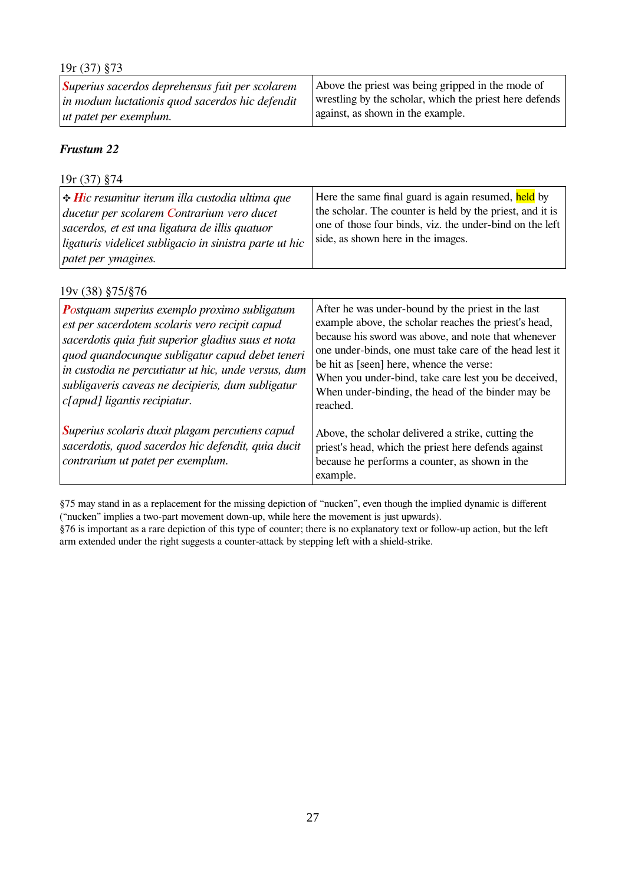| $19r(37)$ §73                                           |                                                         |
|---------------------------------------------------------|---------------------------------------------------------|
| <i>Superius sacerdos deprehensus fuit per scolarem</i>  | Above the priest was being gripped in the mode of       |
| $\vert$ in modum luctationis quod sacerdos hic defendit | wrestling by the scholar, which the priest here defends |
| $ $ ut patet per exemplum.                              | against, as shown in the example.                       |

| $19r(37)$ §74                                                                                                                                                                                                                                 |                                                                                                                                                                                                                    |
|-----------------------------------------------------------------------------------------------------------------------------------------------------------------------------------------------------------------------------------------------|--------------------------------------------------------------------------------------------------------------------------------------------------------------------------------------------------------------------|
| $\left  \div Hic$ resumitur iterum illa custodia ultima que<br>ducetur per scolarem Contrarium vero ducet<br>sacerdos, et est una ligatura de illis quatuor<br>ligaturis videlicet subligacio in sinistra parte ut hic<br>patet per ymagines. | Here the same final guard is again resumed, held by<br>the scholar. The counter is held by the priest, and it is<br>one of those four binds, viz. the under-bind on the left<br>side, as shown here in the images. |

| 19y (38) §75/§76                                                                                                                                                                                                                                                                                                                                    |                                                                                                                                                                                                                                                                                                                                                                                                    |
|-----------------------------------------------------------------------------------------------------------------------------------------------------------------------------------------------------------------------------------------------------------------------------------------------------------------------------------------------------|----------------------------------------------------------------------------------------------------------------------------------------------------------------------------------------------------------------------------------------------------------------------------------------------------------------------------------------------------------------------------------------------------|
| Postquam superius exemplo proximo subligatum<br>est per sacerdotem scolaris vero recipit capud<br>sacerdotis quia fuit superior gladius suus et nota<br>quod quandocunque subligatur capud debet teneri<br>in custodia ne percutiatur ut hic, unde versus, dum<br>subligaveris caveas ne decipieris, dum subligatur<br>c[apud] ligantis recipiatur. | After he was under-bound by the priest in the last<br>example above, the scholar reaches the priest's head,<br>because his sword was above, and note that whenever<br>one under-binds, one must take care of the head lest it<br>be hit as [seen] here, whence the verse:<br>When you under-bind, take care lest you be deceived,<br>When under-binding, the head of the binder may be<br>reached. |
| Superius scolaris duxit plagam percutiens capud<br>sacerdotis, quod sacerdos hic defendit, quia ducit<br>contrarium ut patet per exemplum.                                                                                                                                                                                                          | Above, the scholar delivered a strike, cutting the<br>priest's head, which the priest here defends against<br>because he performs a counter, as shown in the<br>example.                                                                                                                                                                                                                           |

§75 may stand in as a replacement for the missing depiction of "nucken", even though the implied dynamic is different ("nucken" implies a two-part movement down-up, while here the movement is just upwards).

§76 is important as a rare depiction of this type of counter; there is no explanatory text or follow-up action, but the left arm extended under the right suggests a counter-attack by stepping left with a shield-strike.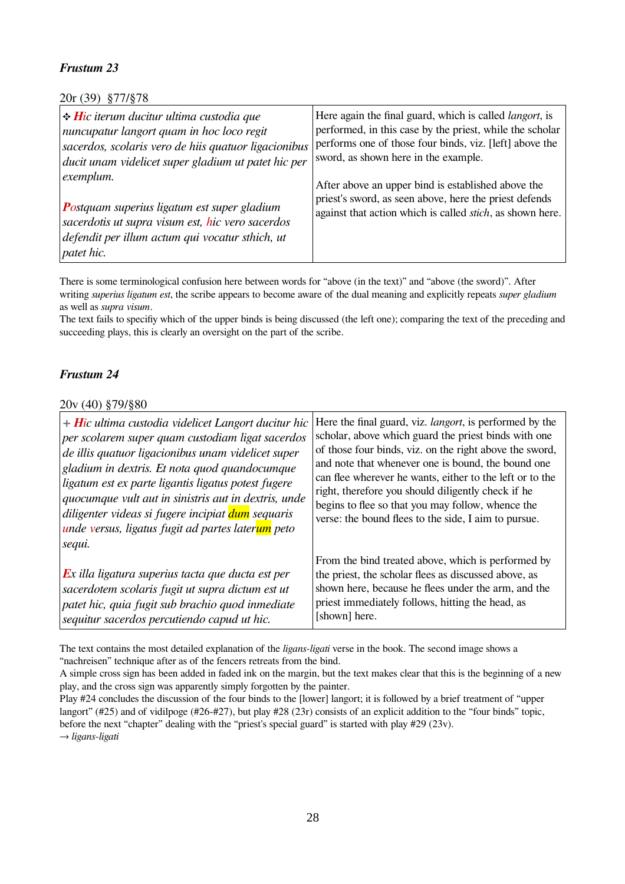20r (39) §77/§78

| $\div$ Hic iterum ducitur ultima custodia que<br>nuncupatur langort quam in hoc loco regit<br>sacerdos, scolaris vero de hiis quatuor ligacionibus<br>ducit unam videlicet super gladium ut patet hic per<br>exemplum.<br><b>Postquam superius ligatum est super gladium</b><br>sacerdotis ut supra visum est, hic vero sacerdos<br>defendit per illum actum qui vocatur sthich, ut<br><i>patet hic.</i> | Here again the final guard, which is called <i>langort</i> , is<br>performed, in this case by the priest, while the scholar<br>performs one of those four binds, viz. [left] above the<br>sword, as shown here in the example.<br>After above an upper bind is established above the<br>priest's sword, as seen above, here the priest defends<br>against that action which is called <i>stich</i> , as shown here. |
|----------------------------------------------------------------------------------------------------------------------------------------------------------------------------------------------------------------------------------------------------------------------------------------------------------------------------------------------------------------------------------------------------------|---------------------------------------------------------------------------------------------------------------------------------------------------------------------------------------------------------------------------------------------------------------------------------------------------------------------------------------------------------------------------------------------------------------------|
|----------------------------------------------------------------------------------------------------------------------------------------------------------------------------------------------------------------------------------------------------------------------------------------------------------------------------------------------------------------------------------------------------------|---------------------------------------------------------------------------------------------------------------------------------------------------------------------------------------------------------------------------------------------------------------------------------------------------------------------------------------------------------------------------------------------------------------------|

There is some terminological confusion here between words for "above (in the text)" and "above (the sword)". After writing *superius ligatum est*, the scribe appears to become aware of the dual meaning and explicitly repeats *super gladium* as well as *supra visum*.

The text fails to specifiy which of the upper binds is being discussed (the left one); comparing the text of the preceding and succeeding plays, this is clearly an oversight on the part of the scribe.

### *Frustum 24*

#### 20v (40) §79/§80

| $+$ Hic ultima custodia videlicet Langort ducitur hic             | Here the final guard, viz. <i>langort</i> , is performed by the |
|-------------------------------------------------------------------|-----------------------------------------------------------------|
| per scolarem super quam custodiam ligat sacerdos                  | scholar, above which guard the priest binds with one            |
| de illis quatuor ligacionibus unam videlicet super                | of those four binds, viz. on the right above the sword,         |
| gladium in dextris. Et nota quod quandocumque                     | and note that whenever one is bound, the bound one              |
| ligatum est ex parte ligantis ligatus potest fugere               | can flee wherever he wants, either to the left or to the        |
| quocumque vult aut in sinistris aut in dextris, unde              | right, therefore you should diligently check if he              |
| diligenter videas si fugere incipiat dum sequaris                 | begins to flee so that you may follow, whence the               |
| unde versus, ligatus fugit ad partes laterum peto                 | verse: the bound flees to the side, I aim to pursue.            |
| sequi.                                                            | From the bind treated above, which is performed by              |
| $\boldsymbol{E}$ x illa ligatura superius tacta que ducta est per | the priest, the scholar flees as discussed above, as            |
| sacerdotem scolaris fugit ut supra dictum est ut                  | shown here, because he flees under the arm, and the             |
| patet hic, quia fugit sub brachio quod inmediate                  | priest immediately follows, hitting the head, as                |
| sequitur sacerdos percutiendo capud ut hic.                       | [shown] here.                                                   |

The text contains the most detailed explanation of the *ligans-ligati* verse in the book. The second image shows a "nachreisen" technique after as of the fencers retreats from the bind.

→ *ligans-ligati*

A simple cross sign has been added in faded ink on the margin, but the text makes clear that this is the beginning of a new play, and the cross sign was apparently simply forgotten by the painter.

Play #24 concludes the discussion of the four binds to the [lower] langort; it is followed by a brief treatment of "upper langort" (#25) and of vidilpoge (#26-#27), but play #28 (23r) consists of an explicit addition to the "four binds" topic, before the next "chapter" dealing with the "priest's special guard" is started with play #29 (23v).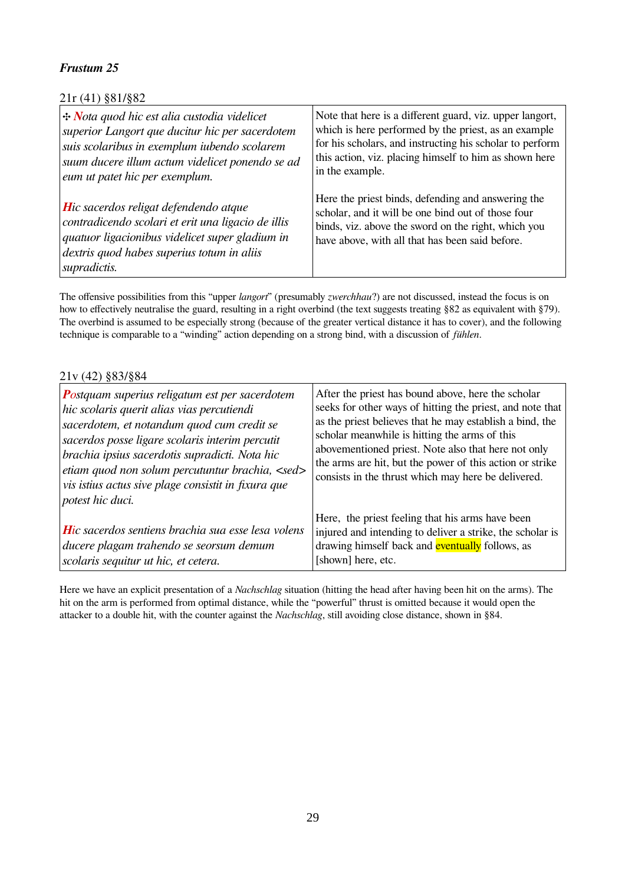### 21r (41) §81/§82

| $\left \div\text{Nota} \right $ and hic est alia custodia videlicet                                                                                                                                                      | Note that here is a different guard, viz. upper langort,                                                                                                                                                           |
|--------------------------------------------------------------------------------------------------------------------------------------------------------------------------------------------------------------------------|--------------------------------------------------------------------------------------------------------------------------------------------------------------------------------------------------------------------|
| superior Langort que ducitur hic per sacerdotem                                                                                                                                                                          | which is here performed by the priest, as an example                                                                                                                                                               |
| suis scolaribus in exemplum iubendo scolarem                                                                                                                                                                             | for his scholars, and instructing his scholar to perform                                                                                                                                                           |
| suum ducere illum actum videlicet ponendo se ad                                                                                                                                                                          | this action, viz. placing himself to him as shown here                                                                                                                                                             |
| eum ut patet hic per exemplum.                                                                                                                                                                                           | in the example.                                                                                                                                                                                                    |
| $ $ <b>H</b> ic sacerdos religat defendendo atque<br>contradicendo scolari et erit una ligacio de illis<br>quatuor ligacionibus videlicet super gladium in<br>dextris quod habes superius totum in aliis<br>supradictis. | Here the priest binds, defending and answering the<br>scholar, and it will be one bind out of those four<br>binds, viz. above the sword on the right, which you<br>have above, with all that has been said before. |

The offensive possibilities from this "upper *langort*" (presumably *zwerchhau*?) are not discussed, instead the focus is on how to effectively neutralise the guard, resulting in a right overbind (the text suggests treating §82 as equivalent with §79). The overbind is assumed to be especially strong (because of the greater vertical distance it has to cover), and the following technique is comparable to a "winding" action depending on a strong bind, with a discussion of *fühlen*.

#### 21v (42) §83/§84

| <b>Postquam superius religatum est per sacerdotem</b><br>hic scolaris querit alias vias percutiendi<br>sacerdotem, et notandum quod cum credit se<br>sacerdos posse ligare scolaris interim percutit<br>brachia ipsius sacerdotis supradicti. Nota hic<br>etiam quod non solum percutuntur brachia, <sed><br/>vis istius actus sive plage consistit in fixura que<br/>potest hic duci.</sed> | After the priest has bound above, here the scholar<br>seeks for other ways of hitting the priest, and note that<br>as the priest believes that he may establish a bind, the<br>scholar meanwhile is hitting the arms of this<br>abovementioned priest. Note also that here not only<br>the arms are hit, but the power of this action or strike<br>consists in the thrust which may here be delivered. |
|----------------------------------------------------------------------------------------------------------------------------------------------------------------------------------------------------------------------------------------------------------------------------------------------------------------------------------------------------------------------------------------------|--------------------------------------------------------------------------------------------------------------------------------------------------------------------------------------------------------------------------------------------------------------------------------------------------------------------------------------------------------------------------------------------------------|
| <b>H</b> ic sacerdos sentiens brachia sua esse lesa volens<br>ducere plagam trahendo se seorsum demum<br>scolaris sequitur ut hic, et cetera.                                                                                                                                                                                                                                                | Here, the priest feeling that his arms have been<br>injured and intending to deliver a strike, the scholar is<br>drawing himself back and <b>eventually</b> follows, as<br>[shown] here, etc.                                                                                                                                                                                                          |

Here we have an explicit presentation of a *Nachschlag* situation (hitting the head after having been hit on the arms). The hit on the arm is performed from optimal distance, while the "powerful" thrust is omitted because it would open the attacker to a double hit, with the counter against the *Nachschlag*, still avoiding close distance, shown in §84.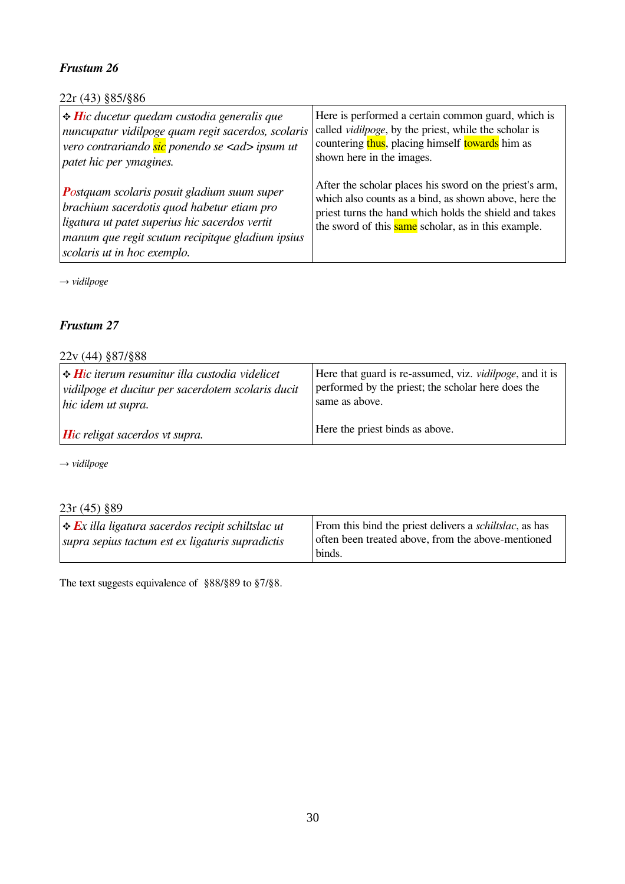### 22r (43) §85/§86

| $\div$ Hic ducetur quedam custodia generalis que                                                                                                                                                                                      | Here is performed a certain common guard, which is                                                                                                                                                                                       |
|---------------------------------------------------------------------------------------------------------------------------------------------------------------------------------------------------------------------------------------|------------------------------------------------------------------------------------------------------------------------------------------------------------------------------------------------------------------------------------------|
| nuncupatur vidilpoge quam regit sacerdos, scolaris                                                                                                                                                                                    | called <i>vidilpoge</i> , by the priest, while the scholar is                                                                                                                                                                            |
| vero contrariando sic ponendo se <ad> ipsum ut</ad>                                                                                                                                                                                   | countering thus, placing himself towards him as                                                                                                                                                                                          |
| patet hic per ymagines.                                                                                                                                                                                                               | shown here in the images.                                                                                                                                                                                                                |
| <b>Postquam scolaris posuit gladium suum super</b><br>brachium sacerdotis quod habetur etiam pro<br>ligatura ut patet superius hic sacerdos vertit<br>manum que regit scutum recipitque gladium ipsius<br>scolaris ut in hoc exemplo. | After the scholar places his sword on the priest's arm,<br>which also counts as a bind, as shown above, here the<br>priest turns the hand which holds the shield and takes<br>the sword of this <b>same</b> scholar, as in this example. |

→ *vidilpoge*

#### *Frustum 27*

### 22v (44) §87/§88

| $\left  \cdot \right $ Hic iterum resumitur illa custodia videlicet | Here that guard is re-assumed, viz. <i>vidilpoge</i> , and it is |
|---------------------------------------------------------------------|------------------------------------------------------------------|
| vidilpoge et ducitur per sacerdotem scolaris ducit                  | performed by the priest; the scholar here does the               |
| hic idem ut supra.                                                  | same as above.                                                   |
| $ $ <b>H</b> ic religat sacerdos vt supra.                          | Here the priest binds as above.                                  |

→ *vidilpoge*

# 23r (45) §89

| $ \cdot $ Ex illa ligatura sacerdos recipit schiltslac ut | From this bind the priest delivers a <i>schiltslac</i> , as has |
|-----------------------------------------------------------|-----------------------------------------------------------------|
| supra sepius tactum est ex ligaturis supradictis          | often been treated above, from the above-mentioned              |
|                                                           | binds.                                                          |

The text suggests equivalence of §88/§89 to §7/§8.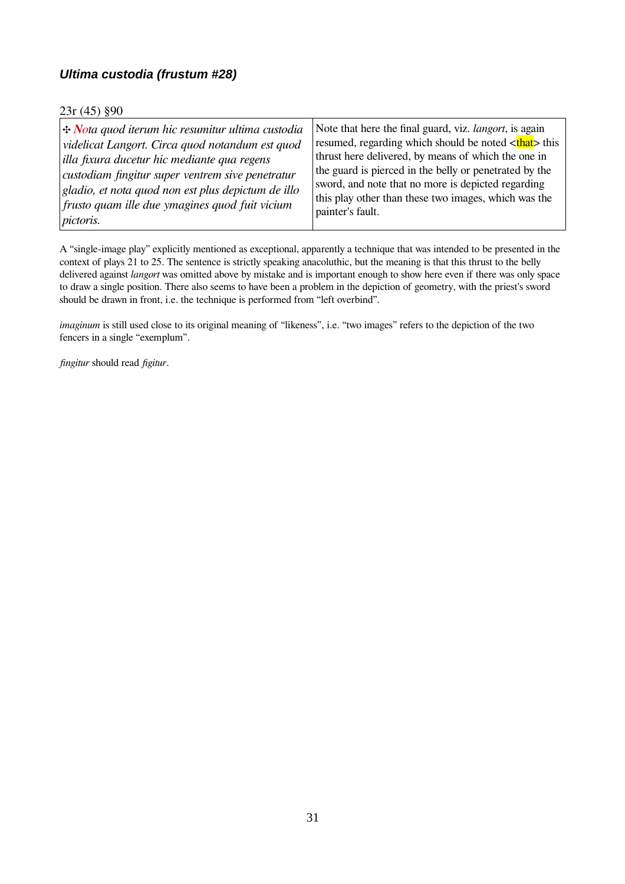### <span id="page-30-0"></span>*Ultima custodia (frustum #28)*

#### 23r (45) §90

| $ \div N$ ota quod iterum hic resumitur ultima custodia | Note that here the final guard, viz. <i>langort</i> , is again |
|---------------------------------------------------------|----------------------------------------------------------------|
| videlicat Langort. Circa quod notandum est quod         | resumed, regarding which should be noted <that> this</that>    |
| illa fixura ducetur hic mediante qua regens             | thrust here delivered, by means of which the one in            |
| custodiam fingitur super ventrem sive penetratur        | the guard is pierced in the belly or penetrated by the         |
| gladio, et nota quod non est plus depictum de illo      | sword, and note that no more is depicted regarding             |
| $\vert$ frusto quam ille due ymagines quod fuit vicium  | this play other than these two images, which was the           |
| pictoris.                                               | painter's fault.                                               |

A "single-image play" explicitly mentioned as exceptional, apparently a technique that was intended to be presented in the context of plays 21 to 25. The sentence is strictly speaking anacoluthic, but the meaning is that this thrust to the belly delivered against *langort* was omitted above by mistake and is important enough to show here even if there was only space to draw a single position. There also seems to have been a problem in the depiction of geometry, with the priest's sword should be drawn in front, i.e. the technique is performed from "left overbind".

*imaginum* is still used close to its original meaning of "likeness", i.e. "two images" refers to the depiction of the two fencers in a single "exemplum".

*fingitur* should read *figitur*.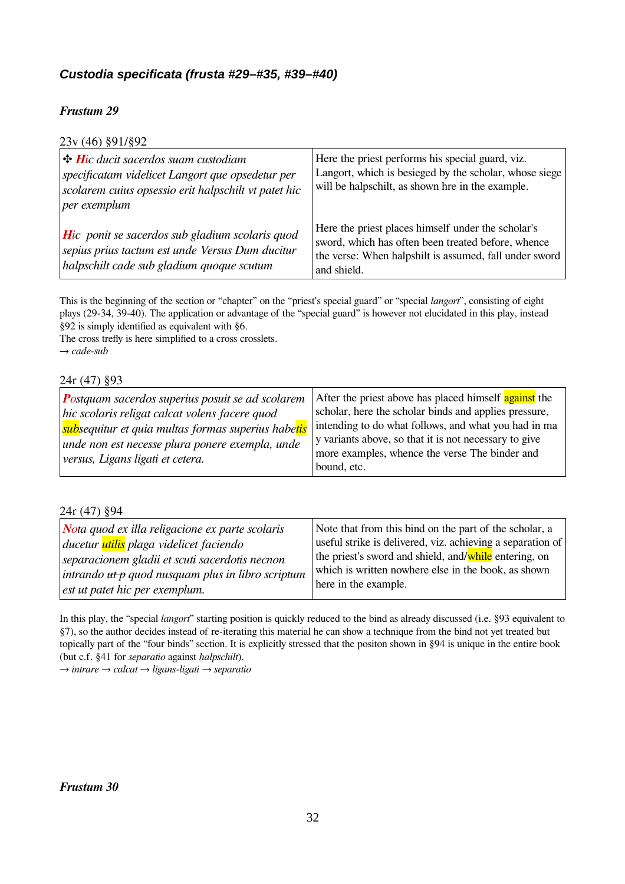### <span id="page-31-0"></span>*Custodia specificata (frusta #29–#35, #39–#40)*

### *Frustum 29*

| 23v (46) §91/§92                                                                                                                                                                         |                                                                                                                                                                                   |
|------------------------------------------------------------------------------------------------------------------------------------------------------------------------------------------|-----------------------------------------------------------------------------------------------------------------------------------------------------------------------------------|
| $\parallel$ <b>+ H</b> ic ducit sacerdos suam custodiam<br>specificatam videlicet Langort que opsedetur per<br>scolarem cuius opsessio erit halpschilt vt patet hic<br>$ per\> evenplum$ | Here the priest performs his special guard, viz.<br>Langort, which is besieged by the scholar, whose siege<br>will be halpschilt, as shown hre in the example.                    |
| $\vert$ Hic ponit se sacerdos sub gladium scolaris quod<br>sepius prius tactum est unde Versus Dum ducitur<br>halpschilt cade sub gladium quoque scutum                                  | Here the priest places himself under the scholar's<br>sword, which has often been treated before, whence<br>the verse: When halpshilt is assumed, fall under sword<br>and shield. |

This is the beginning of the section or "chapter" on the "priest's special guard" or "special *langort*", consisting of eight plays (29-34, 39-40). The application or advantage of the "special guard" is however not elucidated in this play, instead §92 is simply identified as equivalent with §6.

The cross trefly is here simplified to a cross crosslets. → *cade-sub*

#### 24r (47) §93

| $ $ <b>P</b> ostquam sacerdos superius posuit se ad scolarem<br>hic scolaris religat calcat volens facere quod<br>  <mark>sub</mark> sequitur et quia multas formas superius habe <mark>tis</mark><br>unde non est necesse plura ponere exempla, unde<br>versus, Ligans ligati et cetera. | After the priest above has placed himself against the<br>scholar, here the scholar binds and applies pressure,<br>intending to do what follows, and what you had in ma<br>y variants above, so that it is not necessary to give<br>more examples, whence the verse The binder and<br>bound, etc. |
|-------------------------------------------------------------------------------------------------------------------------------------------------------------------------------------------------------------------------------------------------------------------------------------------|--------------------------------------------------------------------------------------------------------------------------------------------------------------------------------------------------------------------------------------------------------------------------------------------------|
|-------------------------------------------------------------------------------------------------------------------------------------------------------------------------------------------------------------------------------------------------------------------------------------------|--------------------------------------------------------------------------------------------------------------------------------------------------------------------------------------------------------------------------------------------------------------------------------------------------|

#### 24r (47) §94

| $\vert$ Nota quod ex illa religacione ex parte scolaris      | Note that from this bind on the part of the scholar, a     |
|--------------------------------------------------------------|------------------------------------------------------------|
| ducetur <mark>utilis</mark> plaga videlicet faciendo         | useful strike is delivered, viz. achieving a separation of |
| separacionem gladii et scuti sacerdotis necnon               | the priest's sword and shield, and/while entering, on      |
| intrando <del>ut p</del> quod nusquam plus in libro scriptum | which is written nowhere else in the book, as shown        |
| $\epsilon$ est ut patet hic per exemplum.                    | here in the example.                                       |

In this play, the "special *langort*" starting position is quickly reduced to the bind as already discussed (i.e. §93 equivalent to §7), so the author decides instead of re-iterating this material he can show a technique from the bind not yet treated but topically part of the "four binds" section. It is explicitly stressed that the positon shown in §94 is unique in the entire book (but c.f. §41 for *separatio* against *halpschilt*).

→ *intrare* → *calcat* → *ligans-ligati* → *separatio*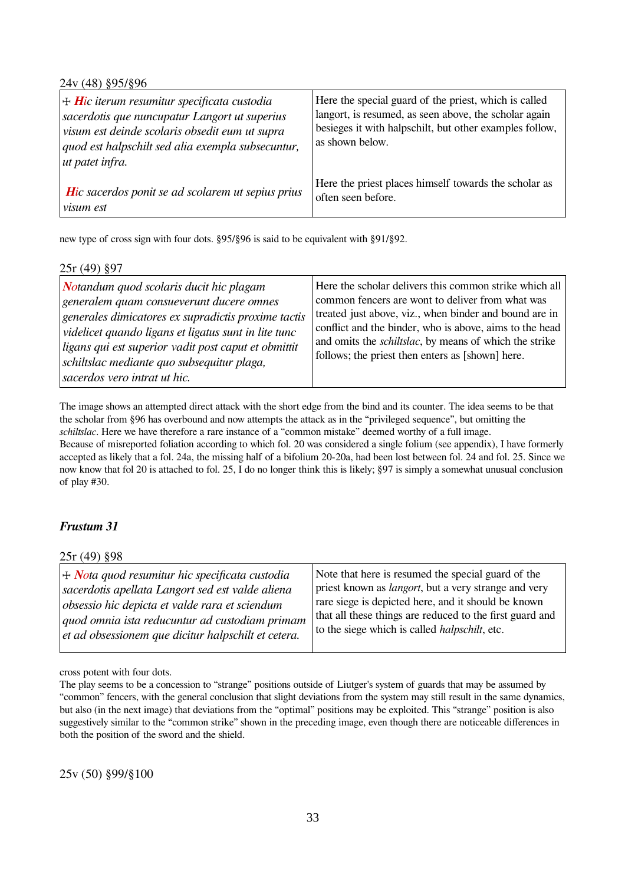24v (48) §95/§96

| $\vert + \mathbf{H}$ ic iterum resumitur specificata custodia<br>sacerdotis que nuncupatur Langort ut superius<br>visum est deinde scolaris obsedit eum ut supra<br>quod est halpschilt sed alia exempla subsecuntur,<br>ut patet infra. | Here the special guard of the priest, which is called<br>langort, is resumed, as seen above, the scholar again<br>besieges it with halpschilt, but other examples follow,<br>as shown below. |
|------------------------------------------------------------------------------------------------------------------------------------------------------------------------------------------------------------------------------------------|----------------------------------------------------------------------------------------------------------------------------------------------------------------------------------------------|
| Hic sacerdos ponit se ad scolarem ut sepius prius                                                                                                                                                                                        | Here the priest places himself towards the scholar as                                                                                                                                        |
| <i>visum est</i>                                                                                                                                                                                                                         | often seen before.                                                                                                                                                                           |

new type of cross sign with four dots. §95/§96 is said to be equivalent with §91/§92.

| $25r(49)$ §97                                                                                                                                                                                                                                                                                                                            |                                                                                                                                                                                                                                                                                                                                                       |
|------------------------------------------------------------------------------------------------------------------------------------------------------------------------------------------------------------------------------------------------------------------------------------------------------------------------------------------|-------------------------------------------------------------------------------------------------------------------------------------------------------------------------------------------------------------------------------------------------------------------------------------------------------------------------------------------------------|
| Notandum quod scolaris ducit hic plagam<br>generalem quam consueverunt ducere omnes<br>generales dimicatores ex supradictis proxime tactis<br>videlicet quando ligans et ligatus sunt in lite tunc<br>ligans qui est superior vadit post caput et obmittit<br>schiltslac mediante quo subsequitur plaga,<br>sacerdos vero intrat ut hic. | Here the scholar delivers this common strike which all<br>common fencers are wont to deliver from what was<br>treated just above, viz., when binder and bound are in<br>conflict and the binder, who is above, aims to the head<br>and omits the <i>schiltslac</i> , by means of which the strike<br>follows; the priest then enters as [shown] here. |

The image shows an attempted direct attack with the short edge from the bind and its counter. The idea seems to be that the scholar from §96 has overbound and now attempts the attack as in the "privileged sequence", but omitting the *schiltslac*. Here we have therefore a rare instance of a "common mistake" deemed worthy of a full image. Because of misreported foliation according to which fol. 20 was considered a single folium (see appendix), I have formerly accepted as likely that a fol. 24a, the missing half of a bifolium 20-20a, had been lost between fol. 24 and fol. 25. Since we now know that fol 20 is attached to fol. 25, I do no longer think this is likely; §97 is simply a somewhat unusual conclusion of play #30.

### *Frustum 31*

25r (49) §98

| $\vert + \textit{Nota} \vert$ quod resumitur hic specificata custodia | Note that here is resumed the special guard of the           |
|-----------------------------------------------------------------------|--------------------------------------------------------------|
| sacerdotis apellata Langort sed est valde aliena                      | priest known as <i>langort</i> , but a very strange and very |
| obsessio hic depicta et valde rara et sciendum                        | rare siege is depicted here, and it should be known          |
| quod omnia ista reducuntur ad custodiam primam                        | that all these things are reduced to the first guard and     |
| et ad obsessionem que dicitur halpschilt et cetera.                   | to the siege which is called <i>halpschilt</i> , etc.        |

cross potent with four dots.

The play seems to be a concession to "strange" positions outside of Liutger's system of guards that may be assumed by "common" fencers, with the general conclusion that slight deviations from the system may still result in the same dynamics, but also (in the next image) that deviations from the "optimal" positions may be exploited. This "strange" position is also suggestively similar to the "common strike" shown in the preceding image, even though there are noticeable differences in both the position of the sword and the shield.

25v (50) §99/§100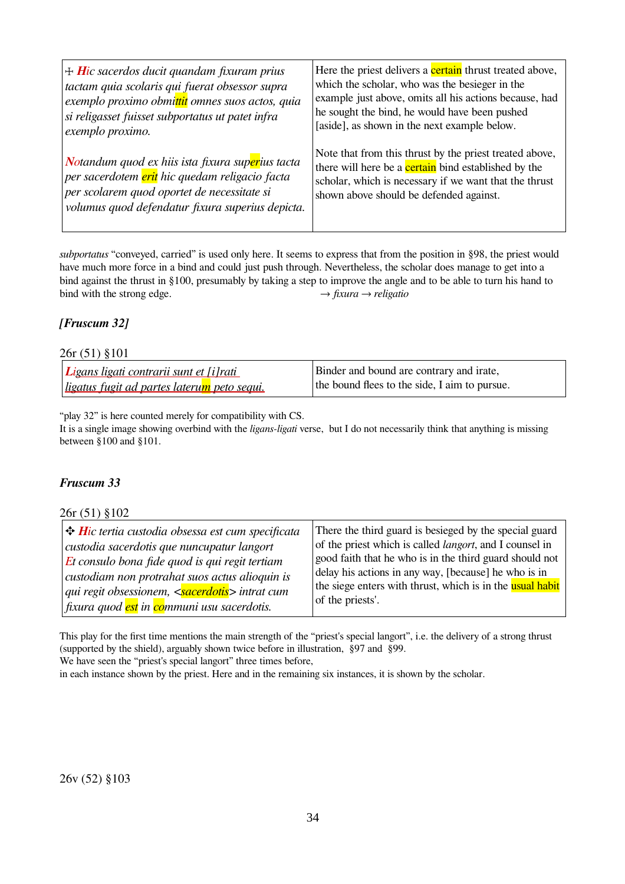| $\pm$ Hic sacerdos ducit quandam fixuram prius   | Here the priest delivers a <b>certain</b> thrust treated above, |
|--------------------------------------------------|-----------------------------------------------------------------|
| tactam quia scolaris qui fuerat obsessor supra   | which the scholar, who was the besieger in the                  |
| exemplo proximo obmittit omnes suos actos, quia  | example just above, omits all his actions because, had          |
| si religasset fuisset subportatus ut patet infra | he sought the bind, he would have been pushed                   |
| exemplo proximo.                                 | [aside], as shown in the next example below.                    |
| Notandum quod ex hiis ista fixura superius tacta | Note that from this thrust by the priest treated above,         |
| per sacerdotem erit hic quedam religacio facta   | there will here be a <b>certain</b> bind established by the     |
| per scolarem quod oportet de necessitate si      | scholar, which is necessary if we want that the thrust          |
| volumus quod defendatur fixura superius depicta. | shown above should be defended against.                         |

*subportatus* "conveyed, carried" is used only here. It seems to express that from the position in §98, the priest would have much more force in a bind and could just push through. Nevertheless, the scholar does manage to get into a bind against the thrust in §100, presumably by taking a step to improve the angle and to be able to turn his hand to bind with the strong edge.<br> $\rightarrow$  fixura  $\rightarrow$  religatio bind with the strong edge.

### *[Fruscum 32]*

#### 26r (51) §101

| <i>Ligans ligati contrarii sunt et [i]rati</i> | Binder and bound are contrary and irate,      |
|------------------------------------------------|-----------------------------------------------|
| ligatus fugit ad partes laterum peto sequi.    | the bound flees to the side, I aim to pursue. |

"play 32" is here counted merely for compatibility with CS.

It is a single image showing overbind with the *ligans-ligati* verse, but I do not necessarily think that anything is missing between §100 and §101.

#### *Fruscum 33*

#### 26r (51) §102

| custodia sacerdotis que nuncupatur langort                            | of the priest which is called <i>langort</i> , and I counsel in |
|-----------------------------------------------------------------------|-----------------------------------------------------------------|
| $ Et$ consulo bona fide quod is qui regit tertiam                     | good faith that he who is in the third guard should not         |
| custodiam non protrahat suos actus alioquin is                        | delay his actions in any way, [because] he who is in            |
| qui regit obsessionem, < <mark>sacerdotis</mark> > intrat cum         | the siege enters with thrust, which is in the usual habit       |
| fixura quod <mark>est</mark> in <mark>co</mark> mmuni usu sacerdotis. | of the priests'.                                                |

This play for the first time mentions the main strength of the "priest's special langort", i.e. the delivery of a strong thrust (supported by the shield), arguably shown twice before in illustration, §97 and §99. We have seen the "priest's special langort" three times before,

in each instance shown by the priest. Here and in the remaining six instances, it is shown by the scholar.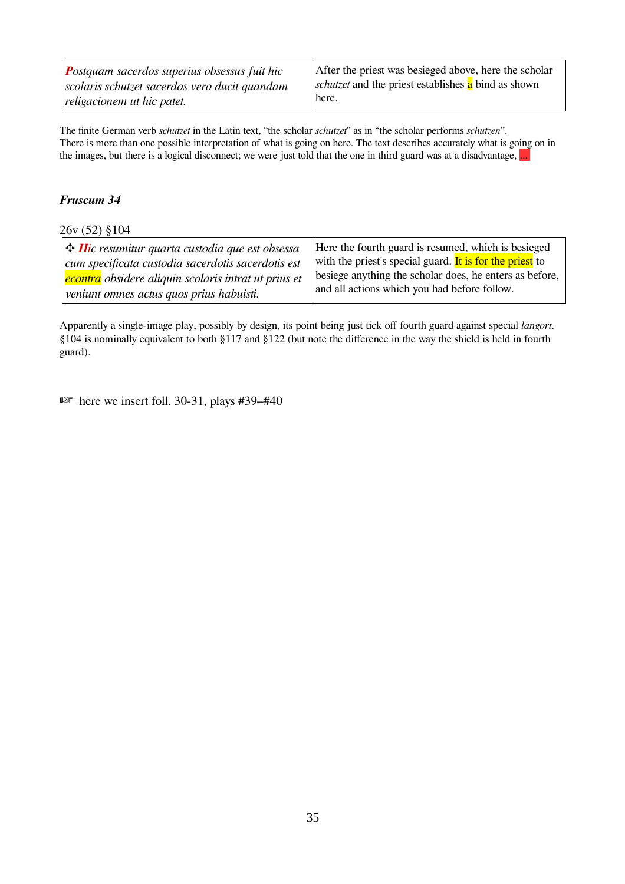| <b>Postquam sacerdos superius obsessus fuit hic</b> | After the priest was besieged above, here the scholar             |
|-----------------------------------------------------|-------------------------------------------------------------------|
| scolaris schutzet sacerdos vero ducit quandam       | <i>schutzet</i> and the priest establishes <b>a</b> bind as shown |
| religacionem ut hic patet.                          | here.                                                             |

The finite German verb *schutzet* in the Latin text, "the scholar *schutzet*" as in "the scholar performs *schutzen*". There is more than one possible interpretation of what is going on here. The text describes accurately what is going on in the images, but there is a logical disconnect; we were just told that the one in third guard was at a disadvantage, ...

#### *Fruscum 34*

26v (52) §104

| $\big $ $\bigoplus$ Hic resumitur quarta custodia que est obsessa | Here the fourth guard is resumed, which is besieged      |
|-------------------------------------------------------------------|----------------------------------------------------------|
| cum specificata custodia sacerdotis sacerdotis est                | with the priest's special guard. It is for the priest to |
| econtra obsidere aliquin scolaris intrat ut prius et              | besiege anything the scholar does, he enters as before,  |
| veniunt omnes actus quos prius habuisti.                          | and all actions which you had before follow.             |

Apparently a single-image play, possibly by design, its point being just tick off fourth guard against special *langort*. §104 is nominally equivalent to both §117 and §122 (but note the difference in the way the shield is held in fourth guard).

 $\mathbb{R}$  here we insert foll. 30-31, plays #39–#40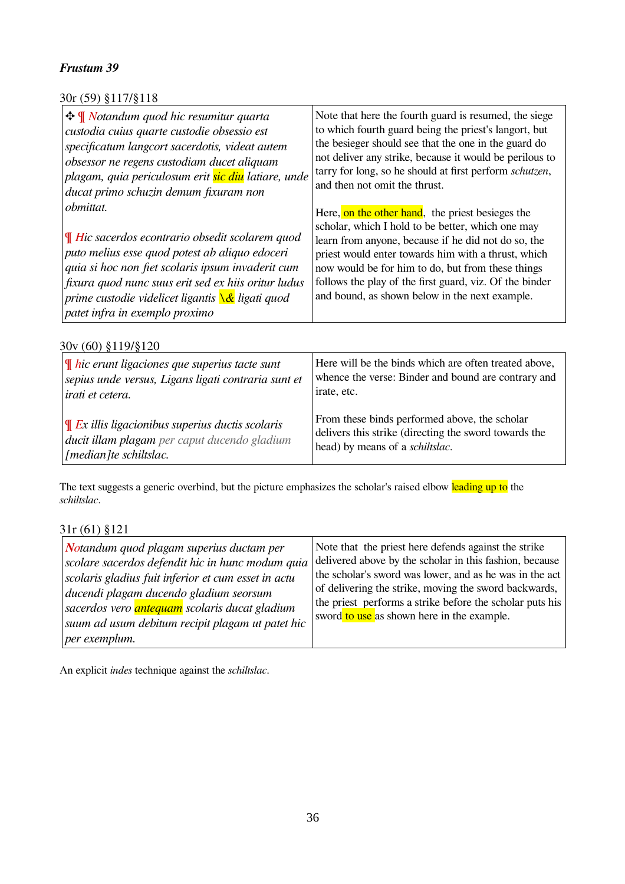### 30r (59) §117/§118

| $\frac{1}{2}$ <b>W</b> Notandum quod hic resumitur quarta<br>custodia cuius quarte custodie obsessio est<br>specificatum langcort sacerdotis, videat autem<br>obsessor ne regens custodiam ducet aliquam<br>plagam, quia periculosum erit <mark>sic diu</mark> latiare, unde<br>ducat primo schuzin demum fixuram non<br><i>obmittat.</i><br>$\parallel$ Hic sacerdos econtrario obsedit scolarem quod<br>$ $ puto melius esse quod potest ab aliquo edoceri<br>quia si hoc non fiet scolaris ipsum invaderit cum<br>fixura quod nunc suus erit sed ex hiis oritur ludus<br>prime custodie videlicet ligantis <mark>\&amp;</mark> ligati quod | Note that here the fourth guard is resumed, the siege<br>to which fourth guard being the priest's langort, but<br>the besieger should see that the one in the guard do<br>not deliver any strike, because it would be perilous to<br>tarry for long, so he should at first perform schutzen,<br>and then not omit the thrust.<br>Here, on the other hand, the priest besieges the<br>scholar, which I hold to be better, which one may<br>learn from anyone, because if he did not do so, the<br>priest would enter towards him with a thrust, which<br>now would be for him to do, but from these things<br>follows the play of the first guard, viz. Of the binder<br>and bound, as shown below in the next example. |
|-----------------------------------------------------------------------------------------------------------------------------------------------------------------------------------------------------------------------------------------------------------------------------------------------------------------------------------------------------------------------------------------------------------------------------------------------------------------------------------------------------------------------------------------------------------------------------------------------------------------------------------------------|------------------------------------------------------------------------------------------------------------------------------------------------------------------------------------------------------------------------------------------------------------------------------------------------------------------------------------------------------------------------------------------------------------------------------------------------------------------------------------------------------------------------------------------------------------------------------------------------------------------------------------------------------------------------------------------------------------------------|
| patet infra in exemplo proximo                                                                                                                                                                                                                                                                                                                                                                                                                                                                                                                                                                                                                |                                                                                                                                                                                                                                                                                                                                                                                                                                                                                                                                                                                                                                                                                                                        |

30v (60) §119/§120

| $\P$ hic erunt ligaciones que superius tacte sunt   | Here will be the binds which are often treated above, |
|-----------------------------------------------------|-------------------------------------------------------|
| sepius unde versus, Ligans ligati contraria sunt et | whence the verse: Binder and bound are contrary and   |
| irati et cetera.                                    | irate, etc.                                           |
| $\P$ Ex illis ligacionibus superius ductis scolaris | From these binds performed above, the scholar         |
| ducit illam plagam per caput ducendo gladium        | delivers this strike (directing the sword towards the |
| [median]te schiltslac.                              | head) by means of a schiltslac.                       |

The text suggests a generic overbind, but the picture emphasizes the scholar's raised elbow leading up to the *schiltslac*.

31r (61) §121

| Notandum quod plagam superius ductam per<br>scolare sacerdos defendit hic in hunc modum quia<br>scolaris gladius fuit inferior et cum esset in actu<br>ducendi plagam ducendo gladium seorsum<br>sacerdos vero <i>antequam</i> scolaris ducat gladium<br>suum ad usum debitum recipit plagam ut patet hic<br>per exemplum. | Note that the priest here defends against the strike<br>delivered above by the scholar in this fashion, because<br>the scholar's sword was lower, and as he was in the act<br>of delivering the strike, moving the sword backwards,<br>the priest performs a strike before the scholar puts his<br>sword to use as shown here in the example. |
|----------------------------------------------------------------------------------------------------------------------------------------------------------------------------------------------------------------------------------------------------------------------------------------------------------------------------|-----------------------------------------------------------------------------------------------------------------------------------------------------------------------------------------------------------------------------------------------------------------------------------------------------------------------------------------------|
|----------------------------------------------------------------------------------------------------------------------------------------------------------------------------------------------------------------------------------------------------------------------------------------------------------------------------|-----------------------------------------------------------------------------------------------------------------------------------------------------------------------------------------------------------------------------------------------------------------------------------------------------------------------------------------------|

An explicit *indes* technique against the *schiltslac*.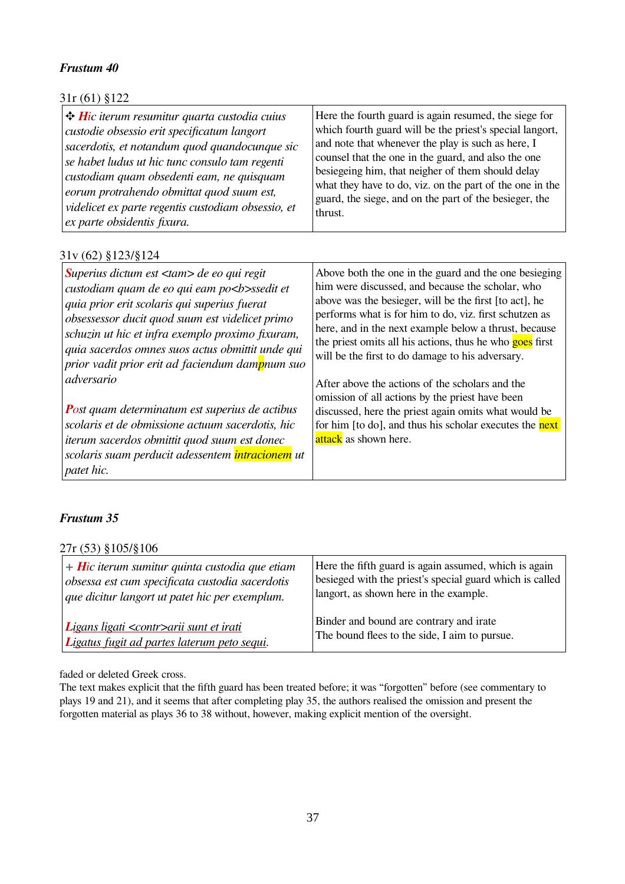| 31r (61) §122                                      |                                                          |
|----------------------------------------------------|----------------------------------------------------------|
| $\div$ Hic iterum resumitur quarta custodia cuius  | Here the fourth guard is again resumed, the siege for    |
| custodie obsessio erit specificatum langort        | which fourth guard will be the priest's special langort, |
| sacerdotis, et notandum quod quandocunque sic      | and note that whenever the play is such as here, I       |
| se habet ludus ut hic tunc consulo tam regenti     | counsel that the one in the guard, and also the one      |
| custodiam quam obsedenti eam, ne quisquam          | besiegeing him, that neigher of them should delay        |
| eorum protrahendo obmittat quod suum est,          | what they have to do, viz. on the part of the one in the |
| videlicet ex parte regentis custodiam obsessio, et | guard, the siege, and on the part of the besieger, the   |
| ex parte obsidentis fixura.                        | thrust.                                                  |

### 31v (62) §123/§124

| Superius dictum est $\langle \langle \mathbf{r} \rangle$ de eo qui regit<br>custodiam quam de eo qui eam po <b>ssedit et<br/>quia prior erit scolaris qui superius fuerat<br/>obsessessor ducit quod suum est videlicet primo<br/>schuzin ut hic et infra exemplo proximo fixuram,<br/>quia sacerdos omnes suos actus obmittit unde qui<br/>prior vadit prior erit ad faciendum dampnum suo</b> | Above both the one in the guard and the one besieging<br>him were discussed, and because the scholar, who<br>above was the besieger, will be the first [to act], he<br>performs what is for him to do, viz. first schutzen as<br>here, and in the next example below a thrust, because<br>the priest omits all his actions, thus he who goes first<br>will be the first to do damage to his adversary. |
|-------------------------------------------------------------------------------------------------------------------------------------------------------------------------------------------------------------------------------------------------------------------------------------------------------------------------------------------------------------------------------------------------|--------------------------------------------------------------------------------------------------------------------------------------------------------------------------------------------------------------------------------------------------------------------------------------------------------------------------------------------------------------------------------------------------------|
| adversario                                                                                                                                                                                                                                                                                                                                                                                      | After above the actions of the scholars and the<br>omission of all actions by the priest have been                                                                                                                                                                                                                                                                                                     |
| <b>Post quam determinatum est superius de actibus</b>                                                                                                                                                                                                                                                                                                                                           | discussed, here the priest again omits what would be                                                                                                                                                                                                                                                                                                                                                   |
| scolaris et de obmissione actuum sacerdotis, hic                                                                                                                                                                                                                                                                                                                                                | for him [to do], and thus his scholar executes the next                                                                                                                                                                                                                                                                                                                                                |
| iterum sacerdos obmittit quod suum est donec                                                                                                                                                                                                                                                                                                                                                    | attack as shown here.                                                                                                                                                                                                                                                                                                                                                                                  |
| scolaris suam perducit adessentem intracionem ut                                                                                                                                                                                                                                                                                                                                                |                                                                                                                                                                                                                                                                                                                                                                                                        |
| patet hic.                                                                                                                                                                                                                                                                                                                                                                                      |                                                                                                                                                                                                                                                                                                                                                                                                        |

### *Frustum 35*

27r (53) §105/§106

| $+$ Hic iterum sumitur quinta custodia que etiam | Here the fifth guard is again assumed, which is again    |
|--------------------------------------------------|----------------------------------------------------------|
| obsessa est cum specificata custodia sacerdotis  | besieged with the priest's special guard which is called |
| que dicitur langort ut patet hic per exemplum.   | langort, as shown here in the example.                   |
| Ligans ligati <contr>arii sunt et irati</contr>  | Binder and bound are contrary and irate                  |
| Ligatus fugit ad partes laterum peto sequi.      | The bound flees to the side, I aim to pursue.            |

faded or deleted Greek cross.

The text makes explicit that the fifth guard has been treated before; it was "forgotten" before (see commentary to plays 19 and 21), and it seems that after completing play 35, the authors realised the omission and present the forgotten material as plays 36 to 38 without, however, making explicit mention of the oversight.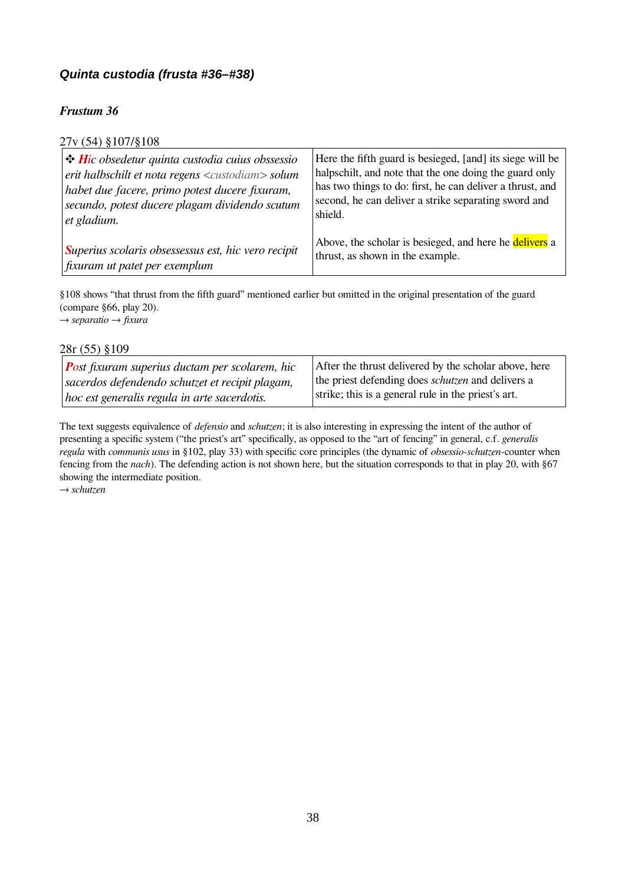### <span id="page-37-0"></span>*Quinta custodia (frusta #36–#38)*

### *Frustum 36*

### 27v (54) §107/§108

| $\div$ Hic obsedetur quinta custodia cuius obssessio         | Here the fifth guard is besieged, [and] its siege will be |
|--------------------------------------------------------------|-----------------------------------------------------------|
| erit halbschilt et nota regens <custodiam> solum</custodiam> | halpschilt, and note that the one doing the guard only    |
| habet due facere, primo potest ducere fixuram,               | has two things to do: first, he can deliver a thrust, and |
| secundo, potest ducere plagam dividendo scutum               | second, he can deliver a strike separating sword and      |
| et gladium.                                                  | shield.                                                   |
| Superius scolaris obsessessus est, hic vero recipit          | Above, the scholar is besieged, and here he delivers a    |
| fixuram ut patet per exemplum                                | thrust, as shown in the example.                          |

§108 shows "that thrust from the fifth guard" mentioned earlier but omitted in the original presentation of the guard (compare §66, play 20). → *separatio* → *fixura*

28r (55) §109

| <b>P</b> ost fixuram superius ductam per scolarem, hic | After the thrust delivered by the scholar above, here    |
|--------------------------------------------------------|----------------------------------------------------------|
| sacerdos defendendo schutzet et recipit plagam,        | the priest defending does <i>schutzen</i> and delivers a |
| $ hoc$ est generalis regula in arte sacerdotis.        | strike; this is a general rule in the priest's art.      |

The text suggests equivalence of *defensio* and *schutzen*; it is also interesting in expressing the intent of the author of presenting a specific system ("the priest's art" specifically, as opposed to the "art of fencing" in general, c.f. *generalis regula* with *communis usus* in §102, play 33) with specific core principles (the dynamic of *obsessio*-*schutzen*-counter when fencing from the *nach*). The defending action is not shown here, but the situation corresponds to that in play 20, with §67 showing the intermediate position.

→ *schutzen*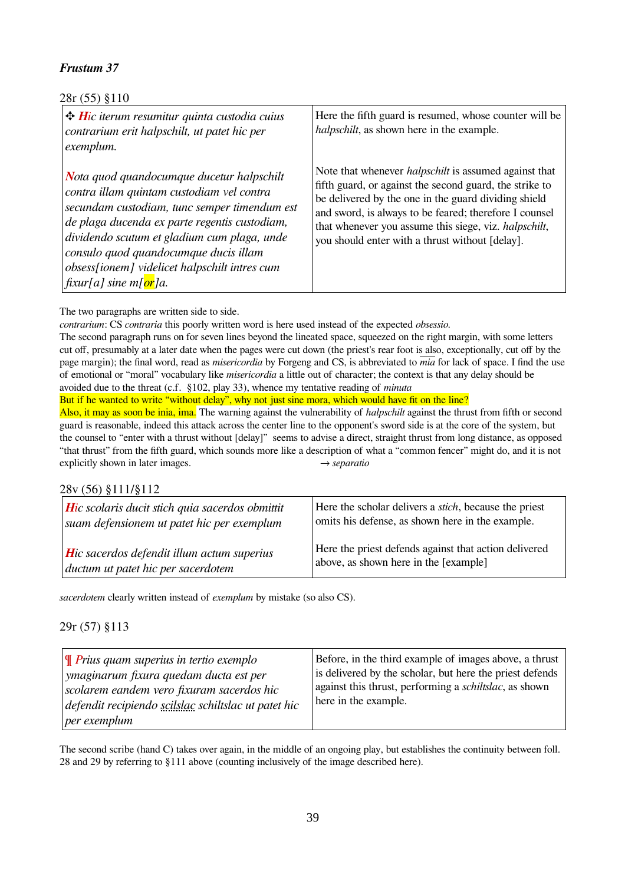### 28r (55) §110

| $\big $ $\bigoplus$ <i>Hic iterum resumitur quinta custodia cuius</i><br>contrarium erit halpschilt, ut patet hic per<br>exemplum.                                                                                                                                                                                                                                                 | Here the fifth guard is resumed, whose counter will be<br><i>halpschilt</i> , as shown here in the example.                                                                                                                                                                                                                                                   |
|------------------------------------------------------------------------------------------------------------------------------------------------------------------------------------------------------------------------------------------------------------------------------------------------------------------------------------------------------------------------------------|---------------------------------------------------------------------------------------------------------------------------------------------------------------------------------------------------------------------------------------------------------------------------------------------------------------------------------------------------------------|
| Nota quod quandocumque ducetur halpschilt<br>contra illam quintam custodiam vel contra<br>secundam custodiam, tunc semper timendum est<br>$\vert$ de plaga ducenda ex parte regentis custodiam,<br>dividendo scutum et gladium cum plaga, unde<br>consulo quod quandocumque ducis illam<br>obsess[ionem] videlicet halpschilt intres cum<br>  fixur[a] sine m[ <mark>or</mark> ]a. | Note that whenever <i>halpschilt</i> is assumed against that<br>fifth guard, or against the second guard, the strike to<br>be delivered by the one in the guard dividing shield<br>and sword, is always to be feared; therefore I counsel<br>that whenever you assume this siege, viz. <i>halpschilt</i> ,<br>you should enter with a thrust without [delay]. |

The two paragraphs are written side to side.

*contrarium*: CS *contraria* this poorly written word is here used instead of the expected *obsessio.*

The second paragraph runs on for seven lines beyond the lineated space, squeezed on the right margin, with some letters cut off, presumably at a later date when the pages were cut down (the priest's rear foot is also, exceptionally, cut off by the page margin); the final word, read as *misericordia* by Forgeng and CS, is abbreviated to *mia* for lack of space. I find the use of emotional or "moral" vocabulary like *misericordia* a little out of character; the context is that any delay should be avoided due to the threat (c.f. §102, play 33), whence my tentative reading of *minuta*

But if he wanted to write "without delay", why not just sine mora, which would have fit on the line?

Also, it may as soon be inia, ima. The warning against the vulnerability of *halpschilt* against the thrust from fifth or second guard is reasonable, indeed this attack across the center line to the opponent's sword side is at the core of the system, but the counsel to "enter with a thrust without [delay]" seems to advise a direct, straight thrust from long distance, as opposed "that thrust" from the fifth guard, which sounds more like a description of what a "common fencer" might do, and it is not explicitly shown in later images. → *separatio* 

#### 28v (56) §111/§112

| Hic scolaris ducit stich quia sacerdos obmittit   | Here the scholar delivers a <i>stich</i> , because the priest |
|---------------------------------------------------|---------------------------------------------------------------|
| suam defensionem ut patet hic per exemplum        | omits his defense, as shown here in the example.              |
| <b>Hic sacerdos defendit illum actum superius</b> | Here the priest defends against that action delivered         |
| ductum ut patet hic per sacerdotem                | above, as shown here in the [example]                         |

*sacerdotem* clearly written instead of *exemplum* by mistake (so also CS).

### 29r (57) §113

| $\mathbf{y}$ Prius quam superius in tertio exemplo<br>ymaginarum fixura quedam ducta est per<br>scolarem eandem vero fixuram sacerdos hic<br>defendit recipiendo scilslac schiltslac ut patet hic<br>per exemplum | Before, in the third example of images above, a thrust<br>is delivered by the scholar, but here the priest defends<br>against this thrust, performing a <i>schiltslac</i> , as shown<br>here in the example. |
|-------------------------------------------------------------------------------------------------------------------------------------------------------------------------------------------------------------------|--------------------------------------------------------------------------------------------------------------------------------------------------------------------------------------------------------------|
|-------------------------------------------------------------------------------------------------------------------------------------------------------------------------------------------------------------------|--------------------------------------------------------------------------------------------------------------------------------------------------------------------------------------------------------------|

The second scribe (hand C) takes over again, in the middle of an ongoing play, but establishes the continuity between foll. 28 and 29 by referring to §111 above (counting inclusively of the image described here).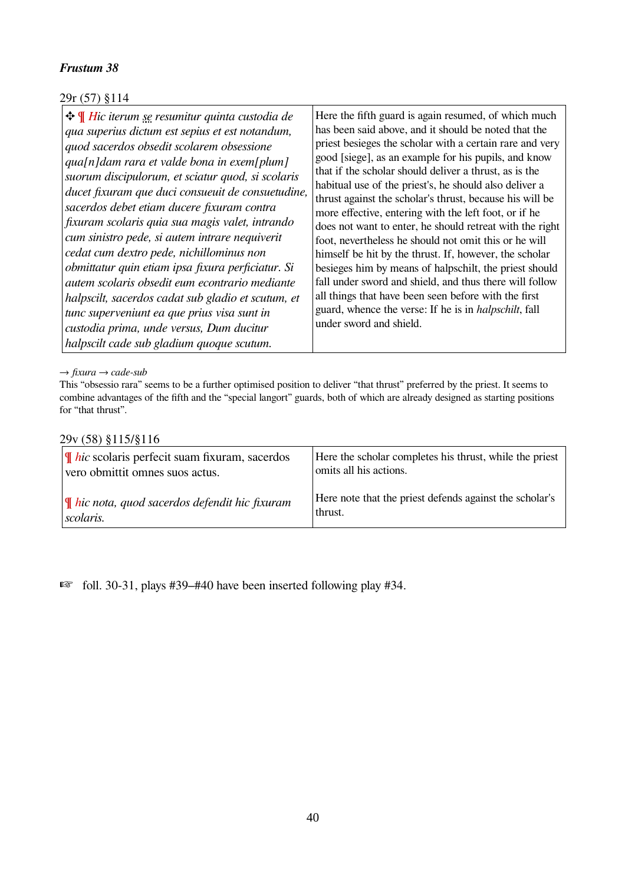### 29r (57) §114

#### → *fixura* → *cade-sub*

This "obsessio rara" seems to be a further optimised position to deliver "that thrust" preferred by the priest. It seems to combine advantages of the fifth and the "special langort" guards, both of which are already designed as starting positions for "that thrust".

#### 29v (58) §115/§116

| $\parallel$ <i>hic</i> scolaris perfecit suam fixuram, sacerdos | Here the scholar completes his thrust, while the priest |
|-----------------------------------------------------------------|---------------------------------------------------------|
| vero obmittit omnes suos actus.                                 | omits all his actions.                                  |
| $ \P$ hic nota, quod sacerdos defendit hic fixuram              | Here note that the priest defends against the scholar's |
| scolaris.                                                       | thrust.                                                 |

☞ foll. 30-31, plays #39–#40 have been inserted following play #34.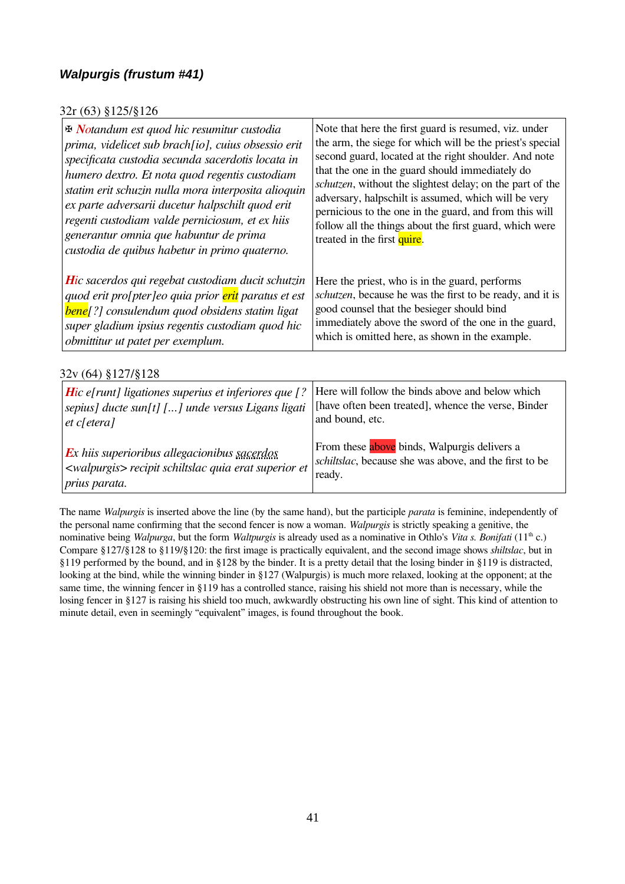### <span id="page-40-0"></span>*Walpurgis (frustum #41)*

### 32r (63) §125/§126

| <b>E Notandum est quod hic resumitur custodia</b><br>prima, videlicet sub brach[io], cuius obsessio erit<br>specificata custodia secunda sacerdotis locata in<br>humero dextro. Et nota quod regentis custodiam<br>statim erit schuzin nulla mora interposita alioquin<br>ex parte adversarii ducetur halpschilt quod erit<br>regenti custodiam valde perniciosum, et ex hiis<br>generantur omnia que habuntur de prima<br>custodia de quibus habetur in primo quaterno. | Note that here the first guard is resumed, viz. under<br>the arm, the siege for which will be the priest's special<br>second guard, located at the right shoulder. And note<br>that the one in the guard should immediately do<br>schutzen, without the slightest delay; on the part of the<br>adversary, halpschilt is assumed, which will be very<br>pernicious to the one in the guard, and from this will<br>follow all the things about the first guard, which were<br>treated in the first quire. |  |  |  |  |
|--------------------------------------------------------------------------------------------------------------------------------------------------------------------------------------------------------------------------------------------------------------------------------------------------------------------------------------------------------------------------------------------------------------------------------------------------------------------------|---------------------------------------------------------------------------------------------------------------------------------------------------------------------------------------------------------------------------------------------------------------------------------------------------------------------------------------------------------------------------------------------------------------------------------------------------------------------------------------------------------|--|--|--|--|
| <b>H</b> ic sacerdos qui regebat custodiam ducit schutzin<br>quod erit pro[pter]eo quia prior erit paratus et est<br><b>bene</b> [?] consulendum quod obsidens statim ligat<br>super gladium ipsius regentis custodiam quod hic<br>obmittitur ut patet per exemplum.                                                                                                                                                                                                     | Here the priest, who is in the guard, performs<br>schutzen, because he was the first to be ready, and it is<br>good counsel that the besieger should bind<br>immediately above the sword of the one in the guard,<br>which is omitted here, as shown in the example.                                                                                                                                                                                                                                    |  |  |  |  |
| 32v (64) §127/§128                                                                                                                                                                                                                                                                                                                                                                                                                                                       |                                                                                                                                                                                                                                                                                                                                                                                                                                                                                                         |  |  |  |  |
| <b>Hic e[runt] ligationes superius et inferiores que</b> [?<br>sepius] ducte sun[t] [] unde versus Ligans ligati<br>$et$ c[etera]                                                                                                                                                                                                                                                                                                                                        | Here will follow the binds above and below which<br>[have often been treated], whence the verse, Binder<br>and bound, etc.                                                                                                                                                                                                                                                                                                                                                                              |  |  |  |  |
| <b>Ex</b> hiis superioribus allegacionibus <u>sacerdos</u><br><walpurgis> recipit schiltslac quia erat superior et<br/>prius parata.</walpurgis>                                                                                                                                                                                                                                                                                                                         | From these above binds, Walpurgis delivers a<br>schiltslac, because she was above, and the first to be<br>ready.                                                                                                                                                                                                                                                                                                                                                                                        |  |  |  |  |

The name *Walpurgis* is inserted above the line (by the same hand), but the participle *parata* is feminine, independently of the personal name confirming that the second fencer is now a woman. *Walpurgis* is strictly speaking a genitive, the nominative being *Walpurga*, but the form *Waltpurgis* is already used as a nominative in Othlo's *Vita s. Bonifati* (11th c.) Compare §127/§128 to §119/§120: the first image is practically equivalent, and the second image shows *shiltslac*, but in §119 performed by the bound, and in §128 by the binder. It is a pretty detail that the losing binder in §119 is distracted, looking at the bind, while the winning binder in §127 (Walpurgis) is much more relaxed, looking at the opponent; at the same time, the winning fencer in §119 has a controlled stance, raising his shield not more than is necessary, while the losing fencer in §127 is raising his shield too much, awkwardly obstructing his own line of sight. This kind of attention to minute detail, even in seemingly "equivalent" images, is found throughout the book.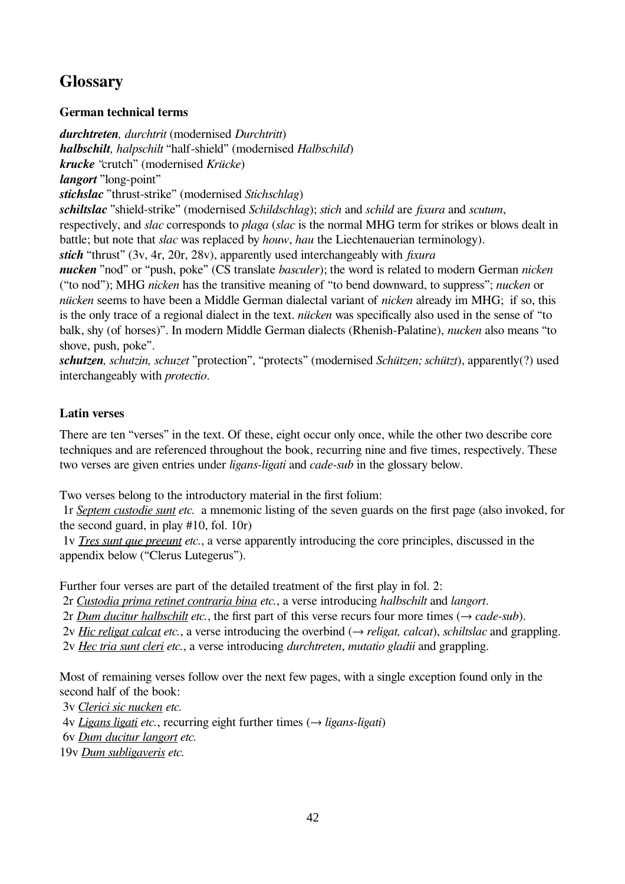# <span id="page-41-2"></span>**Glossary**

### <span id="page-41-1"></span>**German technical terms**

*durchtreten, durchtrit* (modernised *Durchtritt*) *halbschilt, halpschilt* "half-shield" (modernised *Halbschild*) *krucke "*crutch" (modernised *Krücke*) *langort* "long-point" *stichslac* "thrust-strike" (modernised *Stichschlag*) *schiltslac* "shield-strike" (modernised *Schildschlag*); *stich* and *schild* are *fixura* and *scutum*, respectively, and *slac* corresponds to *plaga* (*slac* is the normal MHG term for strikes or blows dealt in battle; but note that *slac* was replaced by *houw*, *hau* the Liechtenauerian terminology). *stich* "thrust" (3v, 4r, 20r, 28v), apparently used interchangeably with *fixura nucken* "nod" or "push, poke" (CS translate *basculer*); the word is related to modern German *nicken* ("to nod"); MHG *nicken* has the transitive meaning of "to bend downward, to suppress"; *nucken* or *nücken* seems to have been a Middle German dialectal variant of *nicken* already im MHG; if so, this is the only trace of a regional dialect in the text. *nücken* was specifically also used in the sense of "to balk, shy (of horses)". In modern Middle German dialects (Rhenish-Palatine), *nucken* also means "to shove, push, poke".

*schutzen, schutzin, schuzet* "protection", "protects" (modernised *Schützen; schützt*), apparently(?) used interchangeably with *protectio*.

### <span id="page-41-0"></span>**Latin verses**

There are ten "verses" in the text. Of these, eight occur only once, while the other two describe core techniques and are referenced throughout the book, recurring nine and five times, respectively. These two verses are given entries under *ligans-ligati* and *cade-sub* in the glossary below.

Two verses belong to the introductory material in the first folium:

 1r *Septem custodie sunt etc.* a mnemonic listing of the seven guards on the first page (also invoked, for the second guard, in play #10, fol. 10r)

 1v *Tres sunt que preeunt etc.*, a verse apparently introducing the core principles, discussed in the appendix below ("Clerus Lutegerus").

Further four verses are part of the detailed treatment of the first play in fol. 2:

2r *Custodia prima retinet contraria bina etc.*, a verse introducing *halbschilt* and *langort*.

2r *Dum ducitur halbschilt etc.*, the first part of this verse recurs four more times  $(\rightarrow$  *cade-sub*).

2v *Hic religat calcat etc.*, a verse introducing the overbind  $(\rightarrow$  *religat, calcat*), *schiltslac* and grappling.

2v *Hec tria sunt cleri etc.*, a verse introducing *durchtreten*, *mutatio gladii* and grappling.

Most of remaining verses follow over the next few pages, with a single exception found only in the second half of the book:

3v *Clerici sic nucken etc.*

4v *Ligans ligati etc.*, recurring eight further times (→ *ligans-ligati*)

6v *Dum ducitur langort etc.*

19v *Dum subligaveris etc.*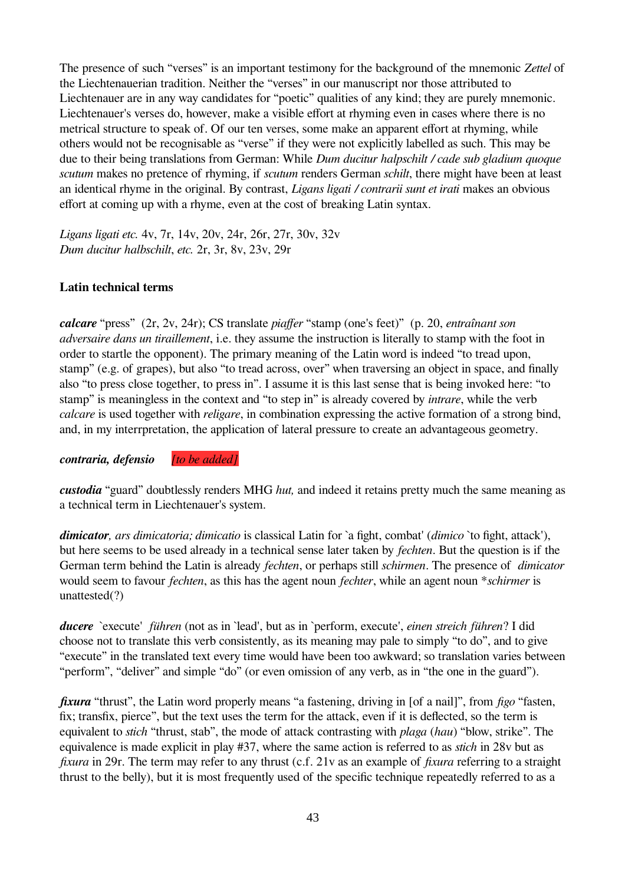The presence of such "verses" is an important testimony for the background of the mnemonic *Zettel* of the Liechtenauerian tradition. Neither the "verses" in our manuscript nor those attributed to Liechtenauer are in any way candidates for "poetic" qualities of any kind; they are purely mnemonic. Liechtenauer's verses do, however, make a visible effort at rhyming even in cases where there is no metrical structure to speak of. Of our ten verses, some make an apparent effort at rhyming, while others would not be recognisable as "verse" if they were not explicitly labelled as such. This may be due to their being translations from German: While *Dum ducitur halpschilt / cade sub gladium quoque scutum* makes no pretence of rhyming, if *scutum* renders German *schilt*, there might have been at least an identical rhyme in the original. By contrast, *Ligans ligati / contrarii sunt et irati* makes an obvious effort at coming up with a rhyme, even at the cost of breaking Latin syntax.

*Ligans ligati etc.* 4v, 7r, 14v, 20v, 24r, 26r, 27r, 30v, 32v *Dum ducitur halbschilt*, *etc.* 2r, 3r, 8v, 23v, 29r

#### <span id="page-42-0"></span>**Latin technical terms**

*calcare* "press" (2r, 2v, 24r); CS translate *piaffer* "stamp (one's feet)" (p. 20, *entraînant son adversaire dans un tiraillement*, i.e. they assume the instruction is literally to stamp with the foot in order to startle the opponent). The primary meaning of the Latin word is indeed "to tread upon, stamp" (e.g. of grapes), but also "to tread across, over" when traversing an object in space, and finally also "to press close together, to press in". I assume it is this last sense that is being invoked here: "to stamp" is meaningless in the context and "to step in" is already covered by *intrare*, while the verb *calcare* is used together with *religare*, in combination expressing the active formation of a strong bind, and, in my interrpretation, the application of lateral pressure to create an advantageous geometry.

*contraria, defensio [to be added]*

*custodia* "guard" doubtlessly renders MHG *hut,* and indeed it retains pretty much the same meaning as a technical term in Liechtenauer's system.

*dimicator, ars dimicatoria; dimicatio* is classical Latin for `a fight, combat' (*dimico* `to fight, attack'), but here seems to be used already in a technical sense later taken by *fechten*. But the question is if the German term behind the Latin is already *fechten*, or perhaps still *schirmen*. The presence of *dimicator* would seem to favour *fechten*, as this has the agent noun *fechter*, while an agent noun \**schirmer* is unattested(?)

*ducere* `execute' *führen* (not as in `lead', but as in `perform, execute', *einen streich führen*? I did choose not to translate this verb consistently, as its meaning may pale to simply "to do", and to give "execute" in the translated text every time would have been too awkward; so translation varies between "perform", "deliver" and simple "do" (or even omission of any verb, as in "the one in the guard").

*fixura* "thrust", the Latin word properly means "a fastening, driving in [of a nail]", from *figo* "fasten, fix; transfix, pierce", but the text uses the term for the attack, even if it is deflected, so the term is equivalent to *stich* "thrust, stab", the mode of attack contrasting with *plaga* (*hau*) "blow, strike". The equivalence is made explicit in play #37, where the same action is referred to as *stich* in 28v but as *fixura* in 29r. The term may refer to any thrust (c.f. 21v as an example of *fixura* referring to a straight thrust to the belly), but it is most frequently used of the specific technique repeatedly referred to as a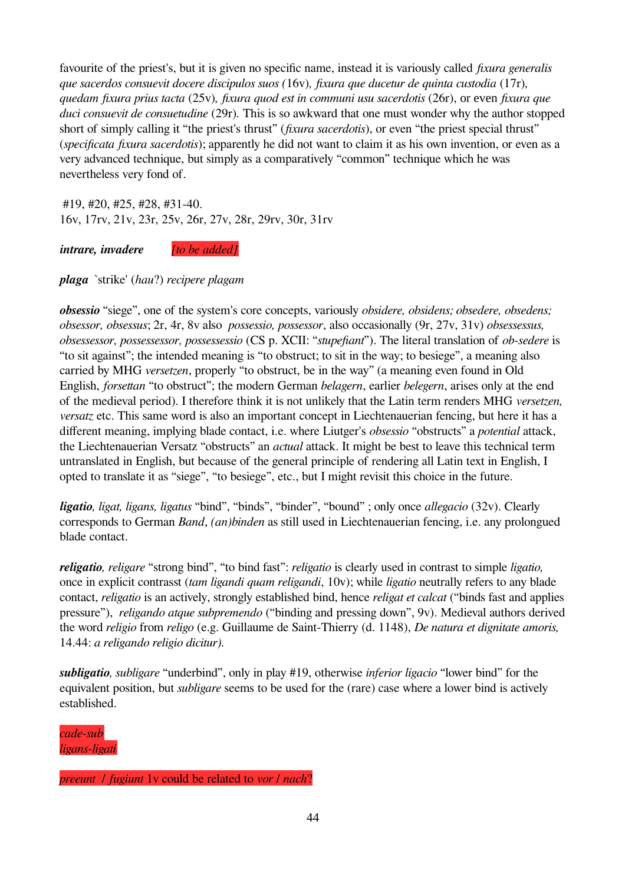favourite of the priest's, but it is given no specific name, instead it is variously called *fixura generalis que sacerdos consuevit docere discipulos suos (*16v)*, fixura que ducetur de quinta custodia* (17r)*, quedam fixura prius tacta* (25v)*, fixura quod est in communi usu sacerdotis* (26r), or even *fixura que duci consuevit de consuetudine* (29r). This is so awkward that one must wonder why the author stopped short of simply calling it "the priest's thrust" (*fixura sacerdotis*), or even "the priest special thrust" (*specificata fixura sacerdotis*); apparently he did not want to claim it as his own invention, or even as a very advanced technique, but simply as a comparatively "common" technique which he was nevertheless very fond of.

 #19, #20, #25, #28, #31-40. 16v, 17rv, 21v, 23r, 25v, 26r, 27v, 28r, 29rv, 30r, 31rv

*intrare, invadere [to be added]*

*plaga* `strike' (*hau*?) *recipere plagam*

*obsessio* "siege", one of the system's core concepts, variously *obsidere, obsidens; obsedere, obsedens; obsessor, obsessus*; 2r, 4r, 8v also *possessio, possessor*, also occasionally (9r, 27v, 31v) *obsessessus, obsessessor, possessessor, possessessio* (CS p. XCII: "*stupefiant*"). The literal translation of *ob-sedere* is "to sit against"; the intended meaning is "to obstruct; to sit in the way; to besiege", a meaning also carried by MHG *versetzen*, properly "to obstruct, be in the way" (a meaning even found in Old English, *forsettan* "to obstruct"; the modern German *belagern*, earlier *belegern*, arises only at the end of the medieval period). I therefore think it is not unlikely that the Latin term renders MHG *versetzen, versatz* etc. This same word is also an important concept in Liechtenauerian fencing, but here it has a different meaning, implying blade contact, i.e. where Liutger's *obsessio* "obstructs" a *potential* attack, the Liechtenauerian Versatz "obstructs" an *actual* attack. It might be best to leave this technical term untranslated in English, but because of the general principle of rendering all Latin text in English, I opted to translate it as "siege", "to besiege", etc., but I might revisit this choice in the future.

*ligatio, ligat, ligans, ligatus* "bind", "binds", "binder", "bound" ; only once *allegacio* (32v). Clearly corresponds to German *Band*, *(an)binden* as still used in Liechtenauerian fencing, i.e. any prolongued blade contact.

*religatio, religare* "strong bind", "to bind fast": *religatio* is clearly used in contrast to simple *ligatio,*  once in explicit contrasst (*tam ligandi quam religandi*, 10v); while *ligatio* neutrally refers to any blade contact, *religatio* is an actively, strongly established bind, hence *religat et calcat* ("binds fast and applies pressure"), *religando atque subpremendo* ("binding and pressing down", 9v). Medieval authors derived the word *religio* from *religo* (e.g. Guillaume de Saint-Thierry (d. 1148), *De natura et dignitate amoris,*  14.44: *a religando religio dicitur).*

*subligatio, subligare* "underbind", only in play #19, otherwise *inferior ligacio* "lower bind" for the equivalent position, but *subligare* seems to be used for the (rare) case where a lower bind is actively established.

*cade-sub ligans-ligati*

*preeunt* / *fugiunt* 1v could be related to *vor* / *nach*?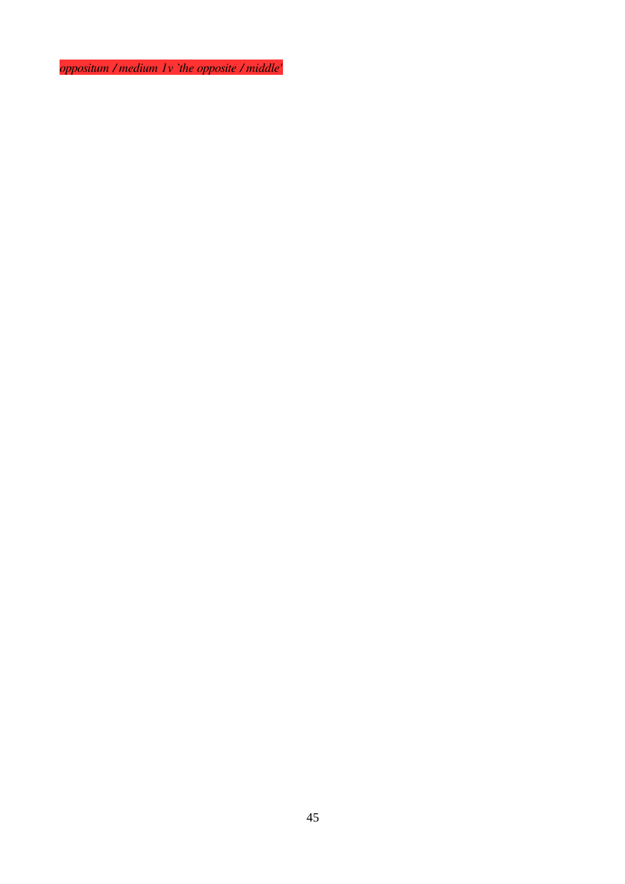*oppositum / medium 1v `the opposite / middle'*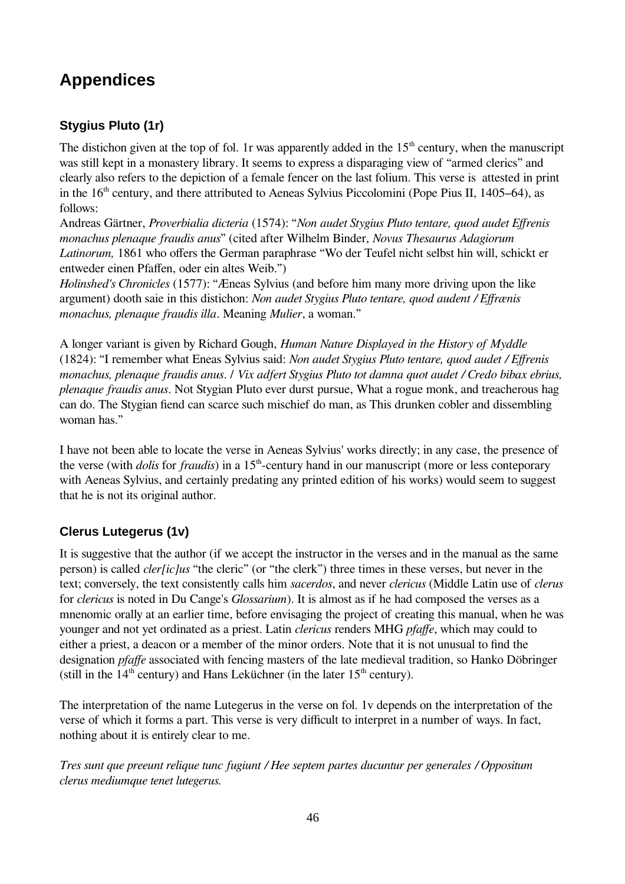# <span id="page-45-2"></span>**Appendices**

### <span id="page-45-1"></span>**Stygius Pluto (1r)**

The distichon given at the top of fol. 1r was apparently added in the  $15<sup>th</sup>$  century, when the manuscript was still kept in a monastery library. It seems to express a disparaging view of "armed clerics" and clearly also refers to the depiction of a female fencer on the last folium. This verse is attested in print in the  $16<sup>th</sup>$  century, and there attributed to Aeneas Sylvius Piccolomini (Pope Pius II, 1405–64), as follows:

Andreas Gärtner, *Proverbialia dicteria* (1574): "*Non audet Stygius Pluto tentare, quod audet Effrenis monachus plenaque fraudis anus*" (cited after Wilhelm Binder, *Novus Thesaurus Adagiorum Latinorum,* 1861 who offers the German paraphrase "Wo der Teufel nicht selbst hin will, schickt er entweder einen Pfaffen, oder ein altes Weib.")

*Holinshed's Chronicles* (1577): "Æneas Sylvius (and before him many more driving upon the like argument) dooth saie in this distichon: *Non audet Stygius Pluto tentare, quod audent / Effrænis monachus, plenaque fraudis illa*. Meaning *Mulier*, a woman."

A longer variant is given by Richard Gough, *Human Nature Displayed in the History of Myddle* (1824): "I remember what Eneas Sylvius said: *Non audet Stygius Pluto tentare, quod audet / Effrenis monachus, plenaque fraudis anus*. / *Vix adfert Stygius Pluto tot damna quot audet / Credo bibax ebrius, plenaque fraudis anus*. Not Stygian Pluto ever durst pursue, What a rogue monk, and treacherous hag can do. The Stygian fiend can scarce such mischief do man, as This drunken cobler and dissembling woman has."

I have not been able to locate the verse in Aeneas Sylvius' works directly; in any case, the presence of the verse (with *dolis* for *fraudis*) in a 15<sup>th</sup>-century hand in our manuscript (more or less conteporary with Aeneas Sylvius, and certainly predating any printed edition of his works) would seem to suggest that he is not its original author.

### <span id="page-45-0"></span>**Clerus Lutegerus (1v)**

It is suggestive that the author (if we accept the instructor in the verses and in the manual as the same person) is called *cler[ic]us* "the cleric" (or "the clerk") three times in these verses, but never in the text; conversely, the text consistently calls him *sacerdos*, and never *clericus* (Middle Latin use of *clerus* for *clericus* is noted in Du Cange's *Glossarium*). It is almost as if he had composed the verses as a mnenomic orally at an earlier time, before envisaging the project of creating this manual, when he was younger and not yet ordinated as a priest. Latin *clericus* renders MHG *pfaffe*, which may could to either a priest, a deacon or a member of the minor orders. Note that it is not unusual to find the designation *pfaffe* associated with fencing masters of the late medieval tradition, so Hanko Döbringer (still in the  $14<sup>th</sup>$  century) and Hans Leküchner (in the later  $15<sup>th</sup>$  century).

The interpretation of the name Lutegerus in the verse on fol. 1v depends on the interpretation of the verse of which it forms a part. This verse is very difficult to interpret in a number of ways. In fact, nothing about it is entirely clear to me.

*Tres sunt que preeunt relique tunc fugiunt / Hee septem partes ducuntur per generales / Oppositum clerus mediumque tenet lutegerus.*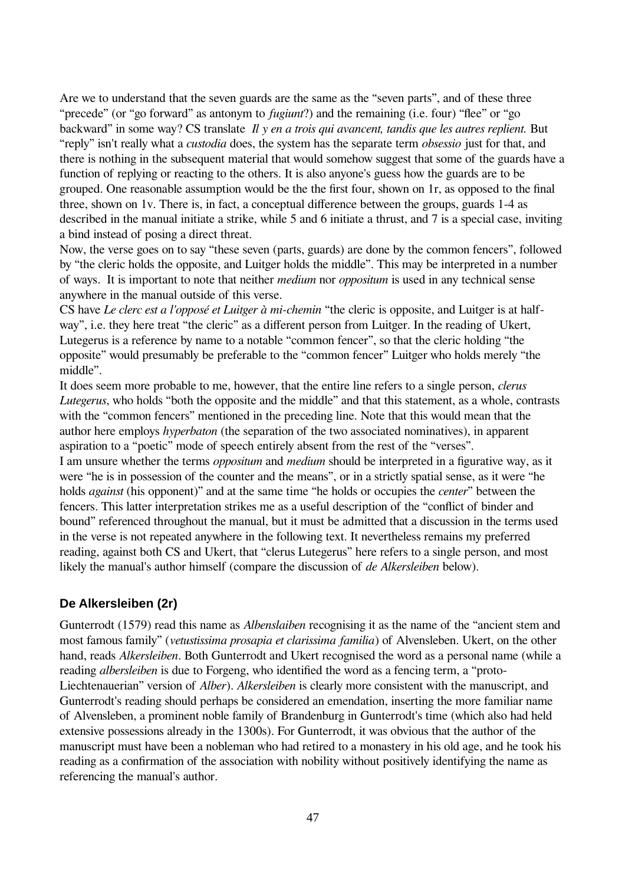Are we to understand that the seven guards are the same as the "seven parts", and of these three "precede" (or "go forward" as antonym to *fugiunt*?) and the remaining (i.e. four) "flee" or "go backward" in some way? CS translate *Il y en a trois qui avancent, tandis que les autres replient.* But "reply" isn't really what a *custodia* does, the system has the separate term *obsessio* just for that, and there is nothing in the subsequent material that would somehow suggest that some of the guards have a function of replying or reacting to the others. It is also anyone's guess how the guards are to be grouped. One reasonable assumption would be the the first four, shown on 1r, as opposed to the final three, shown on 1v. There is, in fact, a conceptual difference between the groups, guards 1-4 as described in the manual initiate a strike, while 5 and 6 initiate a thrust, and 7 is a special case, inviting a bind instead of posing a direct threat.

Now, the verse goes on to say "these seven (parts, guards) are done by the common fencers", followed by "the cleric holds the opposite, and Luitger holds the middle". This may be interpreted in a number of ways. It is important to note that neither *medium* nor *oppositum* is used in any technical sense anywhere in the manual outside of this verse.

CS have *Le clerc est a l'opposé et Luitger à mi-chemin* "the cleric is opposite, and Luitger is at halfway", i.e. they here treat "the cleric" as a different person from Luitger. In the reading of Ukert, Lutegerus is a reference by name to a notable "common fencer", so that the cleric holding "the opposite" would presumably be preferable to the "common fencer" Luitger who holds merely "the middle".

It does seem more probable to me, however, that the entire line refers to a single person, *clerus Lutegerus*, who holds "both the opposite and the middle" and that this statement, as a whole, contrasts with the "common fencers" mentioned in the preceding line. Note that this would mean that the author here employs *hyperbaton* (the separation of the two associated nominatives), in apparent aspiration to a "poetic" mode of speech entirely absent from the rest of the "verses".

I am unsure whether the terms *oppositum* and *medium* should be interpreted in a figurative way, as it were "he is in possession of the counter and the means", or in a strictly spatial sense, as it were "he holds *against* (his opponent)" and at the same time "he holds or occupies the *center*" between the fencers. This latter interpretation strikes me as a useful description of the "conflict of binder and bound" referenced throughout the manual, but it must be admitted that a discussion in the terms used in the verse is not repeated anywhere in the following text. It nevertheless remains my preferred reading, against both CS and Ukert, that "clerus Lutegerus" here refers to a single person, and most likely the manual's author himself (compare the discussion of *de Alkersleiben* below).

#### <span id="page-46-0"></span>**De Alkersleiben (2r)**

Gunterrodt (1579) read this name as *Albenslaiben* recognising it as the name of the "ancient stem and most famous family" (*vetustissima prosapia et clarissima familia*) of Alvensleben. Ukert, on the other hand, reads *Alkersleiben*. Both Gunterrodt and Ukert recognised the word as a personal name (while a reading *albersleiben* is due to Forgeng, who identified the word as a fencing term, a "proto-Liechtenauerian" version of *Alber*). *Alkersleiben* is clearly more consistent with the manuscript, and Gunterrodt's reading should perhaps be considered an emendation, inserting the more familiar name of Alvensleben, a prominent noble family of Brandenburg in Gunterrodt's time (which also had held extensive possessions already in the 1300s). For Gunterrodt, it was obvious that the author of the manuscript must have been a nobleman who had retired to a monastery in his old age, and he took his reading as a confirmation of the association with nobility without positively identifying the name as referencing the manual's author.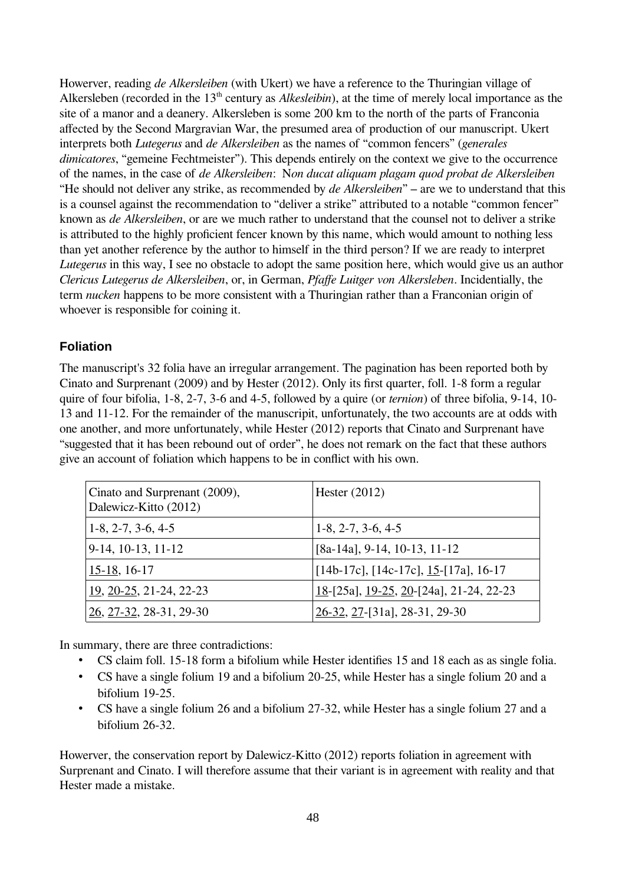Howerver, reading *de Alkersleiben* (with Ukert) we have a reference to the Thuringian village of Alkersleben (recorded in the 13<sup>th</sup> century as *Alkesleibin*), at the time of merely local importance as the site of a manor and a deanery. Alkersleben is some 200 km to the north of the parts of Franconia affected by the Second Margravian War, the presumed area of production of our manuscript. Ukert interprets both *Lutegerus* and *de Alkersleiben* as the names of "common fencers" (*generales dimicatores*, "gemeine Fechtmeister"). This depends entirely on the context we give to the occurrence of the names, in the case of *de Alkersleiben*: N*on ducat aliquam plagam quod probat de Alkersleiben* "He should not deliver any strike, as recommended by *de Alkersleiben*" – are we to understand that this is a counsel against the recommendation to "deliver a strike" attributed to a notable "common fencer" known as *de Alkersleiben*, or are we much rather to understand that the counsel not to deliver a strike is attributed to the highly proficient fencer known by this name, which would amount to nothing less than yet another reference by the author to himself in the third person? If we are ready to interpret *Lutegerus* in this way, I see no obstacle to adopt the same position here, which would give us an author *Clericus Lutegerus de Alkersleiben*, or, in German, *Pfaffe Luitger von Alkersleben*. Incidentially, the term *nucken* happens to be more consistent with a Thuringian rather than a Franconian origin of whoever is responsible for coining it.

#### <span id="page-47-0"></span>**Foliation**

The manuscript's 32 folia have an irregular arrangement. The pagination has been reported both by Cinato and Surprenant (2009) and by Hester (2012). Only its first quarter, foll. 1-8 form a regular quire of four bifolia, 1-8, 2-7, 3-6 and 4-5, followed by a quire (or *ternion*) of three bifolia, 9-14, 10- 13 and 11-12. For the remainder of the manuscripit, unfortunately, the two accounts are at odds with one another, and more unfortunately, while Hester (2012) reports that Cinato and Surprenant have "suggested that it has been rebound out of order", he does not remark on the fact that these authors give an account of foliation which happens to be in conflict with his own.

| Cinato and Surprenant (2009),<br>Dalewicz-Kitto (2012) | Hester $(2012)$                          |
|--------------------------------------------------------|------------------------------------------|
| $1-8, 2-7, 3-6, 4-5$                                   | $1-8, 2-7, 3-6, 4-5$                     |
| $9-14$ , 10-13, 11-12                                  | $[8a-14a]$ , 9-14, 10-13, 11-12          |
| 15-18, 16-17                                           | [14b-17c], [14c-17c], $15$ -[17a], 16-17 |
| $19, 20-25, 21-24, 22-23$                              | 18-[25a], 19-25, 20-[24a], 21-24, 22-23  |
| $26, 27-32, 28-31, 29-30$                              | $26-32, 27$ -[31a], 28-31, 29-30         |

In summary, there are three contradictions:

- CS claim foll. 15-18 form a bifolium while Hester identifies 15 and 18 each as as single folia.
- CS have a single folium 19 and a bifolium 20-25, while Hester has a single folium 20 and a bifolium 19-25.
- CS have a single folium 26 and a bifolium 27-32, while Hester has a single folium 27 and a bifolium 26-32.

Howerver, the conservation report by Dalewicz-Kitto (2012) reports foliation in agreement with Surprenant and Cinato. I will therefore assume that their variant is in agreement with reality and that Hester made a mistake.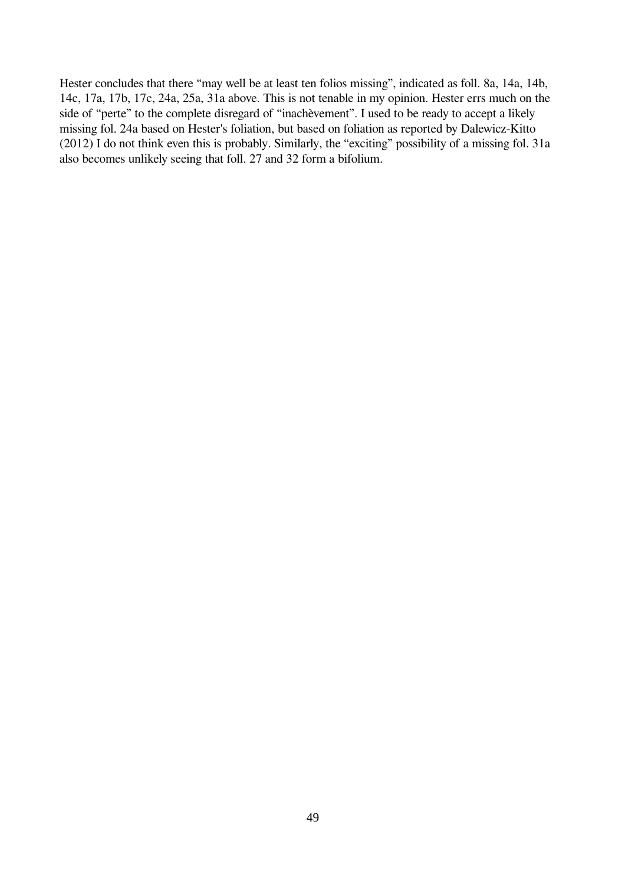Hester concludes that there "may well be at least ten folios missing", indicated as foll. 8a, 14a, 14b, 14c, 17a, 17b, 17c, 24a, 25a, 31a above. This is not tenable in my opinion. Hester errs much on the side of "perte" to the complete disregard of "inachèvement". I used to be ready to accept a likely missing fol. 24a based on Hester's foliation, but based on foliation as reported by Dalewicz-Kitto (2012) I do not think even this is probably. Similarly, the "exciting" possibility of a missing fol. 31a also becomes unlikely seeing that foll. 27 and 32 form a bifolium.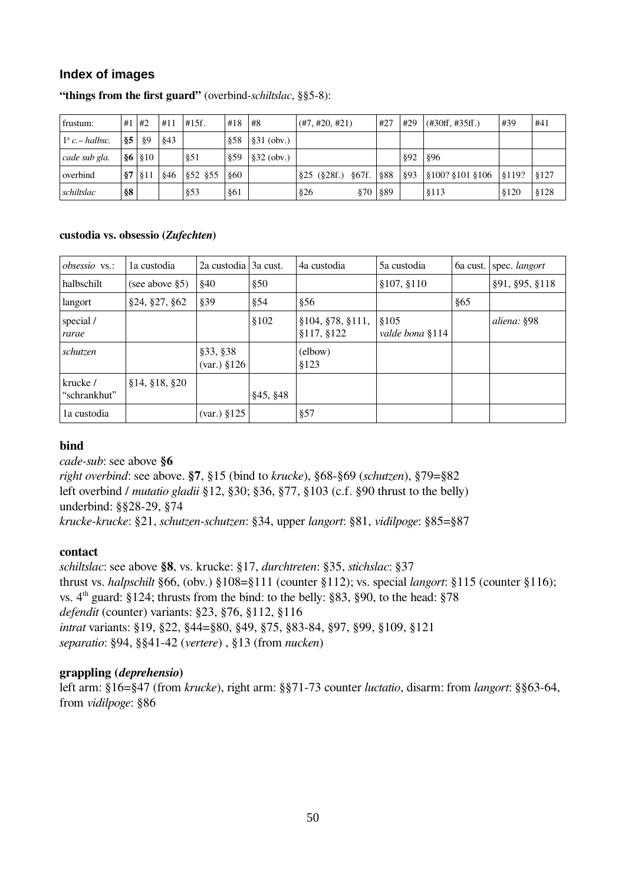### <span id="page-49-0"></span>**Index of images**

| frustum:                 | #1             | l #2            | #11 | #15f.     | #18 | #8           | (H7, #20, #21)      | . #27        | #29 | (#30ff, #35ff.)     | #39    | #41   |
|--------------------------|----------------|-----------------|-----|-----------|-----|--------------|---------------------|--------------|-----|---------------------|--------|-------|
| $1^{\circ}$ c. – halbsc. | § 5            | §9              | §43 |           | 858 | $§31$ (obv.) |                     |              |     |                     |        |       |
| cade sub gla.            | $\frac{86}{ }$ | $\frac{810}{3}$ |     | 851       | §59 | \$32 (obv.)  |                     |              | §92 | §96                 |        |       |
| overbind                 | §7             | §11             | §46 | \$52 \$55 | 860 |              | $§25$ (§28f.) §67f. | \$88         | §93 | $$100?$ \$101 \$106 | \$119? | \$127 |
| schiltslac               | <b>§8</b>      |                 |     | §53       | §61 |              | §26                 | $§70   \$89$ |     | §113                | \$120  | \$128 |

#### **"things from the first guard"** (overbind-*schiltslac*, §§5-8):

#### **custodia vs. obsessio (***Zufechten***)**

| <i>obsessio</i> vs.:     | la custodia        | 2a custodia 3a cust.                          |          | 4a custodia                      | 5a custodia              | 6a cust. | spec. langort  |
|--------------------------|--------------------|-----------------------------------------------|----------|----------------------------------|--------------------------|----------|----------------|
| halbschilt               | (see above $\S5$ ) | §40                                           | \$50     |                                  | \$107, \$110             |          | §91, §95, §118 |
| langort                  | §24, §27, §62      | §39                                           | §54      | \$56                             |                          | §65      |                |
| special /<br>rarae       |                    |                                               | \$102    | §104, §78, §111,<br>\$117, \$122 | \$105<br>valde bona §114 |          | aliena: §98    |
| schutzen                 |                    | §33, §38<br>$\left( \text{var.} \right)$ §126 |          | (elbow)<br>\$123                 |                          |          |                |
| krucke /<br>"schrankhut" | \$14, \$18, \$20   |                                               | §45, §48 |                                  |                          |          |                |
| la custodia              |                    | $\left( \text{var.} \right)$ §125             |          | §57                              |                          |          |                |

#### **bind**

*cade-sub*: see above **§6**

*right overbind*: see above. **§7**, §15 (bind to *krucke*), §68-§69 (*schutzen*), §79=§82 left overbind / *mutatio gladii* §12, §30; §36, §77, §103 (c.f. §90 thrust to the belly) underbind: §§28-29, §74 *krucke*-*krucke*: §21, *schutzen*-*schutzen*: §34, upper *langort*: §81, *vidilpoge*: §85=§87

#### **contact**

*schiltslac*: see above **§8**, vs. krucke: §17, *durchtreten*: §35, *stichslac*: §37 thrust vs. *halpschilt* §66, (obv.) §108=§111 (counter §112); vs. special *langort*: §115 (counter §116); vs.  $4<sup>th</sup>$  guard: §124; thrusts from the bind: to the belly: §83, §90, to the head: §78 *defendit* (counter) variants: §23, §76, §112, §116 *intrat* variants: §19, §22, §44=§80, §49, §75, §83-84, §97, §99, §109, §121 *separatio*: §94, §§41-42 (*vertere*) , §13 (from *nucken*)

#### **grappling (***deprehensio***)**

left arm: §16=§47 (from *krucke*), right arm: §§71-73 counter *luctatio*, disarm: from *langort*: §§63-64, from *vidilpoge*: §86